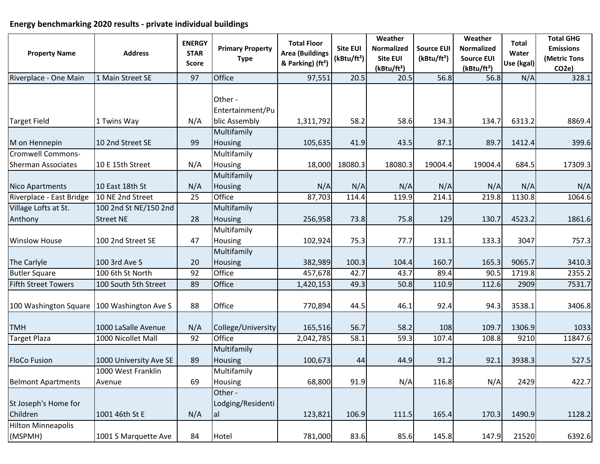## **Energy benchmarking 2020 results ‐ private individual buildings**

| <b>Property Name</b>                                  | <b>Address</b>                            | <b>ENERGY</b><br><b>STAR</b><br><b>Score</b> | <b>Primary Property</b><br><b>Type</b>       | <b>Total Floor</b><br><b>Area (Buildings</b><br>& Parking) (ft <sup>2</sup> ) | <b>Site EUI</b><br>(kBtu/ft <sup>2</sup> ) | Weather<br><b>Normalized</b><br><b>Site EUI</b><br>(kBtu/ft <sup>2</sup> ) | <b>Source EUI</b><br>(kBtu/ft <sup>2</sup> ) | Weather<br><b>Normalized</b><br><b>Source EUI</b><br>(kBtu/ft <sup>2</sup> ) | <b>Total</b><br>Water<br>Use (kgal) | <b>Total GHG</b><br><b>Emissions</b><br>(Metric Tons<br>CO <sub>2</sub> e) |
|-------------------------------------------------------|-------------------------------------------|----------------------------------------------|----------------------------------------------|-------------------------------------------------------------------------------|--------------------------------------------|----------------------------------------------------------------------------|----------------------------------------------|------------------------------------------------------------------------------|-------------------------------------|----------------------------------------------------------------------------|
| Riverplace - One Main                                 | 1 Main Street SE                          | 97                                           | Office                                       | 97,551                                                                        | 20.5                                       | 20.5                                                                       | 56.8                                         | 56.8                                                                         | N/A                                 | 328.1                                                                      |
| <b>Target Field</b>                                   | 1 Twins Way                               | N/A                                          | Other -<br>Entertainment/Pu<br>blic Assembly | 1,311,792                                                                     | 58.2                                       | 58.6                                                                       | 134.3                                        | 134.7                                                                        | 6313.2                              | 8869.4                                                                     |
|                                                       |                                           |                                              | Multifamily                                  |                                                                               |                                            |                                                                            |                                              |                                                                              |                                     |                                                                            |
| M on Hennepin                                         | 10 2nd Street SE                          | 99                                           | <b>Housing</b>                               | 105,635                                                                       | 41.9                                       | 43.5                                                                       | 87.1                                         | 89.7                                                                         | 1412.4                              | 399.6                                                                      |
| <b>Cromwell Commons-</b><br><b>Sherman Associates</b> | 10 E 15th Street                          | N/A                                          | Multifamily<br>Housing                       | 18,000                                                                        | 18080.3                                    | 18080.3                                                                    | 19004.4                                      | 19004.4                                                                      | 684.5                               | 17309.3                                                                    |
| <b>Nico Apartments</b>                                | 10 East 18th St                           | N/A                                          | Multifamily<br>Housing                       | N/A                                                                           | N/A                                        | N/A                                                                        | N/A                                          | N/A                                                                          | N/A                                 | N/A                                                                        |
| Riverplace - East Bridge                              | 10 NE 2nd Street                          | 25                                           | Office                                       | 87,703                                                                        | 114.4                                      | 119.9                                                                      | 214.1                                        | 219.8                                                                        | 1130.8                              | 1064.6                                                                     |
| Village Lofts at St.<br>Anthony                       | 100 2nd St NE/150 2nd<br><b>Street NE</b> | 28                                           | Multifamily<br>Housing                       | 256,958                                                                       | 73.8                                       | 75.8                                                                       | 129                                          | 130.7                                                                        | 4523.2                              | 1861.6                                                                     |
| <b>Winslow House</b>                                  | 100 2nd Street SE                         | 47                                           | Multifamily<br>Housing                       | 102,924                                                                       | 75.3                                       | 77.7                                                                       | 131.1                                        | 133.3                                                                        | 3047                                | 757.3                                                                      |
| The Carlyle                                           | 100 3rd Ave S                             | 20                                           | Multifamily<br>Housing                       | 382,989                                                                       | 100.3                                      | 104.4                                                                      | 160.7                                        | 165.3                                                                        | 9065.7                              | 3410.3                                                                     |
| <b>Butler Square</b>                                  | 100 6th St North                          | 92                                           | Office                                       | 457,678                                                                       | 42.7                                       | 43.7                                                                       | 89.4                                         | 90.5                                                                         | 1719.8                              | 2355.2                                                                     |
| <b>Fifth Street Towers</b>                            | 100 South 5th Street                      | 89                                           | Office                                       | 1,420,153                                                                     | 49.3                                       | 50.8                                                                       | 110.9                                        | 112.6                                                                        | 2909                                | 7531.7                                                                     |
| 100 Washington Square                                 | 100 Washington Ave S                      | 88                                           | Office                                       | 770,894                                                                       | 44.5                                       | 46.1                                                                       | 92.4                                         | 94.3                                                                         | 3538.1                              | 3406.8                                                                     |
| <b>TMH</b>                                            | 1000 LaSalle Avenue                       | N/A                                          | College/University                           | 165,516                                                                       | 56.7                                       | 58.2                                                                       | 108                                          | 109.7                                                                        | 1306.9                              | 1033                                                                       |
| <b>Target Plaza</b>                                   | 1000 Nicollet Mall                        | 92                                           | Office                                       | 2,042,785                                                                     | 58.1                                       | 59.3                                                                       | 107.4                                        | 108.8                                                                        | 9210                                | 11847.6                                                                    |
| <b>FloCo Fusion</b>                                   | 1000 University Ave SE                    | 89                                           | Multifamily<br>Housing                       | 100,673                                                                       | 44                                         | 44.9                                                                       | 91.2                                         | 92.1                                                                         | 3938.3                              | 527.5                                                                      |
| <b>Belmont Apartments</b>                             | 1000 West Franklin<br>Avenue              | 69                                           | Multifamily<br>Housing                       | 68,800                                                                        | 91.9                                       | N/A                                                                        | 116.8                                        | N/A                                                                          | 2429                                | 422.7                                                                      |
| St Joseph's Home for<br>Children                      | 1001 46th St E                            | N/A                                          | Other -<br>Lodging/Residenti<br>al           | 123,821                                                                       | 106.9                                      | 111.5                                                                      | 165.4                                        | 170.3                                                                        | 1490.9                              | 1128.2                                                                     |
| <b>Hilton Minneapolis</b><br>(MSPMH)                  | 1001 S Marquette Ave                      | 84                                           | Hotel                                        | 781,000                                                                       | 83.6                                       | 85.6                                                                       | 145.8                                        | 147.9                                                                        | 21520                               | 6392.6                                                                     |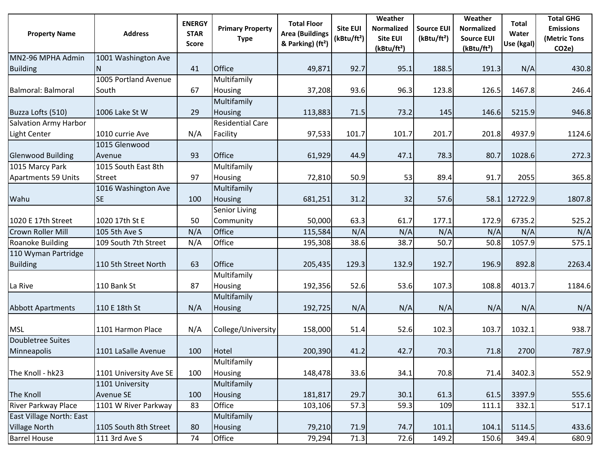| <b>Property Name</b>                        | <b>Address</b>         | <b>ENERGY</b><br><b>STAR</b><br><b>Score</b> | <b>Primary Property</b><br><b>Type</b> | <b>Total Floor</b><br><b>Area (Buildings</b><br>& Parking) (ft <sup>2</sup> ) | <b>Site EUI</b><br>(kBtu/ft <sup>2</sup> ) | Weather<br>Normalized<br><b>Site EUI</b><br>(kBtu/ft <sup>2</sup> ) | <b>Source EUI</b><br>(kBtu/ft <sup>2</sup> ) | Weather<br><b>Normalized</b><br><b>Source EUI</b><br>(kBtu/ft <sup>2</sup> ) | Total<br>Water<br>Use (kgal) | <b>Total GHG</b><br><b>Emissions</b><br>(Metric Tons<br>CO <sub>2</sub> e) |
|---------------------------------------------|------------------------|----------------------------------------------|----------------------------------------|-------------------------------------------------------------------------------|--------------------------------------------|---------------------------------------------------------------------|----------------------------------------------|------------------------------------------------------------------------------|------------------------------|----------------------------------------------------------------------------|
| MN2-96 MPHA Admin                           | 1001 Washington Ave    |                                              |                                        |                                                                               |                                            |                                                                     |                                              |                                                                              |                              |                                                                            |
| <b>Building</b><br>N                        |                        | 41                                           | Office                                 | 49,871                                                                        | 92.7                                       | 95.1                                                                | 188.5                                        | 191.3                                                                        | N/A                          | 430.8                                                                      |
|                                             | 1005 Portland Avenue   |                                              | Multifamily                            |                                                                               |                                            |                                                                     |                                              |                                                                              |                              |                                                                            |
| Balmoral: Balmoral<br>South                 |                        | 67                                           | Housing                                | 37,208                                                                        | 93.6                                       | 96.3                                                                | 123.8                                        | 126.5                                                                        | 1467.8                       | 246.4                                                                      |
|                                             |                        |                                              | Multifamily                            |                                                                               |                                            |                                                                     |                                              |                                                                              |                              |                                                                            |
| Buzza Lofts (510)                           | 1006 Lake St W         | 29                                           | Housing                                | 113,883                                                                       | 71.5                                       | 73.2                                                                | 145                                          | 146.6                                                                        | 5215.9                       | 946.8                                                                      |
| <b>Salvation Army Harbor</b>                |                        |                                              | <b>Residential Care</b>                |                                                                               |                                            |                                                                     |                                              |                                                                              |                              |                                                                            |
| Light Center                                | 1010 currie Ave        | N/A                                          | Facility                               | 97,533                                                                        | 101.7                                      | 101.7                                                               | 201.7                                        | 201.8                                                                        | 4937.9                       | 1124.6                                                                     |
|                                             | 1015 Glenwood          |                                              |                                        |                                                                               |                                            |                                                                     |                                              |                                                                              |                              |                                                                            |
| <b>Glenwood Building</b><br>Avenue          |                        | 93                                           | Office                                 | 61,929                                                                        | 44.9                                       | 47.1                                                                | 78.3                                         | 80.7                                                                         | 1028.6                       | 272.3                                                                      |
| 1015 Marcy Park                             | 1015 South East 8th    |                                              | Multifamily                            |                                                                               |                                            |                                                                     |                                              |                                                                              |                              |                                                                            |
| <b>Apartments 59 Units</b><br><b>Street</b> |                        | 97                                           | Housing                                | 72,810                                                                        | 50.9                                       | 53                                                                  | 89.4                                         | 91.7                                                                         | 2055                         | 365.8                                                                      |
|                                             | 1016 Washington Ave    |                                              | Multifamily                            |                                                                               |                                            |                                                                     |                                              |                                                                              |                              |                                                                            |
| <b>SE</b><br>Wahu                           |                        | 100                                          | Housing                                | 681,251                                                                       | 31.2                                       | 32                                                                  | 57.6                                         |                                                                              | 58.1 12722.9                 | 1807.8                                                                     |
|                                             |                        |                                              | Senior Living                          |                                                                               |                                            |                                                                     |                                              |                                                                              |                              |                                                                            |
| 1020 E 17th Street                          | 1020 17th St E         | 50                                           | Community                              | 50,000                                                                        | 63.3                                       | 61.7                                                                | 177.1                                        | 172.9                                                                        | 6735.2                       | 525.2                                                                      |
| <b>Crown Roller Mill</b>                    | 105 5th Ave S          | N/A                                          | Office                                 | 115,584                                                                       | N/A                                        | N/A                                                                 | N/A                                          | N/A                                                                          | N/A                          | N/A                                                                        |
| Roanoke Building                            | 109 South 7th Street   | N/A                                          | Office                                 | 195,308                                                                       | 38.6                                       | 38.7                                                                | 50.7                                         | 50.8                                                                         | 1057.9                       | 575.1                                                                      |
| 110 Wyman Partridge                         |                        |                                              |                                        |                                                                               |                                            |                                                                     |                                              |                                                                              |                              |                                                                            |
| <b>Building</b>                             | 110 5th Street North   | 63                                           | Office                                 | 205,435                                                                       | 129.3                                      | 132.9                                                               | 192.7                                        | 196.9                                                                        | 892.8                        | 2263.4                                                                     |
|                                             |                        |                                              | Multifamily                            |                                                                               |                                            |                                                                     |                                              |                                                                              |                              |                                                                            |
| La Rive                                     | 110 Bank St            | 87                                           | Housing                                | 192,356                                                                       | 52.6                                       | 53.6                                                                | 107.3                                        | 108.8                                                                        | 4013.7                       | 1184.6                                                                     |
|                                             |                        |                                              | Multifamily                            |                                                                               |                                            |                                                                     |                                              |                                                                              |                              |                                                                            |
| <b>Abbott Apartments</b>                    | 110 E 18th St          | N/A                                          | Housing                                | 192,725                                                                       | N/A                                        | N/A                                                                 | N/A                                          | N/A                                                                          | N/A                          | N/A                                                                        |
|                                             |                        |                                              |                                        |                                                                               |                                            |                                                                     |                                              |                                                                              |                              |                                                                            |
| <b>MSL</b>                                  | 1101 Harmon Place      | N/A                                          | College/University                     | 158,000                                                                       | 51.4                                       | 52.6                                                                | 102.3                                        | 103.7                                                                        | 1032.1                       | 938.7                                                                      |
| <b>Doubletree Suites</b>                    |                        |                                              |                                        |                                                                               |                                            |                                                                     |                                              |                                                                              |                              |                                                                            |
| Minneapolis                                 | 1101 LaSalle Avenue    | 100                                          | Hotel                                  | 200,390                                                                       | 41.2                                       | 42.7                                                                | 70.3                                         | 71.8                                                                         | 2700                         | 787.9                                                                      |
|                                             |                        |                                              | Multifamily                            |                                                                               |                                            |                                                                     |                                              |                                                                              |                              |                                                                            |
| The Knoll - hk23                            | 1101 University Ave SE | 100                                          | Housing                                | 148,478                                                                       | 33.6                                       | 34.1                                                                | 70.8                                         | 71.4                                                                         | 3402.3                       | 552.9                                                                      |
|                                             | 1101 University        |                                              | Multifamily                            |                                                                               |                                            |                                                                     |                                              |                                                                              |                              |                                                                            |
| The Knoll                                   | <b>Avenue SE</b>       | 100                                          | <b>Housing</b>                         | 181,817                                                                       | 29.7                                       | 30.1                                                                | 61.3                                         | 61.5                                                                         | 3397.9                       | 555.6                                                                      |
| River Parkway Place                         | 1101 W River Parkway   | 83                                           | Office                                 | 103,106                                                                       | 57.3                                       | 59.3                                                                | 109                                          | 111.1                                                                        | 332.1                        | 517.1                                                                      |
| East Village North: East                    |                        |                                              | Multifamily                            |                                                                               |                                            |                                                                     |                                              |                                                                              |                              |                                                                            |
| <b>Village North</b>                        | 1105 South 8th Street  | 80                                           | <b>Housing</b>                         | 79,210                                                                        | 71.9                                       | 74.7                                                                | 101.1                                        | 104.1                                                                        | 5114.5                       | 433.6                                                                      |
| <b>Barrel House</b>                         | 111 3rd Ave S          | 74                                           | Office                                 | 79,294                                                                        | 71.3                                       | 72.6                                                                | 149.2                                        | 150.6                                                                        | 349.4                        | 680.9                                                                      |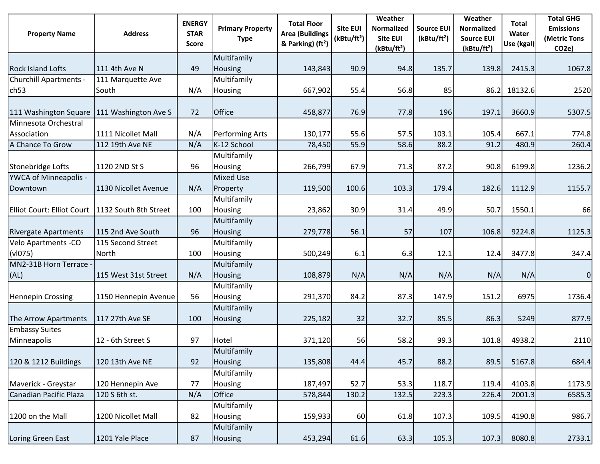| <b>Property Name</b>                               | <b>Address</b>       | <b>ENERGY</b><br><b>STAR</b><br><b>Score</b> | <b>Primary Property</b><br><b>Type</b> | <b>Total Floor</b><br><b>Area (Buildings</b><br>& Parking) (ft <sup>2</sup> ) | <b>Site EUI</b><br>(kBtu/ft <sup>2</sup> ) | Weather<br><b>Normalized</b><br><b>Site EUI</b><br>(kBtu/ft <sup>2</sup> ) | <b>Source EUI</b><br>(kBtu/ft <sup>2</sup> ) | Weather<br><b>Normalized</b><br><b>Source EUI</b><br>(kBtu/ft <sup>2</sup> ) | Total<br>Water<br>Use (kgal) | <b>Total GHG</b><br><b>Emissions</b><br>(Metric Tons<br>CO <sub>2</sub> e) |
|----------------------------------------------------|----------------------|----------------------------------------------|----------------------------------------|-------------------------------------------------------------------------------|--------------------------------------------|----------------------------------------------------------------------------|----------------------------------------------|------------------------------------------------------------------------------|------------------------------|----------------------------------------------------------------------------|
|                                                    |                      |                                              | Multifamily                            |                                                                               |                                            |                                                                            |                                              |                                                                              |                              |                                                                            |
| <b>Rock Island Lofts</b>                           | 111 4th Ave N        | 49                                           | Housing                                | 143,843                                                                       | 90.9                                       | 94.8                                                                       | 135.7                                        | 139.8                                                                        | 2415.3                       | 1067.8                                                                     |
| Churchill Apartments -                             | 111 Marquette Ave    |                                              | Multifamily                            |                                                                               |                                            |                                                                            |                                              |                                                                              |                              |                                                                            |
| ch53                                               | South                | N/A                                          | Housing                                | 667,902                                                                       | 55.4                                       | 56.8                                                                       | 85                                           | 86.2                                                                         | 18132.6                      | 2520                                                                       |
| 111 Washington Square                              | 111 Washington Ave S | 72                                           | Office                                 | 458,877                                                                       | 76.9                                       | 77.8                                                                       | 196                                          | 197.1                                                                        | 3660.9                       | 5307.5                                                                     |
| Minnesota Orchestral                               |                      |                                              |                                        |                                                                               |                                            |                                                                            |                                              |                                                                              |                              |                                                                            |
| Association                                        | 1111 Nicollet Mall   | N/A                                          | Performing Arts                        | 130,177                                                                       | 55.6                                       | 57.5                                                                       | 103.1                                        | 105.4                                                                        | 667.1                        | 774.8                                                                      |
| A Chance To Grow                                   | 112 19th Ave NE      | N/A                                          | K-12 School                            | 78,450                                                                        | 55.9                                       | 58.6                                                                       | 88.2                                         | 91.2                                                                         | 480.9                        | 260.4                                                                      |
|                                                    |                      |                                              | Multifamily                            |                                                                               |                                            |                                                                            |                                              |                                                                              |                              |                                                                            |
| Stonebridge Lofts                                  | 1120 2ND St S        | 96                                           | Housing                                | 266,799                                                                       | 67.9                                       | 71.3                                                                       | 87.2                                         | 90.8                                                                         | 6199.8                       | 1236.2                                                                     |
| YWCA of Minneapolis -                              |                      |                                              | <b>Mixed Use</b>                       |                                                                               |                                            |                                                                            |                                              |                                                                              |                              |                                                                            |
| Downtown                                           | 1130 Nicollet Avenue | N/A                                          | Property                               | 119,500                                                                       | 100.6                                      | 103.3                                                                      | 179.4                                        | 182.6                                                                        | 1112.9                       | 1155.7                                                                     |
|                                                    |                      |                                              | Multifamily                            |                                                                               |                                            |                                                                            |                                              |                                                                              |                              |                                                                            |
| Elliot Court: Elliot Court   1132 South 8th Street |                      | 100                                          | Housing                                | 23,862                                                                        | 30.9                                       | 31.4                                                                       | 49.9                                         | 50.7                                                                         | 1550.1                       | 66                                                                         |
|                                                    |                      |                                              | Multifamily                            |                                                                               |                                            |                                                                            |                                              |                                                                              |                              |                                                                            |
| <b>Rivergate Apartments</b>                        | 115 2nd Ave South    | 96                                           | Housing                                | 279,778                                                                       | 56.1                                       | 57                                                                         | 107                                          | 106.8                                                                        | 9224.8                       | 1125.3                                                                     |
| <b>Velo Apartments -CO</b>                         | 115 Second Street    |                                              | Multifamily                            |                                                                               |                                            |                                                                            |                                              |                                                                              |                              |                                                                            |
| (v1075)                                            | <b>North</b>         | 100                                          | Housing                                | 500,249                                                                       | 6.1                                        | 6.3                                                                        | 12.1                                         | 12.4                                                                         | 3477.8                       | 347.4                                                                      |
| MN2-31B Horn Terrace -                             |                      |                                              | Multifamily                            |                                                                               |                                            |                                                                            |                                              |                                                                              |                              |                                                                            |
| (AL)                                               | 115 West 31st Street | N/A                                          | Housing                                | 108,879                                                                       | N/A                                        | N/A                                                                        | N/A                                          | N/A                                                                          | N/A                          | $\overline{0}$                                                             |
|                                                    |                      |                                              | Multifamily                            |                                                                               |                                            |                                                                            |                                              |                                                                              |                              |                                                                            |
| <b>Hennepin Crossing</b>                           | 1150 Hennepin Avenue | 56                                           | Housing                                | 291,370                                                                       | 84.2                                       | 87.3                                                                       | 147.9                                        | 151.2                                                                        | 6975                         | 1736.4                                                                     |
|                                                    |                      |                                              | Multifamily                            |                                                                               |                                            |                                                                            |                                              |                                                                              |                              |                                                                            |
| The Arrow Apartments                               | 117 27th Ave SE      | 100                                          | Housing                                | 225,182                                                                       | 32                                         | 32.7                                                                       | 85.5                                         | 86.3                                                                         | 5249                         | 877.9                                                                      |
| <b>Embassy Suites</b>                              |                      |                                              |                                        |                                                                               |                                            |                                                                            |                                              |                                                                              |                              |                                                                            |
| Minneapolis                                        | 12 - 6th Street S    | 97                                           | Hotel                                  | 371,120                                                                       | 56                                         | 58.2                                                                       | 99.3                                         | 101.8                                                                        | 4938.2                       | 2110                                                                       |
|                                                    |                      |                                              | Multifamily                            |                                                                               |                                            |                                                                            |                                              |                                                                              |                              |                                                                            |
| 120 & 1212 Buildings                               | 120 13th Ave NE      | 92                                           | Housing                                | 135,808                                                                       | 44.4                                       | 45.7                                                                       | 88.2                                         | 89.5                                                                         | 5167.8                       | 684.4                                                                      |
|                                                    |                      |                                              | Multifamily                            |                                                                               |                                            |                                                                            |                                              |                                                                              |                              |                                                                            |
| Maverick - Greystar                                | 120 Hennepin Ave     | 77                                           | Housing                                | 187,497                                                                       | 52.7                                       | 53.3                                                                       | 118.7                                        | 119.4                                                                        | 4103.8                       | 1173.9                                                                     |
| Canadian Pacific Plaza                             | 120 S 6th st.        | N/A                                          | Office                                 | 578,844                                                                       | 130.2                                      | 132.5                                                                      | 223.3                                        | 226.4                                                                        | 2001.3                       | 6585.3                                                                     |
|                                                    |                      |                                              | Multifamily                            |                                                                               |                                            |                                                                            |                                              |                                                                              |                              |                                                                            |
| 1200 on the Mall                                   | 1200 Nicollet Mall   | 82                                           | Housing                                | 159,933                                                                       | 60                                         | 61.8                                                                       | 107.3                                        | 109.5                                                                        | 4190.8                       | 986.7                                                                      |
|                                                    |                      |                                              | Multifamily                            |                                                                               |                                            |                                                                            |                                              |                                                                              |                              |                                                                            |
| Loring Green East                                  | 1201 Yale Place      | 87                                           | Housing                                | 453,294                                                                       | 61.6                                       | 63.3                                                                       | 105.3                                        | 107.3                                                                        | 8080.8                       | 2733.1                                                                     |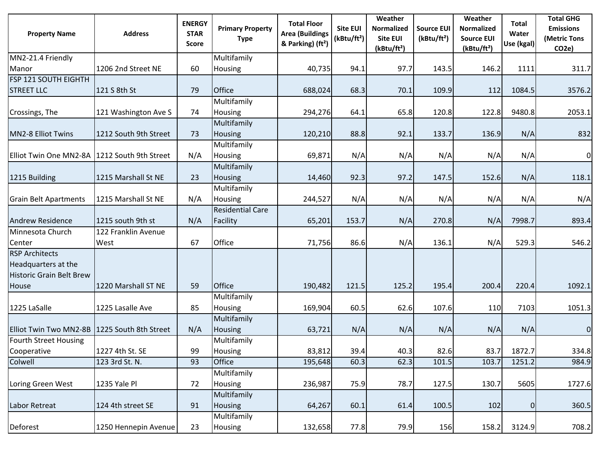| <b>Property Name</b>                                                                     | <b>Address</b>              | <b>ENERGY</b><br><b>STAR</b><br><b>Score</b> | <b>Primary Property</b><br><b>Type</b> | <b>Total Floor</b><br><b>Area (Buildings</b><br>& Parking) (ft <sup>2</sup> ) | <b>Site EUI</b><br>(kBtu/ft <sup>2</sup> ) | Weather<br><b>Normalized</b><br><b>Site EUI</b><br>(kBtu/ft <sup>2</sup> ) | <b>Source EUI</b><br>(kBtu/ft <sup>2</sup> ) | Weather<br><b>Normalized</b><br><b>Source EUI</b><br>(kBtu/ft <sup>2</sup> ) | Total<br>Water<br>Use (kgal) | <b>Total GHG</b><br><b>Emissions</b><br>(Metric Tons<br>CO <sub>2</sub> e) |
|------------------------------------------------------------------------------------------|-----------------------------|----------------------------------------------|----------------------------------------|-------------------------------------------------------------------------------|--------------------------------------------|----------------------------------------------------------------------------|----------------------------------------------|------------------------------------------------------------------------------|------------------------------|----------------------------------------------------------------------------|
| MN2-21.4 Friendly                                                                        |                             |                                              | Multifamily                            |                                                                               |                                            |                                                                            |                                              |                                                                              |                              |                                                                            |
| Manor                                                                                    | 1206 2nd Street NE          | 60                                           | <b>Housing</b>                         | 40,735                                                                        | 94.1                                       | 97.7                                                                       | 143.5                                        | 146.2                                                                        | 1111                         | 311.7                                                                      |
| FSP 121 SOUTH EIGHTH<br><b>STREET LLC</b>                                                | 121 S 8th St                | 79                                           | Office                                 | 688,024                                                                       | 68.3                                       | 70.1                                                                       | 109.9                                        | 112                                                                          | 1084.5                       | 3576.2                                                                     |
| Crossings, The                                                                           | 121 Washington Ave S        | 74                                           | Multifamily<br>Housing                 | 294,276                                                                       | 64.1                                       | 65.8                                                                       | 120.8                                        | 122.8                                                                        | 9480.8                       | 2053.1                                                                     |
| MN2-8 Elliot Twins                                                                       | 1212 South 9th Street       | 73                                           | Multifamily<br><b>Housing</b>          | 120,210                                                                       | 88.8                                       | 92.1                                                                       | 133.7                                        | 136.9                                                                        | N/A                          | 832                                                                        |
| Elliot Twin One MN2-8A   1212 South 9th Street                                           |                             | N/A                                          | Multifamily<br>Housing                 | 69,871                                                                        | N/A                                        | N/A                                                                        | N/A                                          | N/A                                                                          | N/A                          | $\overline{0}$                                                             |
| 1215 Building                                                                            | 1215 Marshall St NE         | 23                                           | Multifamily<br>Housing                 | 14,460                                                                        | 92.3                                       | 97.2                                                                       | 147.5                                        | 152.6                                                                        | N/A                          | 118.1                                                                      |
| <b>Grain Belt Apartments</b>                                                             | 1215 Marshall St NE         | N/A                                          | Multifamily<br>Housing                 | 244,527                                                                       | N/A                                        | N/A                                                                        | N/A                                          | N/A                                                                          | N/A                          | N/A                                                                        |
| <b>Andrew Residence</b>                                                                  | 1215 south 9th st           | N/A                                          | <b>Residential Care</b><br>Facility    | 65,201                                                                        | 153.7                                      | N/A                                                                        | 270.8                                        | N/A                                                                          | 7998.7                       | 893.4                                                                      |
| Minnesota Church<br>Center                                                               | 122 Franklin Avenue<br>West | 67                                           | Office                                 | 71,756                                                                        | 86.6                                       | N/A                                                                        | 136.1                                        | N/A                                                                          | 529.3                        | 546.2                                                                      |
| <b>RSP Architects</b><br>Headquarters at the<br><b>Historic Grain Belt Brew</b><br>House | 1220 Marshall ST NE         | 59                                           | Office                                 | 190,482                                                                       | 121.5                                      | 125.2                                                                      | 195.4                                        | 200.4                                                                        | 220.4                        | 1092.1                                                                     |
| 1225 LaSalle                                                                             | 1225 Lasalle Ave            | 85                                           | Multifamily<br>Housing                 | 169,904                                                                       | 60.5                                       | 62.6                                                                       | 107.6                                        | 110                                                                          | 7103                         | 1051.3                                                                     |
| Elliot Twin Two MN2-8B   1225 South 8th Street                                           |                             | N/A                                          | Multifamily<br>Housing                 | 63,721                                                                        | N/A                                        | N/A                                                                        | N/A                                          | N/A                                                                          | N/A                          | $\overline{0}$                                                             |
| <b>Fourth Street Housing</b><br>Cooperative                                              | 1227 4th St. SE             | 99                                           | Multifamily<br><b>Housing</b>          | 83,812                                                                        | 39.4                                       | 40.3                                                                       | 82.6                                         | 83.7                                                                         | 1872.7                       | 334.8                                                                      |
| Colwell                                                                                  | 123 3rd St. N.              | 93                                           | Office                                 | 195,648                                                                       | 60.3                                       | 62.3                                                                       | 101.5                                        | 103.7                                                                        | 1251.2                       | 984.9                                                                      |
| Loring Green West                                                                        | 1235 Yale Pl                | 72                                           | Multifamily<br>Housing                 | 236,987                                                                       | 75.9                                       | 78.7                                                                       | 127.5                                        | 130.7                                                                        | 5605                         | 1727.6                                                                     |
| Labor Retreat                                                                            | 124 4th street SE           | 91                                           | Multifamily<br>Housing                 | 64,267                                                                        | 60.1                                       | 61.4                                                                       | 100.5                                        | 102                                                                          | 0                            | 360.5                                                                      |
| Deforest                                                                                 | 1250 Hennepin Avenue        | 23                                           | Multifamily<br>Housing                 | 132,658                                                                       | 77.8                                       | 79.9                                                                       | 156                                          | 158.2                                                                        | 3124.9                       | 708.2                                                                      |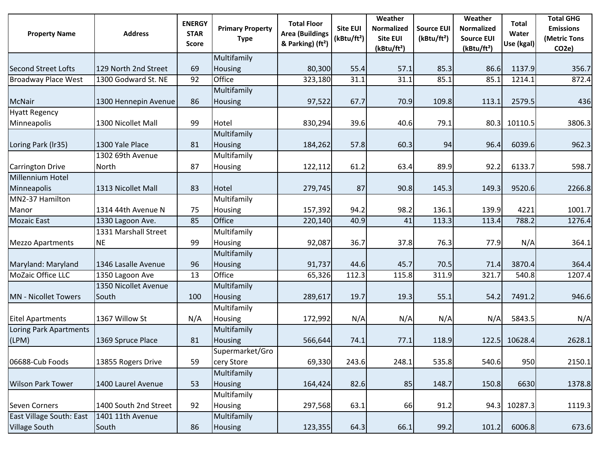| <b>Property Name</b>        | <b>Address</b>        | <b>ENERGY</b><br><b>STAR</b><br><b>Score</b> | <b>Primary Property</b><br><b>Type</b> | <b>Total Floor</b><br><b>Area (Buildings</b><br>& Parking) (ft <sup>2</sup> ) | <b>Site EUI</b><br>(kBtu/ft <sup>2</sup> ) | Weather<br><b>Normalized</b><br><b>Site EUI</b><br>(kBtu/ft <sup>2</sup> ) | <b>Source EUI</b><br>(kBtu/ft <sup>2</sup> ) | Weather<br><b>Normalized</b><br><b>Source EUI</b><br>(kBtu/ft <sup>2</sup> ) | Total<br>Water<br>Use (kgal) | <b>Total GHG</b><br><b>Emissions</b><br>(Metric Tons<br>CO <sub>2</sub> e) |
|-----------------------------|-----------------------|----------------------------------------------|----------------------------------------|-------------------------------------------------------------------------------|--------------------------------------------|----------------------------------------------------------------------------|----------------------------------------------|------------------------------------------------------------------------------|------------------------------|----------------------------------------------------------------------------|
|                             |                       |                                              | Multifamily                            |                                                                               |                                            |                                                                            |                                              |                                                                              |                              |                                                                            |
| <b>Second Street Lofts</b>  | 129 North 2nd Street  | 69                                           | Housing                                | 80,300                                                                        | 55.4                                       | 57.1                                                                       | 85.3                                         | 86.6                                                                         | 1137.9                       | 356.7                                                                      |
| <b>Broadway Place West</b>  | 1300 Godward St. NE   | 92                                           | Office                                 | 323,180                                                                       | 31.1                                       | 31.1                                                                       | 85.1                                         | 85.1                                                                         | 1214.1                       | 872.4                                                                      |
|                             |                       |                                              | Multifamily                            |                                                                               |                                            |                                                                            |                                              |                                                                              |                              |                                                                            |
| <b>McNair</b>               | 1300 Hennepin Avenue  | 86                                           | Housing                                | 97,522                                                                        | 67.7                                       | 70.9                                                                       | 109.8                                        | 113.1                                                                        | 2579.5                       | 436                                                                        |
| <b>Hyatt Regency</b>        |                       |                                              |                                        |                                                                               |                                            |                                                                            |                                              |                                                                              |                              |                                                                            |
| Minneapolis                 | 1300 Nicollet Mall    | 99                                           | Hotel                                  | 830,294                                                                       | 39.6                                       | 40.6                                                                       | 79.1                                         | 80.3                                                                         | 10110.5                      | 3806.3                                                                     |
|                             |                       |                                              | Multifamily                            |                                                                               |                                            |                                                                            |                                              |                                                                              |                              |                                                                            |
| Loring Park (Ir35)          | 1300 Yale Place       | 81                                           | Housing                                | 184,262                                                                       | 57.8                                       | 60.3                                                                       | 94                                           | 96.4                                                                         | 6039.6                       | 962.3                                                                      |
|                             | 1302 69th Avenue      |                                              | Multifamily                            |                                                                               |                                            |                                                                            |                                              |                                                                              |                              |                                                                            |
| <b>Carrington Drive</b>     | North                 | 87                                           | Housing                                | 122,112                                                                       | 61.2                                       | 63.4                                                                       | 89.9                                         | 92.2                                                                         | 6133.7                       | 598.7                                                                      |
| Millennium Hotel            |                       |                                              |                                        |                                                                               |                                            |                                                                            |                                              |                                                                              |                              |                                                                            |
| Minneapolis                 | 1313 Nicollet Mall    | 83                                           | Hotel                                  | 279,745                                                                       | 87                                         | 90.8                                                                       | 145.3                                        | 149.3                                                                        | 9520.6                       | 2266.8                                                                     |
| MN2-37 Hamilton             |                       |                                              | Multifamily                            |                                                                               |                                            |                                                                            |                                              |                                                                              |                              |                                                                            |
| Manor                       | 1314 44th Avenue N    | 75                                           | Housing                                | 157,392                                                                       | 94.2                                       | 98.2                                                                       | 136.1                                        | 139.9                                                                        | 4221                         | 1001.7                                                                     |
| <b>Mozaic East</b>          | 1330 Lagoon Ave.      | 85                                           | Office                                 | 220,140                                                                       | 40.9                                       | 41                                                                         | 113.3                                        | 113.4                                                                        | 788.2                        | 1276.4                                                                     |
|                             | 1331 Marshall Street  |                                              | Multifamily                            |                                                                               |                                            |                                                                            |                                              |                                                                              |                              |                                                                            |
| <b>Mezzo Apartments</b>     | <b>NE</b>             | 99                                           | Housing                                | 92,087                                                                        | 36.7                                       | 37.8                                                                       | 76.3                                         | 77.9                                                                         | N/A                          | 364.1                                                                      |
|                             |                       |                                              | Multifamily                            |                                                                               |                                            |                                                                            |                                              |                                                                              |                              |                                                                            |
| Maryland: Maryland          | 1346 Lasalle Avenue   | 96                                           | Housing                                | 91,737                                                                        | 44.6                                       | 45.7                                                                       | 70.5                                         | 71.4                                                                         | 3870.4                       | 364.4                                                                      |
| MoZaic Office LLC           | 1350 Lagoon Ave       | 13                                           | Office                                 | 65,326                                                                        | 112.3                                      | 115.8                                                                      | 311.9                                        | 321.7                                                                        | 540.8                        | 1207.4                                                                     |
|                             | 1350 Nicollet Avenue  |                                              | Multifamily                            |                                                                               |                                            |                                                                            |                                              |                                                                              |                              |                                                                            |
| <b>MN</b> - Nicollet Towers | South                 | 100                                          | Housing                                | 289,617                                                                       | 19.7                                       | 19.3                                                                       | 55.1                                         | 54.2                                                                         | 7491.2                       | 946.6                                                                      |
|                             |                       |                                              | Multifamily                            |                                                                               |                                            |                                                                            |                                              |                                                                              |                              |                                                                            |
| <b>Eitel Apartments</b>     | 1367 Willow St        | N/A                                          | Housing                                | 172,992                                                                       | N/A                                        | N/A                                                                        | N/A                                          | N/A                                                                          | 5843.5                       | N/A                                                                        |
| Loring Park Apartments      |                       |                                              | Multifamily                            |                                                                               |                                            |                                                                            |                                              |                                                                              |                              |                                                                            |
| (LPM)                       | 1369 Spruce Place     | 81                                           | Housing                                | 566,644                                                                       | 74.1                                       | 77.1                                                                       | 118.9                                        | 122.5                                                                        | 10628.4                      | 2628.1                                                                     |
|                             |                       |                                              | Supermarket/Gro                        |                                                                               |                                            |                                                                            |                                              |                                                                              |                              |                                                                            |
| 06688-Cub Foods             | 13855 Rogers Drive    | 59                                           | cery Store                             | 69,330                                                                        | 243.6                                      | 248.1                                                                      | 535.8                                        | 540.6                                                                        | 950                          | 2150.1                                                                     |
|                             |                       |                                              | Multifamily                            |                                                                               |                                            |                                                                            |                                              |                                                                              |                              |                                                                            |
| <b>Wilson Park Tower</b>    | 1400 Laurel Avenue    | 53                                           | Housing                                | 164,424                                                                       | 82.6                                       | 85                                                                         | 148.7                                        | 150.8                                                                        | 6630                         | 1378.8                                                                     |
|                             |                       |                                              | Multifamily                            |                                                                               |                                            |                                                                            |                                              |                                                                              |                              |                                                                            |
| Seven Corners               | 1400 South 2nd Street | 92                                           | Housing                                | 297,568                                                                       | 63.1                                       | 66                                                                         | 91.2                                         |                                                                              | 94.3 10287.3                 | 1119.3                                                                     |
| East Village South: East    | 1401 11th Avenue      |                                              | Multifamily                            |                                                                               |                                            |                                                                            |                                              |                                                                              |                              |                                                                            |
| <b>Village South</b>        | South                 | 86                                           | Housing                                | 123,355                                                                       | 64.3                                       | 66.1                                                                       | 99.2                                         | 101.2                                                                        | 6006.8                       | 673.6                                                                      |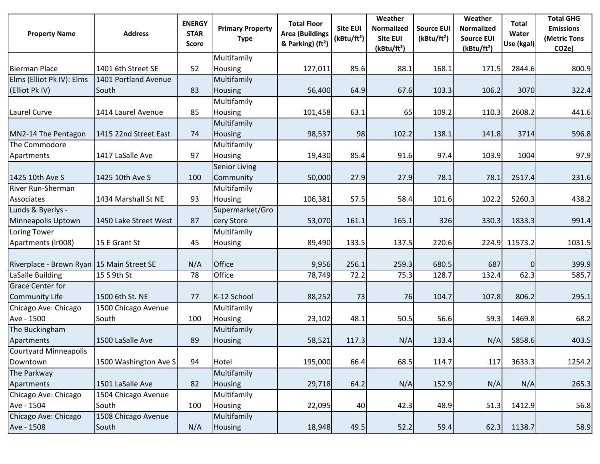| <b>Property Name</b>                        | <b>Address</b>        | <b>ENERGY</b><br><b>STAR</b><br><b>Score</b> | <b>Primary Property</b><br><b>Type</b> | <b>Total Floor</b><br><b>Area (Buildings</b><br>& Parking) (ft <sup>2</sup> ) | <b>Site EUI</b><br>(kBtu/ft <sup>2</sup> ) | Weather<br>Normalized<br>Site EUI<br>(kBtu/ft <sup>2</sup> ) | <b>Source EUI</b><br>(kBtu/ft <sup>2</sup> ) | Weather<br><b>Normalized</b><br><b>Source EUI</b><br>(kBtu/ft <sup>2</sup> ) | <b>Total</b><br>Water<br>Use (kgal) | <b>Total GHG</b><br><b>Emissions</b><br>(Metric Tons<br>CO <sub>2</sub> e) |
|---------------------------------------------|-----------------------|----------------------------------------------|----------------------------------------|-------------------------------------------------------------------------------|--------------------------------------------|--------------------------------------------------------------|----------------------------------------------|------------------------------------------------------------------------------|-------------------------------------|----------------------------------------------------------------------------|
|                                             |                       |                                              | Multifamily                            |                                                                               |                                            |                                                              |                                              |                                                                              |                                     |                                                                            |
| <b>Bierman Place</b>                        | 1401 6th Street SE    | 52                                           | Housing                                | 127,011                                                                       | 85.6                                       | 88.1                                                         | 168.1                                        | 171.5                                                                        | 2844.6                              | 800.9                                                                      |
| Elms (Elliot Pk IV): Elms                   | 1401 Portland Avenue  |                                              | Multifamily                            |                                                                               |                                            |                                                              |                                              |                                                                              |                                     |                                                                            |
| (Elliot Pk IV)                              | South                 | 83                                           | Housing                                | 56,400                                                                        | 64.9                                       | 67.6                                                         | 103.3                                        | 106.2                                                                        | 3070                                | 322.4                                                                      |
|                                             |                       |                                              | Multifamily                            |                                                                               |                                            |                                                              |                                              |                                                                              |                                     |                                                                            |
| Laurel Curve                                | 1414 Laurel Avenue    | 85                                           | Housing                                | 101,458                                                                       | 63.1                                       | 65                                                           | 109.2                                        | 110.3                                                                        | 2608.2                              | 441.6                                                                      |
|                                             |                       |                                              | Multifamily                            |                                                                               |                                            |                                                              |                                              |                                                                              |                                     |                                                                            |
| MN2-14 The Pentagon                         | 1415 22nd Street East | 74                                           | <b>Housing</b>                         | 98,537                                                                        | 98                                         | 102.2                                                        | 138.1                                        | 141.8                                                                        | 3714                                | 596.8                                                                      |
| The Commodore                               |                       |                                              | Multifamily                            |                                                                               |                                            |                                                              |                                              |                                                                              |                                     |                                                                            |
| Apartments                                  | 1417 LaSalle Ave      | 97                                           | Housing                                | 19,430                                                                        | 85.4                                       | 91.6                                                         | 97.4                                         | 103.9                                                                        | 1004                                | 97.9                                                                       |
|                                             |                       |                                              | Senior Living                          |                                                                               |                                            |                                                              |                                              |                                                                              |                                     |                                                                            |
| 1425 10th Ave S                             | 1425 10th Ave S       | 100                                          | Community                              | 50,000                                                                        | 27.9                                       | 27.9                                                         | 78.1                                         | 78.1                                                                         | 2517.4                              | 231.6                                                                      |
| River Run-Sherman                           |                       |                                              | Multifamily                            |                                                                               |                                            |                                                              |                                              |                                                                              |                                     |                                                                            |
| Associates                                  | 1434 Marshall St NE   | 93                                           | Housing                                | 106,381                                                                       | 57.5                                       | 58.4                                                         | 101.6                                        | 102.2                                                                        | 5260.3                              | 438.2                                                                      |
| Lunds & Byerlys -                           |                       |                                              | Supermarket/Gro                        |                                                                               |                                            |                                                              |                                              |                                                                              |                                     |                                                                            |
| Minneapolis Uptown                          | 1450 Lake Street West | 87                                           | cery Store                             | 53,070                                                                        | 161.1                                      | 165.1                                                        | 326                                          | 330.3                                                                        | 1833.3                              | 991.4                                                                      |
| Loring Tower                                |                       |                                              | Multifamily                            |                                                                               |                                            |                                                              |                                              |                                                                              |                                     |                                                                            |
| Apartments (Ir008)                          | 15 E Grant St         | 45                                           | Housing                                | 89,490                                                                        | 133.5                                      | 137.5                                                        | 220.6                                        |                                                                              | 224.9 11573.2                       | 1031.5                                                                     |
| Riverplace - Brown Ryan   15 Main Street SE |                       | N/A                                          | Office                                 | 9,956                                                                         | 256.1                                      | 259.3                                                        | 680.5                                        | 687                                                                          | $\overline{0}$                      | 399.9                                                                      |
| LaSalle Building                            | 15 S 9th St           | 78                                           | Office                                 | 78,749                                                                        | 72.2                                       | 75.3                                                         | 128.7                                        | 132.4                                                                        | 62.3                                | 585.7                                                                      |
| <b>Grace Center for</b>                     |                       |                                              |                                        |                                                                               |                                            |                                                              |                                              |                                                                              |                                     |                                                                            |
| <b>Community Life</b>                       | 1500 6th St. NE       | 77                                           | K-12 School                            | 88,252                                                                        | 73                                         | 76                                                           | 104.7                                        | 107.8                                                                        | 806.2                               | 295.1                                                                      |
| Chicago Ave: Chicago                        | 1500 Chicago Avenue   |                                              | Multifamily                            |                                                                               |                                            |                                                              |                                              |                                                                              |                                     |                                                                            |
| Ave - 1500                                  | South                 | 100                                          | Housing                                | 23,102                                                                        | 48.1                                       | 50.5                                                         | 56.6                                         | 59.3                                                                         | 1469.8                              | 68.2                                                                       |
| The Buckingham                              |                       |                                              | Multifamily                            |                                                                               |                                            |                                                              |                                              |                                                                              |                                     |                                                                            |
| Apartments                                  | 1500 LaSalle Ave      | 89                                           | Housing                                | 58,521                                                                        | 117.3                                      | N/A                                                          | 133.4                                        | N/A                                                                          | 5858.6                              | 403.5                                                                      |
| <b>Courtyard Minneapolis</b>                |                       |                                              |                                        |                                                                               |                                            |                                                              |                                              |                                                                              |                                     |                                                                            |
| Downtown                                    | 1500 Washington Ave S | 94                                           | Hotel                                  | 195,000                                                                       | 66.4                                       | 68.5                                                         | 114.7                                        | 117                                                                          | 3633.3                              | 1254.2                                                                     |
| The Parkway                                 |                       |                                              | Multifamily                            |                                                                               |                                            |                                                              |                                              |                                                                              |                                     |                                                                            |
| Apartments                                  | 1501 LaSalle Ave      | 82                                           | Housing                                | 29,718                                                                        | 64.2                                       | N/A                                                          | 152.9                                        | N/A                                                                          | N/A                                 | 265.3                                                                      |
| Chicago Ave: Chicago                        | 1504 Chicago Avenue   |                                              | Multifamily                            |                                                                               |                                            |                                                              |                                              |                                                                              |                                     |                                                                            |
| Ave - 1504                                  | South                 | 100                                          | Housing                                | 22,095                                                                        | 40                                         | 42.3                                                         | 48.9                                         | 51.3                                                                         | 1412.9                              | 56.8                                                                       |
| Chicago Ave: Chicago                        | 1508 Chicago Avenue   |                                              | Multifamily                            |                                                                               |                                            |                                                              |                                              |                                                                              |                                     |                                                                            |
| Ave - 1508                                  | South                 | N/A                                          | <b>Housing</b>                         | 18,948                                                                        | 49.5                                       | 52.2                                                         | 59.4                                         | 62.3                                                                         | 1138.7                              | 58.9                                                                       |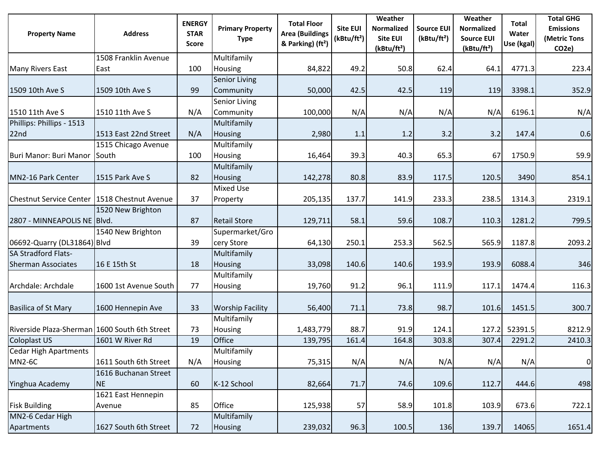| <b>Property Name</b>                           | <b>Address</b>               | <b>ENERGY</b><br><b>STAR</b><br><b>Score</b> | <b>Primary Property</b><br><b>Type</b> | <b>Total Floor</b><br><b>Area (Buildings</b><br>& Parking) (ft <sup>2</sup> ) | <b>Site EUI</b><br>(kBtu/ft <sup>2</sup> ) | Weather<br><b>Normalized</b><br><b>Site EUI</b><br>(kBtu/ft <sup>2</sup> ) | <b>Source EUI</b><br>(kBtu/ft <sup>2</sup> ) | Weather<br><b>Normalized</b><br><b>Source EUI</b><br>(kBtu/ft <sup>2</sup> ) | <b>Total</b><br>Water<br>Use (kgal) | <b>Total GHG</b><br><b>Emissions</b><br>(Metric Tons<br>CO <sub>2</sub> e) |
|------------------------------------------------|------------------------------|----------------------------------------------|----------------------------------------|-------------------------------------------------------------------------------|--------------------------------------------|----------------------------------------------------------------------------|----------------------------------------------|------------------------------------------------------------------------------|-------------------------------------|----------------------------------------------------------------------------|
|                                                | 1508 Franklin Avenue         |                                              | Multifamily                            |                                                                               |                                            |                                                                            |                                              |                                                                              |                                     |                                                                            |
| Many Rivers East                               | East                         | 100                                          | <b>Housing</b>                         | 84,822                                                                        | 49.2                                       | 50.8                                                                       | 62.4                                         | 64.1                                                                         | 4771.3                              | 223.4                                                                      |
| 1509 10th Ave S                                | 1509 10th Ave S              | 99                                           | <b>Senior Living</b><br>Community      | 50,000                                                                        | 42.5                                       | 42.5                                                                       | 119                                          | 119                                                                          | 3398.1                              | 352.9                                                                      |
|                                                |                              |                                              | Senior Living                          |                                                                               |                                            |                                                                            |                                              |                                                                              |                                     |                                                                            |
| 1510 11th Ave S                                | 1510 11th Ave S              | N/A                                          | Community                              | 100,000                                                                       | N/A                                        | N/A                                                                        | N/A                                          | N/A                                                                          | 6196.1                              | N/A                                                                        |
| Phillips: Phillips - 1513                      |                              |                                              | Multifamily                            |                                                                               |                                            |                                                                            |                                              |                                                                              |                                     |                                                                            |
| 22nd                                           | 1513 East 22nd Street        | N/A                                          | <b>Housing</b>                         | 2,980                                                                         | 1.1                                        | 1.2                                                                        | 3.2                                          | 3.2                                                                          | 147.4                               | 0.6                                                                        |
|                                                | 1515 Chicago Avenue          |                                              | Multifamily                            |                                                                               |                                            |                                                                            |                                              |                                                                              |                                     |                                                                            |
| Buri Manor: Buri Manor                         | South                        | 100                                          | <b>Housing</b>                         | 16,464                                                                        | 39.3                                       | 40.3                                                                       | 65.3                                         | 67                                                                           | 1750.9                              | 59.9                                                                       |
|                                                |                              |                                              | Multifamily                            |                                                                               |                                            |                                                                            |                                              |                                                                              |                                     |                                                                            |
| MN2-16 Park Center                             | 1515 Park Ave S              | 82                                           | <b>Housing</b>                         | 142,278                                                                       | 80.8                                       | 83.9                                                                       | 117.5                                        | 120.5                                                                        | 3490                                | 854.1                                                                      |
| Chestnut Service Center   1518 Chestnut Avenue |                              | 37                                           | <b>Mixed Use</b><br>Property           | 205,135                                                                       | 137.7                                      | 141.9                                                                      | 233.3                                        | 238.5                                                                        | 1314.3                              | 2319.1                                                                     |
|                                                | 1520 New Brighton            |                                              |                                        |                                                                               |                                            |                                                                            |                                              |                                                                              |                                     |                                                                            |
| 2807 - MINNEAPOLIS NE Blvd.                    |                              | 87                                           | <b>Retail Store</b>                    | 129,711                                                                       | 58.1                                       | 59.6                                                                       | 108.7                                        | 110.3                                                                        | 1281.2                              | 799.5                                                                      |
|                                                | 1540 New Brighton            |                                              | Supermarket/Gro                        |                                                                               |                                            |                                                                            |                                              |                                                                              |                                     |                                                                            |
| 06692-Quarry (DL31864) Blvd                    |                              | 39                                           | cery Store                             | 64,130                                                                        | 250.1                                      | 253.3                                                                      | 562.5                                        | 565.9                                                                        | 1187.8                              | 2093.2                                                                     |
| <b>SA Stradford Flats-</b>                     |                              |                                              | Multifamily                            |                                                                               |                                            |                                                                            |                                              |                                                                              |                                     |                                                                            |
| <b>Sherman Associates</b>                      | 16 E 15th St                 | 18                                           | <b>Housing</b>                         | 33,098                                                                        | 140.6                                      | 140.6                                                                      | 193.9                                        | 193.9                                                                        | 6088.4                              | 346                                                                        |
| Archdale: Archdale                             | 1600 1st Avenue South        | 77                                           | Multifamily<br>Housing                 | 19,760                                                                        | 91.2                                       | 96.1                                                                       | 111.9                                        | 117.1                                                                        | 1474.4                              | 116.3                                                                      |
|                                                |                              |                                              |                                        |                                                                               |                                            |                                                                            |                                              |                                                                              |                                     |                                                                            |
| <b>Basilica of St Mary</b>                     | 1600 Hennepin Ave            | 33                                           | <b>Worship Facility</b>                | 56,400                                                                        | 71.1                                       | 73.8                                                                       | 98.7                                         | 101.6                                                                        | 1451.5                              | 300.7                                                                      |
|                                                |                              |                                              | Multifamily                            |                                                                               |                                            |                                                                            |                                              |                                                                              |                                     |                                                                            |
| Riverside Plaza-Sherman 1600 South 6th Street  |                              | 73                                           | Housing                                | 1,483,779                                                                     | 88.7                                       | 91.9                                                                       | 124.1                                        | 127.2                                                                        | 52391.5                             | 8212.9                                                                     |
| Coloplast US                                   | 1601 W River Rd              | 19                                           | Office                                 | 139,795                                                                       | 161.4                                      | 164.8                                                                      | 303.8                                        | 307.4                                                                        | 2291.2                              | 2410.3                                                                     |
| <b>Cedar High Apartments</b>                   |                              |                                              | Multifamily                            |                                                                               |                                            |                                                                            |                                              |                                                                              |                                     |                                                                            |
| <b>MN2-6C</b>                                  | 1611 South 6th Street        | N/A                                          | Housing                                | 75,315                                                                        | N/A                                        | N/A                                                                        | N/A                                          | N/A                                                                          | N/A                                 | $\overline{0}$                                                             |
|                                                | 1616 Buchanan Street         |                                              |                                        |                                                                               |                                            |                                                                            |                                              |                                                                              |                                     |                                                                            |
| Yinghua Academy                                | <b>NE</b>                    | 60                                           | K-12 School                            | 82,664                                                                        | 71.7                                       | 74.6                                                                       | 109.6                                        | 112.7                                                                        | 444.6                               | 498                                                                        |
| <b>Fisk Building</b>                           | 1621 East Hennepin<br>Avenue | 85                                           | Office                                 | 125,938                                                                       | 57                                         | 58.9                                                                       | 101.8                                        | 103.9                                                                        | 673.6                               | 722.1                                                                      |
| MN2-6 Cedar High                               |                              |                                              | Multifamily                            |                                                                               |                                            |                                                                            |                                              |                                                                              |                                     |                                                                            |
| Apartments                                     | 1627 South 6th Street        | 72                                           | Housing                                | 239,032                                                                       | 96.3                                       | 100.5                                                                      | 136                                          | 139.7                                                                        | 14065                               | 1651.4                                                                     |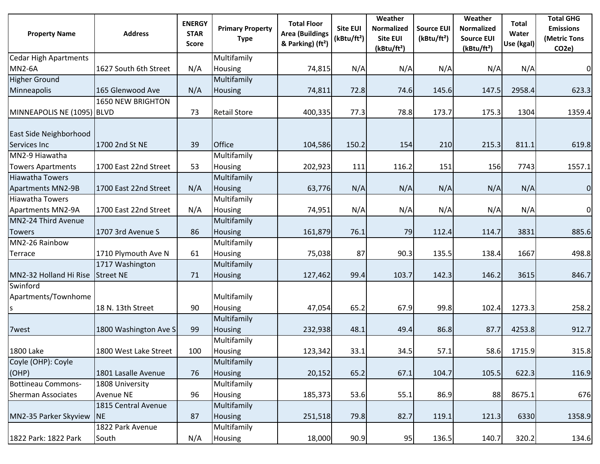| <b>Property Name</b>                               | <b>Address</b>        | <b>ENERGY</b><br><b>STAR</b><br><b>Score</b> | <b>Primary Property</b><br><b>Type</b> | <b>Total Floor</b><br><b>Area (Buildings</b><br>& Parking) (ft <sup>2</sup> ) | <b>Site EUI</b><br>(kBtu/ft <sup>2</sup> ) | Weather<br>Normalized<br><b>Site EUI</b><br>(kBtu/ft <sup>2</sup> ) | <b>Source EUI</b><br>(kBtu/ft <sup>2</sup> ) | Weather<br><b>Normalized</b><br><b>Source EUI</b><br>(kBtu/ft <sup>2</sup> ) | <b>Total</b><br>Water<br>Use (kgal) | <b>Total GHG</b><br><b>Emissions</b><br>(Metric Tons<br>CO <sub>2e</sub> ) |
|----------------------------------------------------|-----------------------|----------------------------------------------|----------------------------------------|-------------------------------------------------------------------------------|--------------------------------------------|---------------------------------------------------------------------|----------------------------------------------|------------------------------------------------------------------------------|-------------------------------------|----------------------------------------------------------------------------|
| <b>Cedar High Apartments</b>                       |                       |                                              | Multifamily                            |                                                                               |                                            |                                                                     |                                              |                                                                              |                                     |                                                                            |
| <b>MN2-6A</b>                                      | 1627 South 6th Street | N/A                                          | Housing                                | 74,815                                                                        | N/A                                        | N/A                                                                 | N/A                                          | N/A                                                                          | N/A                                 | $\overline{0}$                                                             |
| <b>Higher Ground</b>                               |                       |                                              | Multifamily                            |                                                                               |                                            |                                                                     |                                              |                                                                              |                                     |                                                                            |
| Minneapolis                                        | 165 Glenwood Ave      | N/A                                          | <b>Housing</b>                         | 74,811                                                                        | 72.8                                       | 74.6                                                                | 145.6                                        | 147.5                                                                        | 2958.4                              | 623.3                                                                      |
| MINNEAPOLIS NE (1095) BLVD                         | 1650 NEW BRIGHTON     | 73                                           | <b>Retail Store</b>                    | 400,335                                                                       | 77.3                                       | 78.8                                                                | 173.7                                        | 175.3                                                                        | 1304                                | 1359.4                                                                     |
| East Side Neighborhood<br>Services Inc             | 1700 2nd St NE        | 39                                           | Office                                 | 104,586                                                                       | 150.2                                      | 154                                                                 | 210                                          | 215.3                                                                        | 811.1                               | 619.8                                                                      |
| MN2-9 Hiawatha                                     |                       |                                              | Multifamily                            |                                                                               |                                            |                                                                     |                                              |                                                                              |                                     |                                                                            |
| <b>Towers Apartments</b>                           | 1700 East 22nd Street | 53                                           | Housing                                | 202,923                                                                       | 111                                        | 116.2                                                               | 151                                          | 156                                                                          | 7743                                | 1557.1                                                                     |
| <b>Hiawatha Towers</b><br><b>Apartments MN2-9B</b> | 1700 East 22nd Street | N/A                                          | Multifamily<br>Housing                 | 63,776                                                                        | N/A                                        | N/A                                                                 | N/A                                          | N/A                                                                          | N/A                                 | $\overline{0}$                                                             |
| <b>Hiawatha Towers</b>                             |                       |                                              | Multifamily                            |                                                                               |                                            |                                                                     |                                              |                                                                              |                                     |                                                                            |
| Apartments MN2-9A                                  | 1700 East 22nd Street | N/A                                          | Housing                                | 74,951                                                                        | N/A                                        | N/A                                                                 | N/A                                          | N/A                                                                          | N/A                                 | $\overline{0}$                                                             |
| MN2-24 Third Avenue                                |                       |                                              | Multifamily                            |                                                                               |                                            |                                                                     |                                              |                                                                              |                                     |                                                                            |
| <b>Towers</b>                                      | 1707 3rd Avenue S     | 86                                           | Housing                                | 161,879                                                                       | 76.1                                       | 79                                                                  | 112.4                                        | 114.7                                                                        | 3831                                | 885.6                                                                      |
| MN2-26 Rainbow                                     |                       |                                              | Multifamily                            |                                                                               |                                            |                                                                     |                                              |                                                                              |                                     |                                                                            |
| Terrace                                            | 1710 Plymouth Ave N   | 61                                           | Housing                                | 75,038                                                                        | 87                                         | 90.3                                                                | 135.5                                        | 138.4                                                                        | 1667                                | 498.8                                                                      |
|                                                    | 1717 Washington       |                                              | Multifamily                            |                                                                               |                                            |                                                                     |                                              |                                                                              |                                     |                                                                            |
| MN2-32 Holland Hi Rise                             | <b>Street NE</b>      | 71                                           | Housing                                | 127,462                                                                       | 99.4                                       | 103.7                                                               | 142.3                                        | 146.2                                                                        | 3615                                | 846.7                                                                      |
| Swinford<br>Apartments/Townhome                    |                       |                                              | Multifamily                            |                                                                               |                                            |                                                                     |                                              |                                                                              |                                     |                                                                            |
| ${\sf s}$                                          | 18 N. 13th Street     | 90                                           | Housing                                | 47,054                                                                        | 65.2                                       | 67.9                                                                | 99.8                                         | 102.4                                                                        | 1273.3                              | 258.2                                                                      |
| 7west                                              | 1800 Washington Ave S | 99                                           | Multifamily<br>Housing                 | 232,938                                                                       | 48.1                                       | 49.4                                                                | 86.8                                         | 87.7                                                                         | 4253.8                              | 912.7                                                                      |
| 1800 Lake                                          |                       |                                              | Multifamily                            |                                                                               |                                            |                                                                     |                                              |                                                                              |                                     | 315.8                                                                      |
| Coyle (OHP): Coyle                                 | 1800 West Lake Street | 100                                          | Housing<br>Multifamily                 | 123,342                                                                       | 33.1                                       | 34.5                                                                | 57.1                                         | 58.6                                                                         | 1715.9                              |                                                                            |
| (OHP)                                              | 1801 Lasalle Avenue   | 76                                           | Housing                                | 20,152                                                                        | 65.2                                       | 67.1                                                                | 104.7                                        | 105.5                                                                        | 622.3                               | 116.9                                                                      |
| Bottineau Commons-                                 | 1808 University       |                                              | Multifamily                            |                                                                               |                                            |                                                                     |                                              |                                                                              |                                     |                                                                            |
| Sherman Associates                                 | Avenue NE             | 96                                           | Housing                                | 185,373                                                                       | 53.6                                       | 55.1                                                                | 86.9                                         | 88                                                                           | 8675.1                              | 676                                                                        |
|                                                    | 1815 Central Avenue   |                                              | Multifamily                            |                                                                               |                                            |                                                                     |                                              |                                                                              |                                     |                                                                            |
| MN2-35 Parker Skyview                              | INE.                  | 87                                           | Housing                                | 251,518                                                                       | 79.8                                       | 82.7                                                                | 119.1                                        | 121.3                                                                        | 6330                                | 1358.9                                                                     |
|                                                    | 1822 Park Avenue      |                                              | Multifamily                            |                                                                               |                                            |                                                                     |                                              |                                                                              |                                     |                                                                            |
| 1822 Park: 1822 Park                               | South                 | N/A                                          | Housing                                | 18,000                                                                        | 90.9                                       | 95                                                                  | 136.5                                        | 140.7                                                                        | 320.2                               | 134.6                                                                      |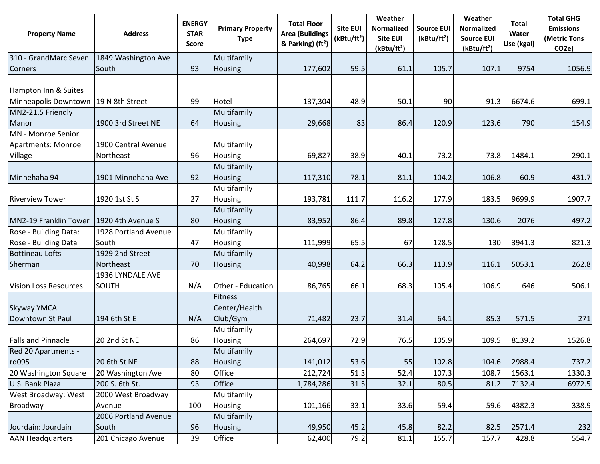| <b>Property Name</b>                                           | <b>Address</b>                   | <b>ENERGY</b><br><b>STAR</b><br><b>Score</b> | <b>Primary Property</b><br><b>Type</b> | <b>Total Floor</b><br><b>Area (Buildings</b><br>& Parking) (ft <sup>2</sup> ) | <b>Site EUI</b><br>(kBtu/ft <sup>2</sup> ) | Weather<br><b>Normalized</b><br><b>Site EUI</b><br>(kBtu/ft <sup>2</sup> ) | <b>Source EUI</b><br>(kBtu/ft <sup>2</sup> ) | Weather<br>Normalized<br><b>Source EUI</b><br>(kBtu/ft <sup>2</sup> ) | Total<br>Water<br>Use (kgal) | <b>Total GHG</b><br><b>Emissions</b><br>(Metric Tons<br>CO <sub>2</sub> e) |
|----------------------------------------------------------------|----------------------------------|----------------------------------------------|----------------------------------------|-------------------------------------------------------------------------------|--------------------------------------------|----------------------------------------------------------------------------|----------------------------------------------|-----------------------------------------------------------------------|------------------------------|----------------------------------------------------------------------------|
| 310 - GrandMarc Seven                                          | 1849 Washington Ave              |                                              | Multifamily                            |                                                                               |                                            |                                                                            |                                              |                                                                       |                              |                                                                            |
| <b>Corners</b>                                                 | South                            | 93                                           | Housing                                | 177,602                                                                       | 59.5                                       | 61.1                                                                       | 105.7                                        | 107.1                                                                 | 9754                         | 1056.9                                                                     |
| Hampton Inn & Suites<br>Minneapolis Downtown   19 N 8th Street |                                  | 99                                           | Hotel                                  | 137,304                                                                       | 48.9                                       | 50.1                                                                       | 90                                           | 91.3                                                                  | 6674.6                       | 699.1                                                                      |
| MN2-21.5 Friendly                                              |                                  |                                              | Multifamily                            |                                                                               |                                            |                                                                            |                                              |                                                                       |                              |                                                                            |
| Manor                                                          | 1900 3rd Street NE               | 64                                           | <b>Housing</b>                         | 29,668                                                                        | 83                                         | 86.4                                                                       | 120.9                                        | 123.6                                                                 | 790                          | 154.9                                                                      |
| MN - Monroe Senior<br>Apartments: Monroe<br>Village            | 1900 Central Avenue<br>Northeast | 96                                           | Multifamily<br>Housing                 | 69,827                                                                        | 38.9                                       | 40.1                                                                       | 73.2                                         | 73.8                                                                  | 1484.1                       | 290.1                                                                      |
| Minnehaha 94                                                   | 1901 Minnehaha Ave               | 92                                           | Multifamily<br>Housing                 | 117,310                                                                       | 78.1                                       | 81.1                                                                       | 104.2                                        | 106.8                                                                 | 60.9                         | 431.7                                                                      |
| <b>Riverview Tower</b>                                         | 1920 1st St S                    | 27                                           | Multifamily<br>Housing                 | 193,781                                                                       | 111.7                                      | 116.2                                                                      | 177.9                                        | 183.5                                                                 | 9699.9                       | 1907.7                                                                     |
| MN2-19 Franklin Tower                                          | 1920 4th Avenue S                | 80                                           | Multifamily<br>Housing                 | 83,952                                                                        | 86.4                                       | 89.8                                                                       | 127.8                                        | 130.6                                                                 | 2076                         | 497.2                                                                      |
| Rose - Building Data:<br>Rose - Building Data                  | 1928 Portland Avenue<br>South    | 47                                           | Multifamily<br>Housing                 | 111,999                                                                       | 65.5                                       | 67                                                                         | 128.5                                        | 130                                                                   | 3941.3                       | 821.3                                                                      |
| <b>Bottineau Lofts-</b><br>Sherman                             | 1929 2nd Street<br>Northeast     | 70                                           | Multifamily<br>Housing                 | 40,998                                                                        | 64.2                                       | 66.3                                                                       | 113.9                                        | 116.1                                                                 | 5053.1                       | 262.8                                                                      |
| <b>Vision Loss Resources</b>                                   | 1936 LYNDALE AVE<br><b>SOUTH</b> | N/A                                          | Other - Education                      | 86,765                                                                        | 66.1                                       | 68.3                                                                       | 105.4                                        | 106.9                                                                 | 646                          | 506.1                                                                      |
| <b>Skyway YMCA</b><br>Downtown St Paul                         | 194 6th St E                     | N/A                                          | Fitness<br>Center/Health<br>Club/Gym   | 71,482                                                                        | 23.7                                       | 31.4                                                                       | 64.1                                         | 85.3                                                                  | 571.5                        | 271                                                                        |
| <b>Falls and Pinnacle</b>                                      | 20 2nd St NE                     | 86                                           | Multifamily<br>Housing                 | 264,697                                                                       | 72.9                                       | 76.5                                                                       | 105.9                                        | 109.5                                                                 | 8139.2                       | 1526.8                                                                     |
| Red 20 Apartments -<br>rd095                                   | 20 6th St NE                     | 88                                           | Multifamily<br>Housing                 | 141,012                                                                       | 53.6                                       | 55                                                                         | 102.8                                        | 104.6                                                                 | 2988.4                       | 737.2                                                                      |
| 20 Washington Square                                           | 20 Washington Ave                | 80                                           | Office                                 | 212,724                                                                       | 51.3                                       | 52.4                                                                       | 107.3                                        | 108.7                                                                 | 1563.1                       | 1330.3                                                                     |
| U.S. Bank Plaza                                                | 200 S. 6th St.                   | 93                                           | Office                                 | 1,784,286                                                                     | 31.5                                       | 32.1                                                                       | 80.5                                         | 81.2                                                                  | 7132.4                       | 6972.5                                                                     |
| West Broadway: West<br>Broadway                                | 2000 West Broadway<br>Avenue     | 100                                          | Multifamily<br>Housing                 | 101,166                                                                       | 33.1                                       | 33.6                                                                       | 59.4                                         | 59.6                                                                  | 4382.3                       | 338.9                                                                      |
| Jourdain: Jourdain                                             | 2006 Portland Avenue<br>South    | 96                                           | Multifamily<br>Housing                 | 49,950                                                                        | 45.2                                       | 45.8                                                                       | 82.2                                         | 82.5                                                                  | 2571.4                       | 232                                                                        |
| <b>AAN Headquarters</b>                                        | 201 Chicago Avenue               | 39                                           | Office                                 | 62,400                                                                        | 79.2                                       | 81.1                                                                       | 155.7                                        | 157.7                                                                 | 428.8                        | 554.7                                                                      |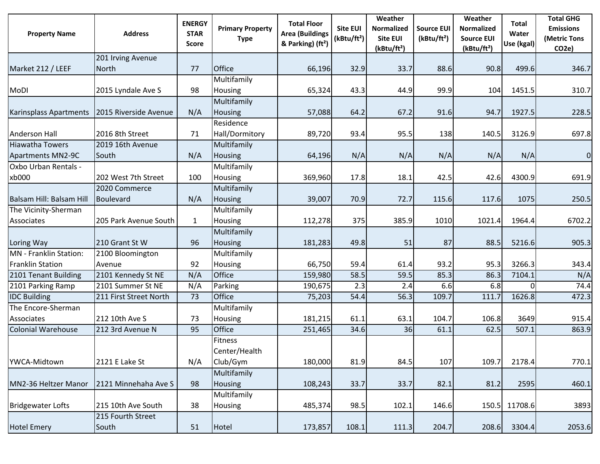| <b>Property Name</b>                           | <b>Address</b>         | <b>ENERGY</b><br><b>STAR</b><br><b>Score</b> | <b>Primary Property</b><br><b>Type</b> | <b>Total Floor</b><br><b>Area (Buildings</b><br>& Parking) (ft <sup>2</sup> ) | <b>Site EUI</b><br>(kBtu/ft <sup>2</sup> ) | Weather<br><b>Normalized</b><br><b>Site EUI</b><br>(kBtu/ft <sup>2</sup> ) | <b>Source EUI</b><br>(kBtu/ft <sup>2</sup> ) | Weather<br><b>Normalized</b><br><b>Source EUI</b><br>(kBtu/ft <sup>2</sup> ) | Total<br>Water<br>Use (kgal) | <b>Total GHG</b><br><b>Emissions</b><br>(Metric Tons<br>CO <sub>2</sub> e) |
|------------------------------------------------|------------------------|----------------------------------------------|----------------------------------------|-------------------------------------------------------------------------------|--------------------------------------------|----------------------------------------------------------------------------|----------------------------------------------|------------------------------------------------------------------------------|------------------------------|----------------------------------------------------------------------------|
|                                                | 201 Irving Avenue      |                                              |                                        |                                                                               |                                            |                                                                            |                                              |                                                                              |                              |                                                                            |
| Market 212 / LEEF                              | <b>North</b>           | 77                                           | Office                                 | 66,196                                                                        | 32.9                                       | 33.7                                                                       | 88.6                                         | 90.8                                                                         | 499.6                        | 346.7                                                                      |
|                                                |                        |                                              | Multifamily                            |                                                                               |                                            |                                                                            |                                              |                                                                              |                              |                                                                            |
| MoDI                                           | 2015 Lyndale Ave S     | 98                                           | Housing                                | 65,324                                                                        | 43.3                                       | 44.9                                                                       | 99.9                                         | 104                                                                          | 1451.5                       | 310.7                                                                      |
|                                                |                        |                                              | Multifamily                            |                                                                               |                                            |                                                                            |                                              |                                                                              |                              |                                                                            |
| Karinsplass Apartments   2015 Riverside Avenue |                        | N/A                                          | Housing                                | 57,088                                                                        | 64.2                                       | 67.2                                                                       | 91.6                                         | 94.7                                                                         | 1927.5                       | 228.5                                                                      |
|                                                |                        |                                              | Residence                              |                                                                               |                                            |                                                                            |                                              |                                                                              |                              |                                                                            |
| <b>Anderson Hall</b>                           | 2016 8th Street        | 71                                           | Hall/Dormitory                         | 89,720                                                                        | 93.4                                       | 95.5                                                                       | 138                                          | 140.5                                                                        | 3126.9                       | 697.8                                                                      |
| <b>Hiawatha Towers</b>                         | 2019 16th Avenue       |                                              | Multifamily                            |                                                                               |                                            |                                                                            |                                              |                                                                              |                              |                                                                            |
| Apartments MN2-9C                              | South                  | N/A                                          | Housing                                | 64,196                                                                        | N/A                                        | N/A                                                                        | N/A                                          | N/A                                                                          | N/A                          | $\overline{0}$                                                             |
| Oxbo Urban Rentals -                           |                        |                                              | Multifamily                            |                                                                               |                                            |                                                                            |                                              |                                                                              |                              |                                                                            |
| xb000                                          | 202 West 7th Street    | 100                                          | Housing                                | 369,960                                                                       | 17.8                                       | 18.1                                                                       | 42.5                                         | 42.6                                                                         | 4300.9                       | 691.9                                                                      |
|                                                | 2020 Commerce          |                                              | Multifamily                            |                                                                               |                                            |                                                                            |                                              |                                                                              |                              |                                                                            |
| Balsam Hill: Balsam Hill                       | Boulevard              | N/A                                          | Housing                                | 39,007                                                                        | 70.9                                       | 72.7                                                                       | 115.6                                        | 117.6                                                                        | 1075                         | 250.5                                                                      |
| The Vicinity-Sherman                           |                        |                                              | Multifamily                            |                                                                               |                                            |                                                                            |                                              |                                                                              |                              |                                                                            |
| Associates                                     | 205 Park Avenue South  | $\mathbf{1}$                                 | Housing                                | 112,278                                                                       | 375                                        | 385.9                                                                      | 1010                                         | 1021.4                                                                       | 1964.4                       | 6702.2                                                                     |
|                                                |                        |                                              | Multifamily                            |                                                                               |                                            |                                                                            |                                              |                                                                              |                              |                                                                            |
| Loring Way                                     | 210 Grant St W         | 96                                           | Housing                                | 181,283                                                                       | 49.8                                       | 51                                                                         | 87                                           | 88.5                                                                         | 5216.6                       | 905.3                                                                      |
| MN - Franklin Station:                         | 2100 Bloomington       |                                              | Multifamily                            |                                                                               |                                            |                                                                            |                                              |                                                                              |                              |                                                                            |
| <b>Franklin Station</b>                        | Avenue                 | 92                                           | Housing                                | 66,750                                                                        | 59.4                                       | 61.4                                                                       | 93.2                                         | 95.3                                                                         | 3266.3                       | 343.4                                                                      |
| 2101 Tenant Building                           | 2101 Kennedy St NE     | N/A                                          | Office                                 | 159,980                                                                       | 58.5                                       | 59.5                                                                       | 85.3                                         | 86.3                                                                         | 7104.1                       | N/A                                                                        |
| 2101 Parking Ramp                              | 2101 Summer St NE      | N/A                                          | Parking                                | 190,675                                                                       | 2.3                                        | 2.4                                                                        | 6.6                                          | 6.8                                                                          | $\overline{0}$               | 74.4                                                                       |
| <b>IDC Building</b>                            | 211 First Street North | 73                                           | Office                                 | 75,203                                                                        | 54.4                                       | 56.3                                                                       | 109.7                                        | 111.7                                                                        | 1626.8                       | 472.3                                                                      |
| The Encore-Sherman                             |                        |                                              | Multifamily                            |                                                                               |                                            |                                                                            |                                              |                                                                              |                              |                                                                            |
| Associates                                     | 212 10th Ave S         | 73                                           | Housing                                | 181,215                                                                       | 61.1                                       | 63.1                                                                       | 104.7                                        | 106.8                                                                        | 3649                         | 915.4                                                                      |
| <b>Colonial Warehouse</b>                      | 212 3rd Avenue N       | 95                                           | Office                                 | 251,465                                                                       | 34.6                                       | 36                                                                         | 61.1                                         | 62.5                                                                         | 507.1                        | 863.9                                                                      |
|                                                |                        |                                              | <b>Fitness</b>                         |                                                                               |                                            |                                                                            |                                              |                                                                              |                              |                                                                            |
|                                                |                        |                                              | Center/Health                          |                                                                               |                                            |                                                                            |                                              |                                                                              |                              |                                                                            |
| YWCA-Midtown                                   | 2121 E Lake St         | N/A                                          | Club/Gym                               | 180,000                                                                       | 81.9                                       | 84.5                                                                       | 107                                          | 109.7                                                                        | 2178.4                       | 770.1                                                                      |
|                                                |                        |                                              | Multifamily                            |                                                                               |                                            |                                                                            |                                              |                                                                              |                              |                                                                            |
| MN2-36 Heltzer Manor                           | 2121 Minnehaha Ave S   | 98                                           | <b>Housing</b>                         | 108,243                                                                       | 33.7                                       | 33.7                                                                       | 82.1                                         | 81.2                                                                         | 2595                         | 460.1                                                                      |
|                                                |                        |                                              | Multifamily                            |                                                                               |                                            |                                                                            |                                              |                                                                              |                              |                                                                            |
| <b>Bridgewater Lofts</b>                       | 215 10th Ave South     | 38                                           | Housing                                | 485,374                                                                       | 98.5                                       | 102.1                                                                      | 146.6                                        | 150.5                                                                        | 11708.6                      | 3893                                                                       |
|                                                | 215 Fourth Street      |                                              |                                        |                                                                               |                                            |                                                                            |                                              |                                                                              |                              |                                                                            |
| <b>Hotel Emery</b>                             | South                  | 51                                           | Hotel                                  | 173,857                                                                       | 108.1                                      | 111.3                                                                      | 204.7                                        | 208.6                                                                        | 3304.4                       | 2053.6                                                                     |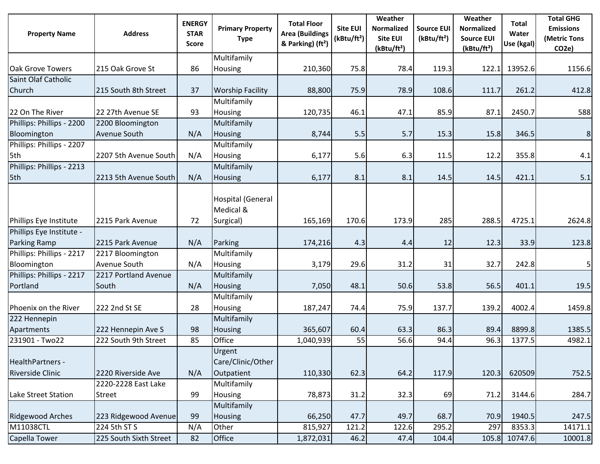| <b>Property Name</b>                 | <b>Address</b>         | <b>ENERGY</b><br><b>STAR</b><br><b>Score</b> | <b>Primary Property</b><br><b>Type</b>      | <b>Total Floor</b><br><b>Area (Buildings</b><br>& Parking) (ft <sup>2</sup> ) | <b>Site EUI</b><br>(kBtu/ft <sup>2</sup> ) | Weather<br>Normalized<br>Site EUI<br>(kBtu/ft <sup>2</sup> ) | <b>Source EUI</b><br>(kBtu/ft <sup>2</sup> ) | Weather<br><b>Normalized</b><br><b>Source EUI</b><br>(kBtu/ft <sup>2</sup> ) | <b>Total</b><br>Water<br>Use (kgal) | <b>Total GHG</b><br><b>Emissions</b><br>(Metric Tons<br>CO <sub>2</sub> e) |
|--------------------------------------|------------------------|----------------------------------------------|---------------------------------------------|-------------------------------------------------------------------------------|--------------------------------------------|--------------------------------------------------------------|----------------------------------------------|------------------------------------------------------------------------------|-------------------------------------|----------------------------------------------------------------------------|
|                                      |                        |                                              | Multifamily                                 |                                                                               |                                            |                                                              |                                              |                                                                              |                                     |                                                                            |
| <b>Oak Grove Towers</b>              | 215 Oak Grove St       | 86                                           | Housing                                     | 210,360                                                                       | 75.8                                       | 78.4                                                         | 119.3                                        | 122.1                                                                        | 13952.6                             | 1156.6                                                                     |
| Saint Olaf Catholic                  |                        |                                              |                                             |                                                                               |                                            |                                                              |                                              |                                                                              |                                     |                                                                            |
| Church                               | 215 South 8th Street   | 37                                           | <b>Worship Facility</b>                     | 88,800                                                                        | 75.9                                       | 78.9                                                         | 108.6                                        | 111.7                                                                        | 261.2                               | 412.8                                                                      |
|                                      |                        |                                              | Multifamily                                 |                                                                               |                                            |                                                              |                                              |                                                                              |                                     |                                                                            |
| 22 On The River                      | 22 27th Avenue SE      | 93                                           | Housing                                     | 120,735                                                                       | 46.1                                       | 47.1                                                         | 85.9                                         | 87.1                                                                         | 2450.7                              | 588                                                                        |
| Phillips: Phillips - 2200            | 2200 Bloomington       |                                              | Multifamily                                 |                                                                               |                                            |                                                              |                                              |                                                                              |                                     |                                                                            |
| Bloomington                          | Avenue South           | N/A                                          | <b>Housing</b>                              | 8,744                                                                         | 5.5                                        | 5.7                                                          | 15.3                                         | 15.8                                                                         | 346.5                               | 8                                                                          |
| Phillips: Phillips - 2207            |                        |                                              | Multifamily                                 |                                                                               |                                            |                                                              |                                              |                                                                              |                                     |                                                                            |
| 5th                                  | 2207 5th Avenue South  | N/A                                          | Housing                                     | 6,177                                                                         | 5.6                                        | 6.3                                                          | 11.5                                         | 12.2                                                                         | 355.8                               | 4.1                                                                        |
| Phillips: Phillips - 2213            |                        |                                              | Multifamily                                 |                                                                               |                                            |                                                              |                                              |                                                                              |                                     |                                                                            |
| 5th                                  | 2213 5th Avenue South  | N/A                                          | Housing                                     | 6,177                                                                         | 8.1                                        | 8.1                                                          | 14.5                                         | 14.5                                                                         | 421.1                               | 5.1                                                                        |
| Phillips Eye Institute               | 2215 Park Avenue       | 72                                           | Hospital (General<br>Medical &<br>Surgical) | 165,169                                                                       | 170.6                                      | 173.9                                                        | 285                                          | 288.5                                                                        | 4725.1                              | 2624.8                                                                     |
| Phillips Eye Institute -             |                        |                                              |                                             |                                                                               |                                            |                                                              |                                              |                                                                              |                                     |                                                                            |
| <b>Parking Ramp</b>                  | 2215 Park Avenue       | N/A                                          | Parking                                     | 174,216                                                                       | 4.3                                        | 4.4                                                          | 12                                           | 12.3                                                                         | 33.9                                | 123.8                                                                      |
| Phillips: Phillips - 2217            | 2217 Bloomington       |                                              | Multifamily                                 |                                                                               |                                            |                                                              |                                              |                                                                              |                                     |                                                                            |
| Bloomington                          | Avenue South           | N/A                                          | Housing                                     | 3,179                                                                         | 29.6                                       | 31.2                                                         | 31                                           | 32.7                                                                         | 242.8                               | 5 <sup>1</sup>                                                             |
| Phillips: Phillips - 2217            | 2217 Portland Avenue   |                                              | Multifamily                                 |                                                                               |                                            |                                                              |                                              |                                                                              |                                     |                                                                            |
| Portland                             | South                  | N/A                                          | Housing                                     | 7,050                                                                         | 48.1                                       | 50.6                                                         | 53.8                                         | 56.5                                                                         | 401.1                               | 19.5                                                                       |
|                                      |                        |                                              | Multifamily                                 |                                                                               |                                            |                                                              |                                              |                                                                              |                                     |                                                                            |
| Phoenix on the River                 | 222 2nd St SE          | 28                                           | Housing                                     | 187,247                                                                       | 74.4                                       | 75.9                                                         | 137.7                                        | 139.2                                                                        | 4002.4                              | 1459.8                                                                     |
| 222 Hennepin                         |                        |                                              | Multifamily                                 |                                                                               |                                            |                                                              |                                              |                                                                              |                                     |                                                                            |
| Apartments                           | 222 Hennepin Ave S     | 98                                           | Housing                                     | 365,607                                                                       | 60.4                                       | 63.3                                                         | 86.3                                         | 89.4                                                                         | 8899.8                              | 1385.5                                                                     |
| 231901 - Two22                       | 222 South 9th Street   | 85                                           | Office                                      | 1,040,939                                                                     | 55                                         | 56.6                                                         | 94.4                                         | 96.3                                                                         | 1377.5                              | 4982.1                                                                     |
| HealthPartners -<br>Riverside Clinic | 2220 Riverside Ave     | N/A                                          | Urgent<br>Care/Clinic/Other<br>Outpatient   | 110,330                                                                       | 62.3                                       | 64.2                                                         | 117.9                                        | 120.3                                                                        | 620509                              | 752.5                                                                      |
|                                      | 2220-2228 East Lake    |                                              | Multifamily                                 |                                                                               |                                            |                                                              |                                              |                                                                              |                                     |                                                                            |
| Lake Street Station                  | <b>Street</b>          | 99                                           | Housing                                     | 78,873                                                                        | 31.2                                       | 32.3                                                         | 69                                           | 71.2                                                                         | 3144.6                              | 284.7                                                                      |
|                                      |                        |                                              | Multifamily                                 |                                                                               |                                            |                                                              |                                              |                                                                              |                                     |                                                                            |
| <b>Ridgewood Arches</b>              | 223 Ridgewood Avenue   | 99                                           | Housing                                     | 66,250                                                                        | 47.7                                       | 49.7                                                         | 68.7                                         | 70.9                                                                         | 1940.5                              | 247.5                                                                      |
| M11038CTL                            | 224 5th ST S           | N/A                                          | Other                                       | 815,927                                                                       | 121.2                                      | 122.6                                                        | 295.2                                        | 297                                                                          | 8353.3                              | 14171.1                                                                    |
| Capella Tower                        | 225 South Sixth Street | 82                                           | Office                                      | 1,872,031                                                                     | 46.2                                       | 47.4                                                         | 104.4                                        | 105.8                                                                        | 10747.6                             | 10001.8                                                                    |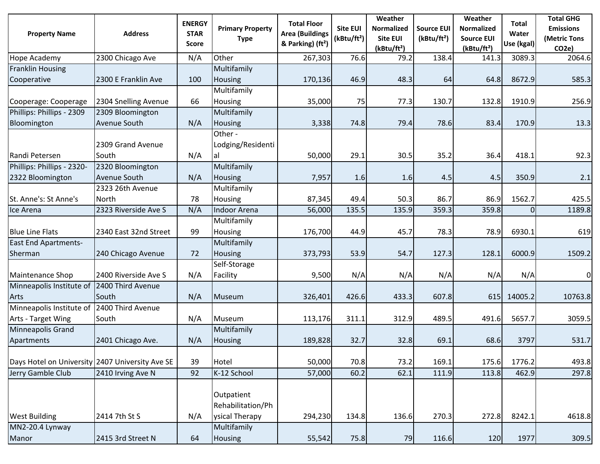| <b>Property Name</b>                            | <b>Address</b>        | <b>ENERGY</b><br><b>STAR</b><br><b>Score</b> | <b>Primary Property</b><br><b>Type</b> | <b>Total Floor</b><br><b>Area (Buildings</b><br>& Parking) (ft <sup>2</sup> ) | <b>Site EUI</b><br>(kBtu/ft <sup>2</sup> ) | Weather<br>Normalized<br><b>Site EUI</b><br>(kBtu/ft <sup>2</sup> ) | <b>Source EUI</b><br>(kBtu/ft <sup>2</sup> ) | Weather<br>Normalized<br><b>Source EUI</b><br>(kBtu/ft <sup>2</sup> ) | Total<br>Water<br>Use (kgal) | <b>Total GHG</b><br><b>Emissions</b><br>(Metric Tons<br>CO <sub>2</sub> e) |
|-------------------------------------------------|-----------------------|----------------------------------------------|----------------------------------------|-------------------------------------------------------------------------------|--------------------------------------------|---------------------------------------------------------------------|----------------------------------------------|-----------------------------------------------------------------------|------------------------------|----------------------------------------------------------------------------|
| Hope Academy                                    | 2300 Chicago Ave      | N/A                                          | Other                                  | 267,303                                                                       | 76.6                                       | 79.2                                                                | 138.4                                        | 141.3                                                                 | 3089.3                       | 2064.6                                                                     |
| <b>Franklin Housing</b>                         |                       |                                              | Multifamily                            |                                                                               |                                            |                                                                     |                                              |                                                                       |                              |                                                                            |
| Cooperative                                     | 2300 E Franklin Ave   | 100                                          | <b>Housing</b>                         | 170,136                                                                       | 46.9                                       | 48.3                                                                | 64                                           | 64.8                                                                  | 8672.9                       | 585.3                                                                      |
|                                                 |                       |                                              | Multifamily                            |                                                                               |                                            |                                                                     |                                              |                                                                       |                              |                                                                            |
| Cooperage: Cooperage                            | 2304 Snelling Avenue  | 66                                           | <b>Housing</b>                         | 35,000                                                                        | 75                                         | 77.3                                                                | 130.7                                        | 132.8                                                                 | 1910.9                       | 256.9                                                                      |
| Phillips: Phillips - 2309                       | 2309 Bloomington      |                                              | Multifamily                            |                                                                               |                                            |                                                                     |                                              |                                                                       |                              |                                                                            |
| Bloomington                                     | Avenue South          | N/A                                          | Housing                                | 3,338                                                                         | 74.8                                       | 79.4                                                                | 78.6                                         | 83.4                                                                  | 170.9                        | 13.3                                                                       |
|                                                 |                       |                                              | Other -                                |                                                                               |                                            |                                                                     |                                              |                                                                       |                              |                                                                            |
|                                                 | 2309 Grand Avenue     |                                              | Lodging/Residenti                      |                                                                               |                                            |                                                                     |                                              |                                                                       |                              |                                                                            |
| Randi Petersen                                  | South                 | N/A                                          | lal                                    | 50,000                                                                        | 29.1                                       | 30.5                                                                | 35.2                                         | 36.4                                                                  | 418.1                        | 92.3                                                                       |
| Phillips: Phillips - 2320-                      | 2320 Bloomington      |                                              | Multifamily                            |                                                                               |                                            |                                                                     |                                              |                                                                       |                              |                                                                            |
| 2322 Bloomington                                | Avenue South          | N/A                                          | <b>Housing</b>                         | 7,957                                                                         | 1.6                                        | 1.6                                                                 | 4.5                                          | 4.5                                                                   | 350.9                        | 2.1                                                                        |
|                                                 | 2323 26th Avenue      |                                              | Multifamily                            |                                                                               |                                            |                                                                     |                                              |                                                                       |                              |                                                                            |
| St. Anne's: St Anne's                           | <b>North</b>          | 78                                           | Housing                                | 87,345                                                                        | 49.4                                       | 50.3                                                                | 86.7                                         | 86.9                                                                  | 1562.7                       | 425.5                                                                      |
| Ice Arena                                       | 2323 Riverside Ave S  | N/A                                          | Indoor Arena                           | 56,000                                                                        | 135.5                                      | 135.9                                                               | 359.3                                        | 359.8                                                                 | $\Omega$                     | 1189.8                                                                     |
|                                                 |                       |                                              | Multifamily                            |                                                                               |                                            |                                                                     |                                              |                                                                       |                              |                                                                            |
| <b>Blue Line Flats</b>                          | 2340 East 32nd Street | 99                                           | <b>Housing</b>                         | 176,700                                                                       | 44.9                                       | 45.7                                                                | 78.3                                         | 78.9                                                                  | 6930.1                       | 619                                                                        |
| <b>East End Apartments-</b>                     |                       |                                              | Multifamily                            |                                                                               |                                            |                                                                     |                                              |                                                                       |                              |                                                                            |
| Sherman                                         | 240 Chicago Avenue    | 72                                           | Housing                                | 373,793                                                                       | 53.9                                       | 54.7                                                                | 127.3                                        | 128.1                                                                 | 6000.9                       | 1509.2                                                                     |
|                                                 |                       |                                              | Self-Storage                           |                                                                               |                                            |                                                                     |                                              |                                                                       |                              |                                                                            |
| Maintenance Shop                                | 2400 Riverside Ave S  | N/A                                          | Facility                               | 9,500                                                                         | N/A                                        | N/A                                                                 | N/A                                          | N/A                                                                   | N/A                          | 0                                                                          |
| Minneapolis Institute of                        | 2400 Third Avenue     |                                              |                                        |                                                                               |                                            |                                                                     |                                              |                                                                       |                              |                                                                            |
| Arts                                            | South                 | N/A                                          | Museum                                 | 326,401                                                                       | 426.6                                      | 433.3                                                               | 607.8                                        | 615                                                                   | 14005.2                      | 10763.8                                                                    |
| Minneapolis Institute of                        | 2400 Third Avenue     |                                              |                                        |                                                                               |                                            |                                                                     |                                              |                                                                       |                              |                                                                            |
| Arts - Target Wing                              | South                 | N/A                                          | Museum                                 | 113,176                                                                       | 311.1                                      | 312.9                                                               | 489.5                                        | 491.6                                                                 | 5657.7                       | 3059.5                                                                     |
| Minneapolis Grand                               |                       |                                              | Multifamily                            |                                                                               |                                            |                                                                     |                                              |                                                                       |                              |                                                                            |
| Apartments                                      | 2401 Chicago Ave.     | N/A                                          | Housing                                | 189,828                                                                       | 32.7                                       | 32.8                                                                | 69.1                                         | 68.6                                                                  | 3797                         | 531.7                                                                      |
| Days Hotel on University 2407 University Ave SE |                       | 39                                           | Hotel                                  | 50,000                                                                        | 70.8                                       | 73.2                                                                | 169.1                                        | 175.6                                                                 | 1776.2                       | 493.8                                                                      |
| Jerry Gamble Club                               | 2410 Irving Ave N     | 92                                           | K-12 School                            | 57,000                                                                        | 60.2                                       | 62.1                                                                | 111.9                                        | 113.8                                                                 | 462.9                        | 297.8                                                                      |
|                                                 |                       |                                              | Outpatient<br>Rehabilitation/Ph        |                                                                               |                                            |                                                                     |                                              |                                                                       |                              |                                                                            |
| <b>West Building</b>                            | 2414 7th St S         | N/A                                          | ysical Therapy                         | 294,230                                                                       | 134.8                                      | 136.6                                                               | 270.3                                        | 272.8                                                                 | 8242.1                       | 4618.8                                                                     |
| MN2-20.4 Lynway<br>Manor                        | 2415 3rd Street N     | 64                                           | Multifamily<br><b>Housing</b>          | 55,542                                                                        | 75.8                                       | 79                                                                  | 116.6                                        | 120                                                                   | 1977                         | 309.5                                                                      |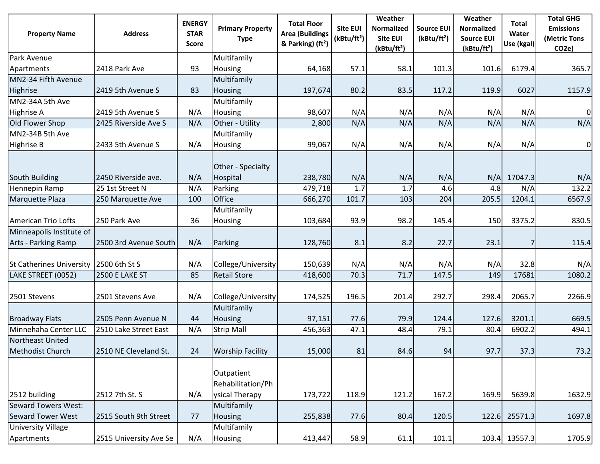| <b>Property Name</b>                                   | <b>Address</b>                         | <b>ENERGY</b><br><b>STAR</b><br><b>Score</b> | <b>Primary Property</b><br><b>Type</b>   | <b>Total Floor</b><br><b>Area (Buildings</b><br>& Parking) (ft <sup>2</sup> ) | <b>Site EUI</b><br>(kBtu/ft <sup>2</sup> ) | Weather<br>Normalized<br>Site EUI<br>(kBtu/ft <sup>2</sup> ) | <b>Source EUI</b><br>(kBtu/ft <sup>2</sup> ) | Weather<br><b>Normalized</b><br><b>Source EUI</b><br>(kBtu/ft <sup>2</sup> ) | <b>Total</b><br>Water<br>Use (kgal) | <b>Total GHG</b><br><b>Emissions</b><br>(Metric Tons<br>CO <sub>2</sub> e) |
|--------------------------------------------------------|----------------------------------------|----------------------------------------------|------------------------------------------|-------------------------------------------------------------------------------|--------------------------------------------|--------------------------------------------------------------|----------------------------------------------|------------------------------------------------------------------------------|-------------------------------------|----------------------------------------------------------------------------|
| Park Avenue                                            |                                        |                                              | Multifamily                              |                                                                               |                                            |                                                              |                                              |                                                                              |                                     |                                                                            |
| Apartments                                             | 2418 Park Ave                          | 93                                           | Housing                                  | 64,168                                                                        | 57.1                                       | 58.1                                                         | 101.3                                        | 101.6                                                                        | 6179.4                              | 365.7                                                                      |
| MN2-34 Fifth Avenue                                    |                                        |                                              | Multifamily                              |                                                                               |                                            |                                                              |                                              |                                                                              |                                     |                                                                            |
| Highrise                                               | 2419 5th Avenue S                      | 83                                           | Housing                                  | 197,674                                                                       | 80.2                                       | 83.5                                                         | 117.2                                        | 119.9                                                                        | 6027                                | 1157.9                                                                     |
| MN2-34A 5th Ave                                        |                                        |                                              | Multifamily                              |                                                                               |                                            |                                                              |                                              |                                                                              |                                     |                                                                            |
| Highrise A                                             | 2419 5th Avenue S                      | N/A                                          | <b>Housing</b>                           | 98,607                                                                        | N/A                                        | N/A                                                          | N/A                                          | N/A                                                                          | N/A                                 | $\overline{0}$                                                             |
| Old Flower Shop                                        | 2425 Riverside Ave S                   | N/A                                          | Other - Utility                          | 2,800                                                                         | N/A                                        | N/A                                                          | N/A                                          | N/A                                                                          | N/A                                 | N/A                                                                        |
| MN2-34B 5th Ave                                        |                                        |                                              | Multifamily                              |                                                                               |                                            |                                                              |                                              |                                                                              |                                     |                                                                            |
| <b>Highrise B</b>                                      | 2433 5th Avenue S                      | N/A                                          | Housing                                  | 99,067                                                                        | N/A                                        | N/A                                                          | N/A                                          | N/A                                                                          | N/A                                 | $\overline{0}$                                                             |
| South Building<br>Hennepin Ramp                        | 2450 Riverside ave.<br>25 1st Street N | N/A<br>N/A                                   | Other - Specialty<br>Hospital<br>Parking | 238,780<br>479,718                                                            | N/A<br>1.7                                 | N/A<br>1.7                                                   | N/A<br>4.6                                   | N/A<br>4.8                                                                   | 17047.3<br>N/A                      | N/A<br>132.2                                                               |
| Marquette Plaza                                        | 250 Marquette Ave                      | 100                                          | Office                                   | 666,270                                                                       | 101.7                                      | 103                                                          | 204                                          | 205.5                                                                        | 1204.1                              | 6567.9                                                                     |
| <b>American Trio Lofts</b>                             | 250 Park Ave                           | 36                                           | Multifamily<br>Housing                   | 103,684                                                                       | 93.9                                       | 98.2                                                         | 145.4                                        | 150                                                                          | 3375.2                              | 830.5                                                                      |
| Minneapolis Institute of                               |                                        |                                              |                                          |                                                                               |                                            |                                                              |                                              |                                                                              |                                     |                                                                            |
| Arts - Parking Ramp                                    | 2500 3rd Avenue South                  | N/A                                          | Parking                                  | 128,760                                                                       | 8.1                                        | 8.2                                                          | 22.7                                         | 23.1                                                                         | 7                                   | 115.4                                                                      |
| St Catherines University   2500 6th St S               |                                        | N/A                                          | College/University                       | 150,639                                                                       | N/A                                        | N/A                                                          | N/A                                          | N/A                                                                          | 32.8                                | N/A                                                                        |
| LAKE STREET (0052)                                     | <b>2500 E LAKE ST</b>                  | 85                                           | <b>Retail Store</b>                      | 418,600                                                                       | 70.3                                       | 71.7                                                         | 147.5                                        | 149                                                                          | 17681                               | 1080.2                                                                     |
| 2501 Stevens                                           | 2501 Stevens Ave                       | N/A                                          | College/University                       | 174,525                                                                       | 196.5                                      | 201.4                                                        | 292.7                                        | 298.4                                                                        | 2065.7                              | 2266.9                                                                     |
| <b>Broadway Flats</b>                                  | 2505 Penn Avenue N                     | 44                                           | Multifamily<br>Housing                   | 97,151                                                                        | 77.6                                       | 79.9                                                         | 124.4                                        | 127.6                                                                        | 3201.1                              | 669.5                                                                      |
| Minnehaha Center LLC                                   | 2510 Lake Street East                  | N/A                                          | <b>Strip Mall</b>                        | 456,363                                                                       | 47.1                                       | 48.4                                                         | 79.1                                         | 80.4                                                                         | 6902.2                              | 494.1                                                                      |
| Northeast United<br>Methodist Church                   | 12510 NE Cleveland St.                 | 24                                           | <b>Worship Facility</b>                  | 15,000                                                                        | 81                                         | 84.6                                                         | 94                                           | 97.7                                                                         | 37.3                                | 73.2                                                                       |
|                                                        |                                        |                                              | Outpatient<br>Rehabilitation/Ph          |                                                                               |                                            |                                                              |                                              |                                                                              |                                     |                                                                            |
| 2512 building                                          | 2512 7th St. S                         | N/A                                          | ysical Therapy                           | 173,722                                                                       | 118.9                                      | 121.2                                                        | 167.2                                        | 169.9                                                                        | 5639.8                              | 1632.9                                                                     |
| <b>Seward Towers West:</b><br><b>Seward Tower West</b> | 2515 South 9th Street                  | 77                                           | Multifamily<br>Housing                   | 255,838                                                                       | 77.6                                       | 80.4                                                         | 120.5                                        | 122.6                                                                        | 25571.3                             | 1697.8                                                                     |
| <b>University Village</b><br>Apartments                | 2515 University Ave Se                 | N/A                                          | Multifamily<br>Housing                   | 413,447                                                                       | 58.9                                       | 61.1                                                         | 101.1                                        |                                                                              | 103.4 13557.3                       | 1705.9                                                                     |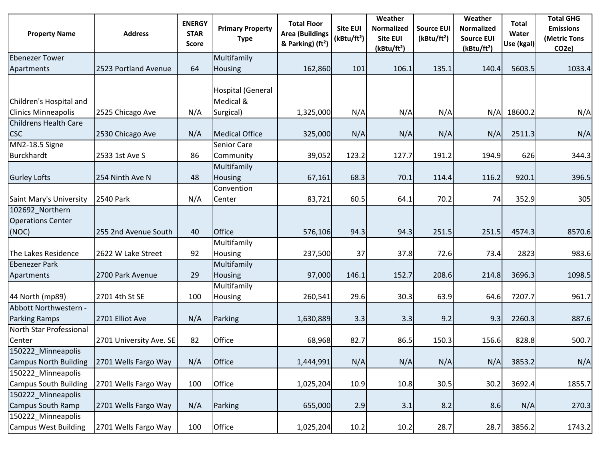| <b>Property Name</b>                                  | <b>Address</b>          | <b>ENERGY</b><br><b>STAR</b><br><b>Score</b> | <b>Primary Property</b><br><b>Type</b>             | <b>Total Floor</b><br><b>Area (Buildings</b><br>& Parking) (ft <sup>2</sup> ) | <b>Site EUI</b><br>(kBtu/ft <sup>2</sup> ) | Weather<br><b>Normalized</b><br><b>Site EUI</b><br>(kBtu/ft <sup>2</sup> ) | <b>Source EUI</b><br>(kBtu/ft <sup>2</sup> ) | Weather<br><b>Normalized</b><br><b>Source EUI</b><br>(kBtu/ft <sup>2</sup> ) | <b>Total</b><br>Water<br>Use (kgal) | <b>Total GHG</b><br><b>Emissions</b><br>(Metric Tons<br>CO <sub>2</sub> e) |
|-------------------------------------------------------|-------------------------|----------------------------------------------|----------------------------------------------------|-------------------------------------------------------------------------------|--------------------------------------------|----------------------------------------------------------------------------|----------------------------------------------|------------------------------------------------------------------------------|-------------------------------------|----------------------------------------------------------------------------|
| Ebenezer Tower                                        |                         |                                              | Multifamily                                        |                                                                               |                                            |                                                                            |                                              |                                                                              |                                     |                                                                            |
| Apartments                                            | 2523 Portland Avenue    | 64                                           | <b>Housing</b>                                     | 162,860                                                                       | 101                                        | 106.1                                                                      | 135.1                                        | 140.4                                                                        | 5603.5                              | 1033.4                                                                     |
| Children's Hospital and<br><b>Clinics Minneapolis</b> | 2525 Chicago Ave        | N/A                                          | <b>Hospital (General</b><br>Medical &<br>Surgical) | 1,325,000                                                                     | N/A                                        | N/A                                                                        | N/A                                          | N/A                                                                          | 18600.2                             | N/A                                                                        |
| <b>Childrens Health Care</b>                          |                         |                                              |                                                    |                                                                               |                                            |                                                                            |                                              |                                                                              |                                     |                                                                            |
| <b>CSC</b>                                            | 2530 Chicago Ave        | N/A                                          | <b>Medical Office</b>                              | 325,000                                                                       | N/A                                        | N/A                                                                        | N/A                                          | N/A                                                                          | 2511.3                              | N/A                                                                        |
| <b>MN2-18.5 Signe</b>                                 |                         |                                              | Senior Care                                        |                                                                               |                                            |                                                                            |                                              |                                                                              |                                     |                                                                            |
| Burckhardt                                            | 2533 1st Ave S          | 86                                           | Community                                          | 39,052                                                                        | 123.2                                      | 127.7                                                                      | 191.2                                        | 194.9                                                                        | 626                                 | 344.3                                                                      |
| <b>Gurley Lofts</b>                                   | 254 Ninth Ave N         | 48                                           | Multifamily<br>Housing                             | 67,161                                                                        | 68.3                                       | 70.1                                                                       | 114.4                                        | 116.2                                                                        | 920.1                               | 396.5                                                                      |
| Saint Mary's University                               | <b>2540 Park</b>        | N/A                                          | Convention<br>Center                               | 83,721                                                                        | 60.5                                       | 64.1                                                                       | 70.2                                         | 74                                                                           | 352.9                               | 305                                                                        |
| 102692 Northern<br><b>Operations Center</b><br>(NOC)  | 255 2nd Avenue South    | 40                                           | Office                                             | 576,106                                                                       | 94.3                                       | 94.3                                                                       | 251.5                                        | 251.5                                                                        | 4574.3                              | 8570.6                                                                     |
|                                                       |                         |                                              | Multifamily                                        |                                                                               |                                            |                                                                            |                                              |                                                                              |                                     |                                                                            |
| The Lakes Residence                                   | 2622 W Lake Street      | 92                                           | Housing                                            | 237,500                                                                       | 37                                         | 37.8                                                                       | 72.6                                         | 73.4                                                                         | 2823                                | 983.6                                                                      |
| <b>Ebenezer Park</b><br>Apartments                    | 2700 Park Avenue        | 29                                           | Multifamily<br>Housing                             | 97,000                                                                        | 146.1                                      | 152.7                                                                      | 208.6                                        | 214.8                                                                        | 3696.3                              | 1098.5                                                                     |
| 44 North (mp89)                                       | 2701 4th St SE          | 100                                          | Multifamily<br>Housing                             | 260,541                                                                       | 29.6                                       | 30.3                                                                       | 63.9                                         | 64.6                                                                         | 7207.7                              | 961.7                                                                      |
| Abbott Northwestern -<br><b>Parking Ramps</b>         | 2701 Elliot Ave         | N/A                                          | Parking                                            | 1,630,889                                                                     | 3.3                                        | 3.3                                                                        | 9.2                                          | 9.3                                                                          | 2260.3                              | 887.6                                                                      |
| North Star Professional<br>Center                     | 2701 University Ave. SE | 82                                           | Office                                             | 68,968                                                                        | 82.7                                       | 86.5                                                                       | 150.3                                        | 156.6                                                                        | 828.8                               | 500.7                                                                      |
| 150222 Minneapolis<br><b>Campus North Building</b>    | 2701 Wells Fargo Way    | N/A                                          | Office                                             | 1,444,991                                                                     | N/A                                        | N/A                                                                        | N/A                                          | N/A                                                                          | 3853.2                              | N/A                                                                        |
| 150222_Minneapolis<br><b>Campus South Building</b>    | 2701 Wells Fargo Way    | 100                                          | Office                                             | 1,025,204                                                                     | 10.9                                       | 10.8                                                                       | 30.5                                         | 30.2                                                                         | 3692.4                              | 1855.7                                                                     |
| 150222 Minneapolis<br><b>Campus South Ramp</b>        | 2701 Wells Fargo Way    | N/A                                          | Parking                                            | 655,000                                                                       | 2.9                                        | 3.1                                                                        | 8.2                                          | 8.6                                                                          | N/A                                 | 270.3                                                                      |
| 150222_Minneapolis<br><b>Campus West Building</b>     | 2701 Wells Fargo Way    | 100                                          | Office                                             | 1,025,204                                                                     | 10.2                                       | 10.2                                                                       | 28.7                                         | 28.7                                                                         | 3856.2                              | 1743.2                                                                     |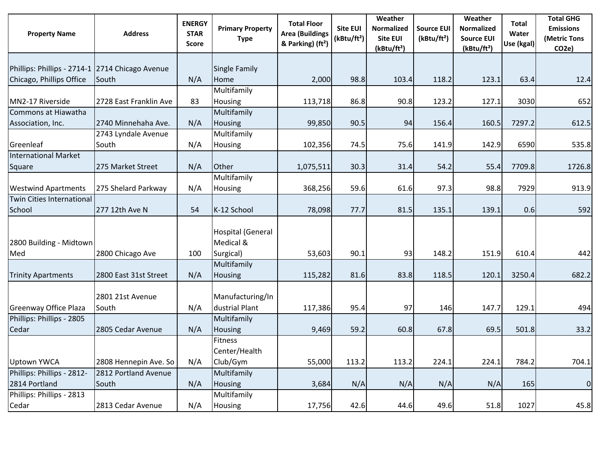| <b>Property Name</b>                            | <b>Address</b>            | <b>ENERGY</b><br><b>STAR</b><br><b>Score</b> | <b>Primary Property</b><br><b>Type</b>      | <b>Total Floor</b><br><b>Area (Buildings</b><br>& Parking) (ft <sup>2</sup> ) | <b>Site EUI</b><br>(kBtu/ft <sup>2</sup> ) | Weather<br>Normalized<br><b>Site EUI</b><br>(kBtu/ft <sup>2</sup> ) | <b>Source EUI</b><br>(kBtu/ft <sup>2</sup> ) | Weather<br><b>Normalized</b><br><b>Source EUI</b><br>(kBtu/ft <sup>2</sup> ) | Total<br>Water<br>Use (kgal) | <b>Total GHG</b><br><b>Emissions</b><br>(Metric Tons<br>CO <sub>2</sub> e) |
|-------------------------------------------------|---------------------------|----------------------------------------------|---------------------------------------------|-------------------------------------------------------------------------------|--------------------------------------------|---------------------------------------------------------------------|----------------------------------------------|------------------------------------------------------------------------------|------------------------------|----------------------------------------------------------------------------|
|                                                 |                           |                                              |                                             |                                                                               |                                            |                                                                     |                                              |                                                                              |                              |                                                                            |
| Phillips: Phillips - 2714-1 2714 Chicago Avenue |                           |                                              | <b>Single Family</b>                        |                                                                               |                                            |                                                                     |                                              |                                                                              |                              |                                                                            |
| Chicago, Phillips Office                        | South                     | N/A                                          | Home                                        | 2,000                                                                         | 98.8                                       | 103.4                                                               | 118.2                                        | 123.1                                                                        | 63.4                         | 12.4                                                                       |
|                                                 |                           |                                              | Multifamily                                 |                                                                               |                                            |                                                                     |                                              |                                                                              |                              |                                                                            |
| MN2-17 Riverside                                | 2728 East Franklin Ave    | 83                                           | Housing                                     | 113,718                                                                       | 86.8                                       | 90.8                                                                | 123.2                                        | 127.1                                                                        | 3030                         | 652                                                                        |
| Commons at Hiawatha                             |                           |                                              | Multifamily                                 |                                                                               |                                            |                                                                     |                                              |                                                                              |                              |                                                                            |
| Association, Inc.                               | 2740 Minnehaha Ave.       | N/A                                          | Housing                                     | 99,850                                                                        | 90.5                                       | 94                                                                  | 156.4                                        | 160.5                                                                        | 7297.2                       | 612.5                                                                      |
|                                                 | 2743 Lyndale Avenue       |                                              | Multifamily                                 |                                                                               |                                            |                                                                     |                                              |                                                                              |                              |                                                                            |
| Greenleaf                                       | South                     | N/A                                          | Housing                                     | 102,356                                                                       | 74.5                                       | 75.6                                                                | 141.9                                        | 142.9                                                                        | 6590                         | 535.8                                                                      |
| <b>International Market</b>                     |                           |                                              |                                             |                                                                               |                                            |                                                                     |                                              |                                                                              |                              |                                                                            |
| Square                                          | 275 Market Street         | N/A                                          | Other                                       | 1,075,511                                                                     | 30.3                                       | 31.4                                                                | 54.2                                         | 55.4                                                                         | 7709.8                       | 1726.8                                                                     |
|                                                 |                           |                                              | Multifamily                                 |                                                                               |                                            |                                                                     |                                              |                                                                              |                              |                                                                            |
| <b>Westwind Apartments</b>                      | 275 Shelard Parkway       | N/A                                          | Housing                                     | 368,256                                                                       | 59.6                                       | 61.6                                                                | 97.3                                         | 98.8                                                                         | 7929                         | 913.9                                                                      |
| Twin Cities International                       |                           |                                              |                                             |                                                                               |                                            |                                                                     |                                              |                                                                              |                              |                                                                            |
| School                                          | 277 12th Ave N            | 54                                           | K-12 School                                 | 78,098                                                                        | 77.7                                       | 81.5                                                                | 135.1                                        | 139.1                                                                        | 0.6                          | 592                                                                        |
| 2800 Building - Midtown<br>Med                  | 2800 Chicago Ave          | 100                                          | Hospital (General<br>Medical &<br>Surgical) | 53,603                                                                        | 90.1                                       | 93                                                                  | 148.2                                        | 151.9                                                                        | 610.4                        | 442                                                                        |
|                                                 |                           |                                              | Multifamily                                 |                                                                               |                                            |                                                                     |                                              |                                                                              |                              |                                                                            |
| <b>Trinity Apartments</b>                       | 2800 East 31st Street     | N/A                                          | Housing                                     | 115,282                                                                       | 81.6                                       | 83.8                                                                | 118.5                                        | 120.1                                                                        | 3250.4                       | 682.2                                                                      |
| <b>Greenway Office Plaza</b>                    | 2801 21st Avenue<br>South | N/A                                          | Manufacturing/In<br>dustrial Plant          | 117,386                                                                       | 95.4                                       | 97                                                                  | 146                                          | 147.7                                                                        | 129.1                        | 494                                                                        |
| Phillips: Phillips - 2805                       |                           |                                              | Multifamily                                 |                                                                               |                                            |                                                                     |                                              |                                                                              |                              |                                                                            |
| Cedar                                           | 2805 Cedar Avenue         | N/A                                          | Housing                                     | 9,469                                                                         | 59.2                                       | 60.8                                                                | 67.8                                         | 69.5                                                                         | 501.8                        | 33.2                                                                       |
| <b>Uptown YWCA</b>                              | 2808 Hennepin Ave. So     | N/A                                          | <b>Fitness</b><br>Center/Health<br>Club/Gym | 55,000                                                                        | 113.2                                      | 113.2                                                               | 224.1                                        | 224.1                                                                        | 784.2                        | 704.1                                                                      |
| Phillips: Phillips - 2812-                      | 2812 Portland Avenue      |                                              | Multifamily                                 |                                                                               |                                            |                                                                     |                                              |                                                                              |                              |                                                                            |
| 2814 Portland                                   | South                     | N/A                                          | Housing                                     | 3,684                                                                         | N/A                                        | N/A                                                                 | N/A                                          | N/A                                                                          | 165                          | $\overline{0}$                                                             |
| Phillips: Phillips - 2813                       |                           |                                              | Multifamily                                 |                                                                               |                                            |                                                                     |                                              |                                                                              |                              |                                                                            |
| Cedar                                           | 2813 Cedar Avenue         | N/A                                          | Housing                                     | 17,756                                                                        | 42.6                                       | 44.6                                                                | 49.6                                         | 51.8                                                                         | 1027                         | 45.8                                                                       |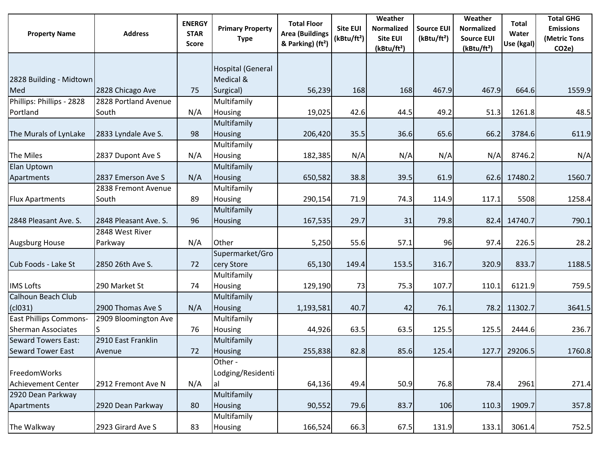| <b>Property Name</b>          | <b>Address</b>        | <b>ENERGY</b><br><b>STAR</b><br><b>Score</b> | <b>Primary Property</b><br><b>Type</b> | <b>Total Floor</b><br><b>Area (Buildings</b><br>& Parking) (ft <sup>2</sup> ) | <b>Site EUI</b><br>(kBtu/ft <sup>2</sup> ) | Weather<br><b>Normalized</b><br><b>Site EUI</b><br>(kBtu/ft <sup>2</sup> ) | <b>Source EUI</b><br>(kBtu/ft <sup>2</sup> ) | Weather<br><b>Normalized</b><br><b>Source EUI</b><br>(kBtu/ft <sup>2</sup> ) | Total<br>Water<br>Use (kgal) | <b>Total GHG</b><br><b>Emissions</b><br>(Metric Tons<br>CO <sub>2</sub> e) |
|-------------------------------|-----------------------|----------------------------------------------|----------------------------------------|-------------------------------------------------------------------------------|--------------------------------------------|----------------------------------------------------------------------------|----------------------------------------------|------------------------------------------------------------------------------|------------------------------|----------------------------------------------------------------------------|
|                               |                       |                                              |                                        |                                                                               |                                            |                                                                            |                                              |                                                                              |                              |                                                                            |
|                               |                       |                                              | <b>Hospital (General</b>               |                                                                               |                                            |                                                                            |                                              |                                                                              |                              |                                                                            |
| 2828 Building - Midtown       |                       |                                              | Medical &                              |                                                                               |                                            |                                                                            |                                              |                                                                              |                              |                                                                            |
| Med                           | 2828 Chicago Ave      | 75                                           | Surgical)                              | 56,239                                                                        | 168                                        | 168                                                                        | 467.9                                        | 467.9                                                                        | 664.6                        | 1559.9                                                                     |
| Phillips: Phillips - 2828     | 2828 Portland Avenue  |                                              | Multifamily                            |                                                                               |                                            |                                                                            |                                              |                                                                              |                              |                                                                            |
| Portland                      | South                 | N/A                                          | Housing                                | 19,025                                                                        | 42.6                                       | 44.5                                                                       | 49.2                                         | 51.3                                                                         | 1261.8                       | 48.5                                                                       |
|                               |                       |                                              | Multifamily                            |                                                                               |                                            |                                                                            |                                              |                                                                              |                              |                                                                            |
| The Murals of LynLake         | 2833 Lyndale Ave S.   | 98                                           | Housing                                | 206,420                                                                       | 35.5                                       | 36.6                                                                       | 65.6                                         | 66.2                                                                         | 3784.6                       | 611.9                                                                      |
| The Miles                     |                       | N/A                                          | Multifamily                            |                                                                               |                                            | N/A                                                                        |                                              | N/A                                                                          | 8746.2                       |                                                                            |
| Elan Uptown                   | 2837 Dupont Ave S     |                                              | Housing<br>Multifamily                 | 182,385                                                                       | N/A                                        |                                                                            | N/A                                          |                                                                              |                              | N/A                                                                        |
| Apartments                    | 2837 Emerson Ave S    | N/A                                          | Housing                                | 650,582                                                                       | 38.8                                       | 39.5                                                                       | 61.9                                         | 62.6                                                                         | 17480.2                      | 1560.7                                                                     |
|                               | 2838 Fremont Avenue   |                                              | Multifamily                            |                                                                               |                                            |                                                                            |                                              |                                                                              |                              |                                                                            |
| <b>Flux Apartments</b>        | South                 | 89                                           | Housing                                | 290,154                                                                       | 71.9                                       | 74.3                                                                       | 114.9                                        | 117.1                                                                        | 5508                         | 1258.4                                                                     |
|                               |                       |                                              | Multifamily                            |                                                                               |                                            |                                                                            |                                              |                                                                              |                              |                                                                            |
| 2848 Pleasant Ave. S.         | 2848 Pleasant Ave. S. | 96                                           | Housing                                | 167,535                                                                       | 29.7                                       | 31                                                                         | 79.8                                         | 82.4                                                                         | 14740.7                      | 790.1                                                                      |
|                               | 2848 West River       |                                              |                                        |                                                                               |                                            |                                                                            |                                              |                                                                              |                              |                                                                            |
| <b>Augsburg House</b>         | Parkway               | N/A                                          | Other                                  | 5,250                                                                         | 55.6                                       | 57.1                                                                       | 96                                           | 97.4                                                                         | 226.5                        | 28.2                                                                       |
|                               |                       |                                              | Supermarket/Gro                        |                                                                               |                                            |                                                                            |                                              |                                                                              |                              |                                                                            |
| Cub Foods - Lake St           | 2850 26th Ave S.      | 72                                           | cery Store                             | 65,130                                                                        | 149.4                                      | 153.5                                                                      | 316.7                                        | 320.9                                                                        | 833.7                        | 1188.5                                                                     |
|                               |                       |                                              | Multifamily                            |                                                                               |                                            |                                                                            |                                              |                                                                              |                              |                                                                            |
| <b>IMS Lofts</b>              | 290 Market St         | 74                                           | Housing                                | 129,190                                                                       | 73                                         | 75.3                                                                       | 107.7                                        | 110.1                                                                        | 6121.9                       | 759.5                                                                      |
| <b>Calhoun Beach Club</b>     |                       |                                              | Multifamily                            |                                                                               |                                            |                                                                            |                                              |                                                                              |                              |                                                                            |
| (cl031)                       | 2900 Thomas Ave S     | N/A                                          | Housing                                | 1,193,581                                                                     | 40.7                                       | 42                                                                         | 76.1                                         | 78.2                                                                         | 11302.7                      | 3641.5                                                                     |
| <b>East Phillips Commons-</b> | 2909 Bloomington Ave  |                                              | Multifamily                            |                                                                               |                                            |                                                                            |                                              |                                                                              |                              |                                                                            |
| <b>Sherman Associates</b>     | IS                    | 76                                           | Housing                                | 44,926                                                                        | 63.5                                       | 63.5                                                                       | 125.5                                        | 125.5                                                                        | 2444.6                       | 236.7                                                                      |
| <b>Seward Towers East:</b>    | 2910 East Franklin    |                                              | Multifamily                            |                                                                               |                                            |                                                                            |                                              |                                                                              |                              |                                                                            |
| <b>Seward Tower East</b>      | Avenue                | 72                                           | Housing                                | 255,838                                                                       | 82.8                                       | 85.6                                                                       | 125.4                                        |                                                                              | 127.7 29206.5                | 1760.8                                                                     |
|                               |                       |                                              | Other -                                |                                                                               |                                            |                                                                            |                                              |                                                                              |                              |                                                                            |
| FreedomWorks                  |                       |                                              | Lodging/Residenti                      |                                                                               |                                            |                                                                            |                                              |                                                                              |                              |                                                                            |
| <b>Achievement Center</b>     | 2912 Fremont Ave N    | N/A                                          | al                                     | 64,136                                                                        | 49.4                                       | 50.9                                                                       | 76.8                                         | 78.4                                                                         | 2961                         | 271.4                                                                      |
| 2920 Dean Parkway             |                       |                                              | Multifamily                            |                                                                               |                                            |                                                                            |                                              |                                                                              |                              |                                                                            |
| Apartments                    | 2920 Dean Parkway     | 80                                           | Housing                                | 90,552                                                                        | 79.6                                       | 83.7                                                                       | 106                                          | 110.3                                                                        | 1909.7                       | 357.8                                                                      |
|                               |                       |                                              | Multifamily                            |                                                                               |                                            |                                                                            |                                              |                                                                              |                              |                                                                            |
| The Walkway                   | 2923 Girard Ave S     | 83                                           | Housing                                | 166,524                                                                       | 66.3                                       | 67.5                                                                       | 131.9                                        | 133.1                                                                        | 3061.4                       | 752.5                                                                      |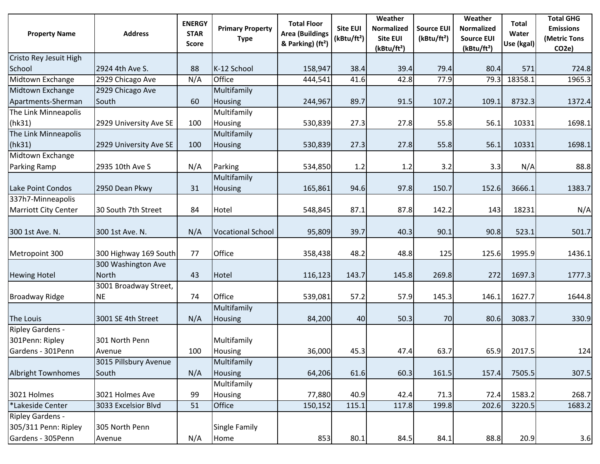| <b>Property Name</b>        | <b>Address</b>                     | <b>ENERGY</b><br><b>STAR</b><br><b>Score</b> | <b>Primary Property</b><br><b>Type</b> | <b>Total Floor</b><br><b>Area (Buildings</b><br>& Parking) (ft <sup>2</sup> ) | <b>Site EUI</b><br>(kBtu/ft <sup>2</sup> ) | Weather<br>Normalized<br>Site EUI<br>(kBtu/ft <sup>2</sup> ) | <b>Source EUI</b><br>(kBtu/ft <sup>2</sup> ) | Weather<br><b>Normalized</b><br><b>Source EUI</b><br>(kBtu/ft <sup>2</sup> ) | <b>Total</b><br>Water<br>Use (kgal) | <b>Total GHG</b><br><b>Emissions</b><br>(Metric Tons<br>CO <sub>2</sub> e) |
|-----------------------------|------------------------------------|----------------------------------------------|----------------------------------------|-------------------------------------------------------------------------------|--------------------------------------------|--------------------------------------------------------------|----------------------------------------------|------------------------------------------------------------------------------|-------------------------------------|----------------------------------------------------------------------------|
| Cristo Rey Jesuit High      |                                    |                                              |                                        |                                                                               |                                            |                                                              |                                              |                                                                              |                                     |                                                                            |
| School                      | 2924 4th Ave S.                    | 88                                           | K-12 School                            | 158,947                                                                       | 38.4                                       | 39.4                                                         | 79.4                                         | 80.4                                                                         | 571                                 | 724.8                                                                      |
| Midtown Exchange            | 2929 Chicago Ave                   | N/A                                          | Office                                 | 444,541                                                                       | 41.6                                       | 42.8                                                         | 77.9                                         | 79.3                                                                         | 18358.1                             | 1965.3                                                                     |
| Midtown Exchange            | 2929 Chicago Ave                   |                                              | Multifamily                            |                                                                               |                                            |                                                              |                                              |                                                                              |                                     |                                                                            |
| Apartments-Sherman          | South                              | 60                                           | Housing                                | 244,967                                                                       | 89.7                                       | 91.5                                                         | 107.2                                        | 109.1                                                                        | 8732.3                              | 1372.4                                                                     |
| The Link Minneapolis        |                                    |                                              | Multifamily                            |                                                                               |                                            |                                                              |                                              |                                                                              |                                     |                                                                            |
| (hk31)                      | 2929 University Ave SE             | 100                                          | Housing                                | 530,839                                                                       | 27.3                                       | 27.8                                                         | 55.8                                         | 56.1                                                                         | 10331                               | 1698.1                                                                     |
| The Link Minneapolis        |                                    |                                              | Multifamily                            |                                                                               |                                            |                                                              |                                              |                                                                              |                                     |                                                                            |
| (hk31)                      | 2929 University Ave SE             | 100                                          | Housing                                | 530,839                                                                       | 27.3                                       | 27.8                                                         | 55.8                                         | 56.1                                                                         | 10331                               | 1698.1                                                                     |
| Midtown Exchange            |                                    |                                              |                                        |                                                                               |                                            |                                                              |                                              |                                                                              |                                     |                                                                            |
| <b>Parking Ramp</b>         | 2935 10th Ave S                    | N/A                                          | Parking                                | 534,850                                                                       | 1.2                                        | 1.2                                                          | 3.2                                          | 3.3                                                                          | N/A                                 | 88.8                                                                       |
|                             |                                    |                                              | Multifamily                            |                                                                               |                                            |                                                              |                                              |                                                                              |                                     |                                                                            |
| Lake Point Condos           | 2950 Dean Pkwy                     | 31                                           | Housing                                | 165,861                                                                       | 94.6                                       | 97.8                                                         | 150.7                                        | 152.6                                                                        | 3666.1                              | 1383.7                                                                     |
| 337h7-Minneapolis           |                                    |                                              |                                        |                                                                               |                                            |                                                              |                                              |                                                                              |                                     |                                                                            |
| <b>Marriott City Center</b> | 30 South 7th Street                | 84                                           | Hotel                                  | 548,845                                                                       | 87.1                                       | 87.8                                                         | 142.2                                        | 143                                                                          | 18231                               | N/A                                                                        |
| 300 1st Ave. N.             | 300 1st Ave. N.                    | N/A                                          | <b>Vocational School</b>               | 95,809                                                                        | 39.7                                       | 40.3                                                         | 90.1                                         | 90.8                                                                         | 523.1                               | 501.7                                                                      |
| Metropoint 300              | 300 Highway 169 South              | 77                                           | Office                                 | 358,438                                                                       | 48.2                                       | 48.8                                                         | 125                                          | 125.6                                                                        | 1995.9                              | 1436.1                                                                     |
| <b>Hewing Hotel</b>         | 300 Washington Ave<br><b>North</b> | 43                                           | Hotel                                  | 116,123                                                                       | 143.7                                      | 145.8                                                        | 269.8                                        | 272                                                                          | 1697.3                              | 1777.3                                                                     |
| <b>Broadway Ridge</b>       | 3001 Broadway Street,<br><b>NE</b> | 74                                           | Office                                 | 539,081                                                                       | 57.2                                       | 57.9                                                         | 145.3                                        | 146.1                                                                        | 1627.7                              | 1644.8                                                                     |
| The Louis                   | 3001 SE 4th Street                 | N/A                                          | Multifamily<br>Housing                 | 84,200                                                                        | 40                                         | 50.3                                                         | 70                                           | 80.6                                                                         | 3083.7                              | 330.9                                                                      |
| Ripley Gardens -            |                                    |                                              |                                        |                                                                               |                                            |                                                              |                                              |                                                                              |                                     |                                                                            |
| 301Penn: Ripley             | 301 North Penn                     |                                              | Multifamily                            |                                                                               |                                            |                                                              |                                              |                                                                              |                                     |                                                                            |
| Gardens - 301Penn           | Avenue                             | 100                                          | Housing                                | 36,000                                                                        | 45.3                                       | 47.4                                                         | 63.7                                         | 65.9                                                                         | 2017.5                              | 124                                                                        |
|                             | 3015 Pillsbury Avenue              |                                              | Multifamily                            |                                                                               |                                            |                                                              |                                              |                                                                              |                                     |                                                                            |
| <b>Albright Townhomes</b>   | South                              | N/A                                          | Housing                                | 64,206                                                                        | 61.6                                       | 60.3                                                         | 161.5                                        | 157.4                                                                        | 7505.5                              | 307.5                                                                      |
|                             |                                    |                                              | Multifamily                            |                                                                               |                                            |                                                              |                                              |                                                                              |                                     |                                                                            |
| 3021 Holmes                 | 3021 Holmes Ave                    | 99                                           | Housing                                | 77,880                                                                        | 40.9                                       | 42.4                                                         | 71.3                                         | 72.4                                                                         | 1583.2                              | 268.7                                                                      |
| *Lakeside Center            | 3033 Excelsior Blvd                | 51                                           | Office                                 | 150,152                                                                       | 115.1                                      | 117.8                                                        | 199.8                                        | 202.6                                                                        | 3220.5                              | 1683.2                                                                     |
| Ripley Gardens -            |                                    |                                              |                                        |                                                                               |                                            |                                                              |                                              |                                                                              |                                     |                                                                            |
| 305/311 Penn: Ripley        | 305 North Penn                     |                                              | Single Family                          |                                                                               |                                            |                                                              |                                              |                                                                              |                                     |                                                                            |
| Gardens - 305Penn           | Avenue                             | N/A                                          | Home                                   | 853                                                                           | 80.1                                       | 84.5                                                         | 84.1                                         | 88.8                                                                         | 20.9                                | 3.6                                                                        |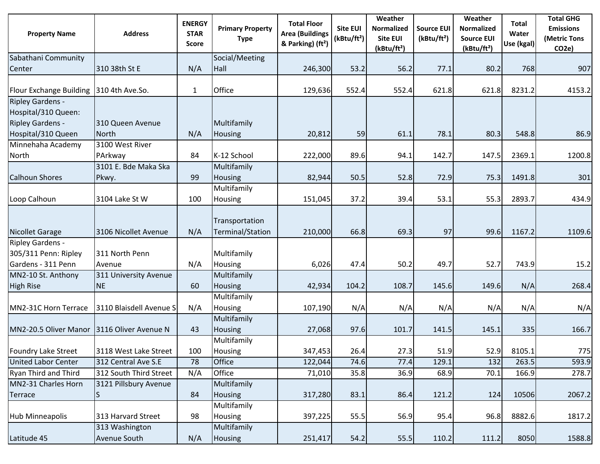| <b>Property Name</b>                       | <b>Address</b>          | <b>ENERGY</b><br><b>STAR</b><br><b>Score</b> | <b>Primary Property</b><br><b>Type</b> | <b>Total Floor</b><br><b>Area (Buildings</b><br>& Parking) (ft <sup>2</sup> ) | <b>Site EUI</b><br>(kBtu/ft <sup>2</sup> ) | Weather<br><b>Normalized</b><br><b>Site EUI</b><br>(kBtu/ft <sup>2</sup> ) | <b>Source EUI</b><br>(kBtu/ft <sup>2</sup> ) | Weather<br><b>Normalized</b><br><b>Source EUI</b><br>(kBtu/ft <sup>2</sup> ) | <b>Total</b><br>Water<br>Use (kgal) | <b>Total GHG</b><br><b>Emissions</b><br>(Metric Tons<br>CO <sub>2</sub> e) |
|--------------------------------------------|-------------------------|----------------------------------------------|----------------------------------------|-------------------------------------------------------------------------------|--------------------------------------------|----------------------------------------------------------------------------|----------------------------------------------|------------------------------------------------------------------------------|-------------------------------------|----------------------------------------------------------------------------|
| Sabathani Community                        |                         |                                              | Social/Meeting                         |                                                                               |                                            |                                                                            |                                              |                                                                              |                                     |                                                                            |
| Center                                     | 310 38th St E           | N/A                                          | Hall                                   | 246,300                                                                       | 53.2                                       | 56.2                                                                       | 77.1                                         | 80.2                                                                         | 768                                 | 907                                                                        |
| Flour Exchange Building 310 4th Ave.So.    |                         | $\mathbf{1}$                                 | Office                                 | 129,636                                                                       | 552.4                                      | 552.4                                                                      | 621.8                                        | 621.8                                                                        | 8231.2                              | 4153.2                                                                     |
| <b>Ripley Gardens -</b>                    |                         |                                              |                                        |                                                                               |                                            |                                                                            |                                              |                                                                              |                                     |                                                                            |
| Hospital/310 Queen:                        |                         |                                              |                                        |                                                                               |                                            |                                                                            |                                              |                                                                              |                                     |                                                                            |
| <b>Ripley Gardens -</b>                    | 310 Queen Avenue        |                                              | Multifamily                            |                                                                               |                                            |                                                                            |                                              |                                                                              |                                     |                                                                            |
| Hospital/310 Queen                         | <b>North</b>            | N/A                                          | <b>Housing</b>                         | 20,812                                                                        | 59                                         | 61.1                                                                       | 78.1                                         | 80.3                                                                         | 548.8                               | 86.9                                                                       |
| Minnehaha Academy                          | 3100 West River         |                                              |                                        |                                                                               |                                            |                                                                            |                                              |                                                                              |                                     |                                                                            |
| North                                      | PArkway                 | 84                                           | K-12 School                            | 222,000                                                                       | 89.6                                       | 94.1                                                                       | 142.7                                        | 147.5                                                                        | 2369.1                              | 1200.8                                                                     |
|                                            | 3101 E. Bde Maka Ska    |                                              | Multifamily                            |                                                                               |                                            |                                                                            |                                              |                                                                              |                                     |                                                                            |
| <b>Calhoun Shores</b>                      | Pkwy.                   | 99                                           | Housing                                | 82,944                                                                        | 50.5                                       | 52.8                                                                       | 72.9                                         | 75.3                                                                         | 1491.8                              | 301                                                                        |
|                                            |                         |                                              | Multifamily                            |                                                                               |                                            |                                                                            |                                              |                                                                              |                                     |                                                                            |
| Loop Calhoun                               | 3104 Lake St W          | 100                                          | Housing                                | 151,045                                                                       | 37.2                                       | 39.4                                                                       | 53.1                                         | 55.3                                                                         | 2893.7                              | 434.9                                                                      |
| <b>Nicollet Garage</b>                     | 3106 Nicollet Avenue    | N/A                                          | Transportation<br>Terminal/Station     | 210,000                                                                       | 66.8                                       | 69.3                                                                       | 97                                           | 99.6                                                                         | 1167.2                              | 1109.6                                                                     |
| Ripley Gardens -                           |                         |                                              |                                        |                                                                               |                                            |                                                                            |                                              |                                                                              |                                     |                                                                            |
| 305/311 Penn: Ripley                       | 311 North Penn          |                                              | Multifamily                            |                                                                               |                                            |                                                                            |                                              |                                                                              |                                     |                                                                            |
| Gardens - 311 Penn                         | Avenue                  | N/A                                          | Housing                                | 6,026                                                                         | 47.4                                       | 50.2                                                                       | 49.7                                         | 52.7                                                                         | 743.9                               | 15.2                                                                       |
| MN2-10 St. Anthony                         | 311 University Avenue   |                                              | Multifamily                            |                                                                               |                                            |                                                                            |                                              |                                                                              |                                     |                                                                            |
| <b>High Rise</b>                           | <b>NE</b>               | 60                                           | Housing                                | 42,934                                                                        | 104.2                                      | 108.7                                                                      | 145.6                                        | 149.6                                                                        | N/A                                 | 268.4                                                                      |
|                                            |                         |                                              | Multifamily                            |                                                                               |                                            |                                                                            |                                              |                                                                              |                                     |                                                                            |
| MN2-31C Horn Terrace                       | 3110 Blaisdell Avenue S | N/A                                          | Housing                                | 107,190                                                                       | N/A                                        | N/A                                                                        | N/A                                          | N/A                                                                          | N/A                                 | N/A                                                                        |
|                                            |                         |                                              | Multifamily                            |                                                                               |                                            |                                                                            |                                              |                                                                              |                                     |                                                                            |
| MN2-20.5 Oliver Manor 3116 Oliver Avenue N |                         | 43                                           | Housing                                | 27,068                                                                        | 97.6                                       | 101.7                                                                      | 141.5                                        | 145.1                                                                        | 335                                 | 166.7                                                                      |
|                                            |                         |                                              | Multifamily                            |                                                                               |                                            |                                                                            |                                              |                                                                              |                                     |                                                                            |
| Foundry Lake Street                        | 3118 West Lake Street   | 100                                          | Housing                                | 347,453                                                                       | 26.4                                       | 27.3                                                                       | 51.9                                         | 52.9                                                                         | 8105.1                              | 775                                                                        |
| United Labor Center                        | 312 Central Ave S.E     | 78                                           | Office                                 | 122,044                                                                       | 74.6                                       | 77.4                                                                       | 129.1                                        | 132                                                                          | 263.5                               | 593.9                                                                      |
| <b>Ryan Third and Third</b>                | 312 South Third Street  | N/A                                          | Office                                 | 71,010                                                                        | 35.8                                       | 36.9                                                                       | 68.9                                         | 70.1                                                                         | 166.9                               | 278.7                                                                      |
| MN2-31 Charles Horn                        | 3121 Pillsbury Avenue   |                                              | Multifamily                            |                                                                               |                                            |                                                                            |                                              |                                                                              |                                     |                                                                            |
| Terrace                                    | IS                      | 84                                           | Housing                                | 317,280                                                                       | 83.1                                       | 86.4                                                                       | 121.2                                        | 124                                                                          | 10506                               | 2067.2                                                                     |
|                                            |                         |                                              | Multifamily                            |                                                                               |                                            |                                                                            |                                              |                                                                              |                                     |                                                                            |
| Hub Minneapolis                            | 313 Harvard Street      | 98                                           | Housing                                | 397,225                                                                       | 55.5                                       | 56.9                                                                       | 95.4                                         | 96.8                                                                         | 8882.6                              | 1817.2                                                                     |
|                                            | 313 Washington          |                                              | Multifamily                            |                                                                               |                                            |                                                                            |                                              |                                                                              |                                     |                                                                            |
| Latitude 45                                | Avenue South            | N/A                                          | Housing                                | 251,417                                                                       | 54.2                                       | 55.5                                                                       | 110.2                                        | 111.2                                                                        | 8050                                | 1588.8                                                                     |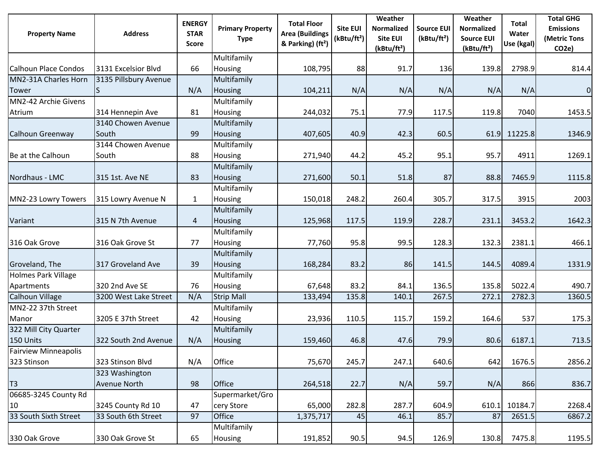| <b>Property Name</b>        | <b>Address</b>        | <b>ENERGY</b><br><b>STAR</b><br><b>Score</b> | <b>Primary Property</b><br><b>Type</b> | <b>Total Floor</b><br><b>Area (Buildings</b><br>& Parking) (ft <sup>2</sup> ) | <b>Site EUI</b><br>(kBtu/ft <sup>2</sup> ) | Weather<br><b>Normalized</b><br><b>Site EUI</b><br>(kBtu/ft <sup>2</sup> ) | <b>Source EUI</b><br>(kBtu/ft <sup>2</sup> ) | Weather<br><b>Normalized</b><br><b>Source EUI</b><br>(kBtu/ft <sup>2</sup> ) | Total<br>Water<br>Use (kgal) | <b>Total GHG</b><br><b>Emissions</b><br>(Metric Tons<br>CO <sub>2</sub> e) |
|-----------------------------|-----------------------|----------------------------------------------|----------------------------------------|-------------------------------------------------------------------------------|--------------------------------------------|----------------------------------------------------------------------------|----------------------------------------------|------------------------------------------------------------------------------|------------------------------|----------------------------------------------------------------------------|
|                             |                       |                                              | Multifamily                            |                                                                               |                                            |                                                                            |                                              |                                                                              |                              |                                                                            |
| <b>Calhoun Place Condos</b> | 3131 Excelsior Blvd   | 66                                           | Housing                                | 108,795                                                                       | 88                                         | 91.7                                                                       | 136                                          | 139.8                                                                        | 2798.9                       | 814.4                                                                      |
| MN2-31A Charles Horn        | 3135 Pillsbury Avenue |                                              | Multifamily                            |                                                                               |                                            |                                                                            |                                              |                                                                              |                              |                                                                            |
| Tower                       |                       | N/A                                          | <b>Housing</b>                         | 104,211                                                                       | N/A                                        | N/A                                                                        | N/A                                          | N/A                                                                          | N/A                          | $\overline{0}$                                                             |
| MN2-42 Archie Givens        |                       |                                              | Multifamily                            |                                                                               |                                            |                                                                            |                                              |                                                                              |                              |                                                                            |
| Atrium                      | 314 Hennepin Ave      | 81                                           | Housing                                | 244,032                                                                       | 75.1                                       | 77.9                                                                       | 117.5                                        | 119.8                                                                        | 7040                         | 1453.5                                                                     |
|                             | 3140 Chowen Avenue    |                                              | Multifamily                            |                                                                               |                                            |                                                                            |                                              |                                                                              |                              |                                                                            |
| Calhoun Greenway            | South                 | 99                                           | <b>Housing</b>                         | 407,605                                                                       | 40.9                                       | 42.3                                                                       | 60.5                                         | 61.9                                                                         | 11225.8                      | 1346.9                                                                     |
|                             | 3144 Chowen Avenue    |                                              | Multifamily                            |                                                                               |                                            |                                                                            |                                              |                                                                              |                              |                                                                            |
| Be at the Calhoun           | South                 | 88                                           | Housing                                | 271,940                                                                       | 44.2                                       | 45.2                                                                       | 95.1                                         | 95.7                                                                         | 4911                         | 1269.1                                                                     |
|                             |                       |                                              | Multifamily                            |                                                                               |                                            |                                                                            |                                              |                                                                              |                              |                                                                            |
| Nordhaus - LMC              | 315 1st. Ave NE       | 83                                           | <b>Housing</b>                         | 271,600                                                                       | 50.1                                       | 51.8                                                                       | 87                                           | 88.8                                                                         | 7465.9                       | 1115.8                                                                     |
|                             |                       |                                              | Multifamily                            |                                                                               |                                            |                                                                            |                                              |                                                                              |                              |                                                                            |
| MN2-23 Lowry Towers         | 315 Lowry Avenue N    | $\mathbf{1}$                                 | Housing                                | 150,018                                                                       | 248.2                                      | 260.4                                                                      | 305.7                                        | 317.5                                                                        | 3915                         | 2003                                                                       |
|                             |                       |                                              | Multifamily                            |                                                                               |                                            |                                                                            |                                              |                                                                              |                              |                                                                            |
| Variant                     | 315 N 7th Avenue      | 4                                            | Housing                                | 125,968                                                                       | 117.5                                      | 119.9                                                                      | 228.7                                        | 231.1                                                                        | 3453.2                       | 1642.3                                                                     |
|                             |                       |                                              | Multifamily                            |                                                                               |                                            |                                                                            |                                              |                                                                              |                              |                                                                            |
| 316 Oak Grove               | 316 Oak Grove St      | 77                                           | Housing                                | 77,760                                                                        | 95.8                                       | 99.5                                                                       | 128.3                                        | 132.3                                                                        | 2381.1                       | 466.1                                                                      |
|                             |                       |                                              | Multifamily                            |                                                                               |                                            |                                                                            |                                              |                                                                              |                              |                                                                            |
| Groveland, The              | 317 Groveland Ave     | 39                                           | <b>Housing</b>                         | 168,284                                                                       | 83.2                                       | 86                                                                         | 141.5                                        | 144.5                                                                        | 4089.4                       | 1331.9                                                                     |
| Holmes Park Village         |                       |                                              | Multifamily                            |                                                                               |                                            |                                                                            |                                              |                                                                              |                              |                                                                            |
| Apartments                  | 320 2nd Ave SE        | 76                                           | Housing                                | 67,648                                                                        | 83.2                                       | 84.1                                                                       | 136.5                                        | 135.8                                                                        | 5022.4                       | 490.7                                                                      |
| Calhoun Village             | 3200 West Lake Street | N/A                                          | <b>Strip Mall</b>                      | 133,494                                                                       | 135.8                                      | 140.1                                                                      | 267.5                                        | 272.1                                                                        | 2782.3                       | 1360.5                                                                     |
| MN2-22 37th Street          |                       |                                              | Multifamily                            |                                                                               |                                            |                                                                            |                                              |                                                                              |                              |                                                                            |
| Manor                       | 3205 E 37th Street    | 42                                           | Housing                                | 23,936                                                                        | 110.5                                      | 115.7                                                                      | 159.2                                        | 164.6                                                                        | 537                          | 175.3                                                                      |
| 322 Mill City Quarter       |                       |                                              | Multifamily                            |                                                                               |                                            |                                                                            |                                              |                                                                              |                              |                                                                            |
| 150 Units                   | 322 South 2nd Avenue  | N/A                                          | Housing                                | 159,460                                                                       | 46.8                                       | 47.6                                                                       | 79.9                                         | 80.6                                                                         | 6187.1                       | 713.5                                                                      |
| <b>Fairview Minneapolis</b> |                       |                                              |                                        |                                                                               |                                            |                                                                            |                                              |                                                                              |                              |                                                                            |
| 323 Stinson                 | 323 Stinson Blvd      | N/A                                          | Office                                 | 75,670                                                                        | 245.7                                      | 247.1                                                                      | 640.6                                        | 642                                                                          | 1676.5                       | 2856.2                                                                     |
|                             | 323 Washington        |                                              |                                        |                                                                               |                                            |                                                                            |                                              |                                                                              |                              |                                                                            |
| T <sub>3</sub>              | <b>Avenue North</b>   | 98                                           | Office                                 | 264,518                                                                       | 22.7                                       | N/A                                                                        | 59.7                                         | N/A                                                                          | 866                          | 836.7                                                                      |
| 06685-3245 County Rd        |                       |                                              | Supermarket/Gro                        |                                                                               |                                            |                                                                            |                                              |                                                                              |                              |                                                                            |
| 10                          | 3245 County Rd 10     | 47                                           | cery Store                             | 65,000                                                                        | 282.8                                      | 287.7                                                                      | 604.9                                        | 610.1                                                                        | 10184.7                      | 2268.4                                                                     |
| 33 South Sixth Street       | 33 South 6th Street   | 97                                           | Office                                 | 1,375,717                                                                     | 45                                         | 46.1                                                                       | 85.7                                         | 87                                                                           | 2651.5                       | 6867.2                                                                     |
|                             |                       |                                              | Multifamily                            |                                                                               |                                            |                                                                            |                                              |                                                                              |                              |                                                                            |
| 330 Oak Grove               | 330 Oak Grove St      | 65                                           | Housing                                | 191,852                                                                       | 90.5                                       | 94.5                                                                       | 126.9                                        | 130.8                                                                        | 7475.8                       | 1195.5                                                                     |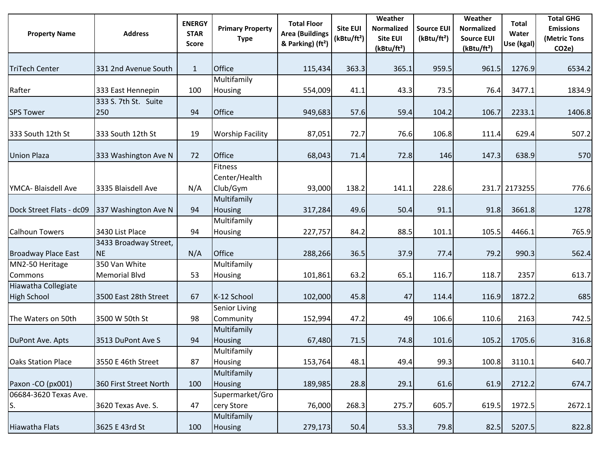| <b>Property Name</b>                      | <b>Address</b>                     | <b>ENERGY</b><br><b>STAR</b><br><b>Score</b> | <b>Primary Property</b><br><b>Type</b> | <b>Total Floor</b><br><b>Area (Buildings</b><br>& Parking) (ft <sup>2</sup> ) | <b>Site EUI</b><br>(kBtu/ft <sup>2</sup> ) | Weather<br><b>Normalized</b><br><b>Site EUI</b><br>(kBtu/ft <sup>2</sup> ) | <b>Source EUI</b><br>(kBtu/ft <sup>2</sup> ) | Weather<br><b>Normalized</b><br><b>Source EUI</b><br>(kBtu/ft <sup>2</sup> ) | <b>Total</b><br>Water<br>Use (kgal) | <b>Total GHG</b><br><b>Emissions</b><br>(Metric Tons<br>CO <sub>2</sub> e) |
|-------------------------------------------|------------------------------------|----------------------------------------------|----------------------------------------|-------------------------------------------------------------------------------|--------------------------------------------|----------------------------------------------------------------------------|----------------------------------------------|------------------------------------------------------------------------------|-------------------------------------|----------------------------------------------------------------------------|
|                                           |                                    |                                              |                                        |                                                                               |                                            |                                                                            |                                              |                                                                              |                                     |                                                                            |
| <b>TriTech Center</b>                     | 331 2nd Avenue South               | $\mathbf{1}$                                 | Office                                 | 115,434                                                                       | 363.3                                      | 365.1                                                                      | 959.5                                        | 961.5                                                                        | 1276.9                              | 6534.2                                                                     |
| Rafter                                    | 333 East Hennepin                  | 100                                          | Multifamily<br>Housing                 | 554,009                                                                       | 41.1                                       | 43.3                                                                       | 73.5                                         | 76.4                                                                         | 3477.1                              | 1834.9                                                                     |
| <b>SPS Tower</b>                          | 333 S. 7th St. Suite<br>250        | 94                                           | Office                                 | 949,683                                                                       | 57.6                                       | 59.4                                                                       | 104.2                                        | 106.7                                                                        | 2233.1                              | 1406.8                                                                     |
| 333 South 12th St                         | 333 South 12th St                  | 19                                           | <b>Worship Facility</b>                | 87,051                                                                        | 72.7                                       | 76.6                                                                       | 106.8                                        | 111.4                                                                        | 629.4                               | 507.2                                                                      |
| <b>Union Plaza</b>                        | 333 Washington Ave N               | 72                                           | Office                                 | 68,043                                                                        | 71.4                                       | 72.8                                                                       | 146                                          | 147.3                                                                        | 638.9                               | 570                                                                        |
| YMCA- Blaisdell Ave                       | 3335 Blaisdell Ave                 | N/A                                          | Fitness<br>Center/Health<br>Club/Gym   | 93,000                                                                        | 138.2                                      | 141.1                                                                      | 228.6                                        |                                                                              | 231.7 2173255                       | 776.6                                                                      |
| Dock Street Flats - dc09                  | 337 Washington Ave N               | 94                                           | Multifamily<br>Housing                 | 317,284                                                                       | 49.6                                       | 50.4                                                                       | 91.1                                         | 91.8                                                                         | 3661.8                              | 1278                                                                       |
| <b>Calhoun Towers</b>                     | 3430 List Place                    | 94                                           | Multifamily<br>Housing                 | 227,757                                                                       | 84.2                                       | 88.5                                                                       | 101.1                                        | 105.5                                                                        | 4466.1                              | 765.9                                                                      |
| <b>Broadway Place East</b>                | 3433 Broadway Street,<br><b>NE</b> | N/A                                          | Office                                 | 288,266                                                                       | 36.5                                       | 37.9                                                                       | 77.4                                         | 79.2                                                                         | 990.3                               | 562.4                                                                      |
| MN2-50 Heritage<br><b>Commons</b>         | 350 Van White<br>Memorial Blvd     | 53                                           | Multifamily<br>Housing                 | 101,861                                                                       | 63.2                                       | 65.1                                                                       | 116.7                                        | 118.7                                                                        | 2357                                | 613.7                                                                      |
| Hiawatha Collegiate<br><b>High School</b> | 3500 East 28th Street              | 67                                           | K-12 School                            | 102,000                                                                       | 45.8                                       | 47                                                                         | 114.4                                        | 116.9                                                                        | 1872.2                              | 685                                                                        |
| The Waters on 50th                        | 3500 W 50th St                     | 98                                           | Senior Living<br>Community             | 152,994                                                                       | 47.2                                       | 49                                                                         | 106.6                                        | 110.6                                                                        | 2163                                | 742.5                                                                      |
| DuPont Ave. Apts                          | 3513 DuPont Ave S                  | 94                                           | Multifamily<br>Housing                 | 67,480                                                                        | 71.5                                       | 74.8                                                                       | 101.6                                        | 105.2                                                                        | 1705.6                              | 316.8                                                                      |
| <b>Oaks Station Place</b>                 | 3550 E 46th Street                 | 87                                           | Multifamily<br>Housing                 | 153,764                                                                       | 48.1                                       | 49.4                                                                       | 99.3                                         | 100.8                                                                        | 3110.1                              | 640.7                                                                      |
| Paxon - CO (px001)                        | 360 First Street North             | 100                                          | Multifamily<br><b>Housing</b>          | 189,985                                                                       | 28.8                                       | 29.1                                                                       | 61.6                                         | 61.9                                                                         | 2712.2                              | 674.7                                                                      |
| 06684-3620 Texas Ave.<br>S.               | 3620 Texas Ave. S.                 | 47                                           | Supermarket/Gro<br>cery Store          | 76,000                                                                        | 268.3                                      | 275.7                                                                      | 605.7                                        | 619.5                                                                        | 1972.5                              | 2672.1                                                                     |
| Hiawatha Flats                            | 3625 E 43rd St                     | 100                                          | Multifamily<br>Housing                 | 279,173                                                                       | 50.4                                       | 53.3                                                                       | 79.8                                         | 82.5                                                                         | 5207.5                              | 822.8                                                                      |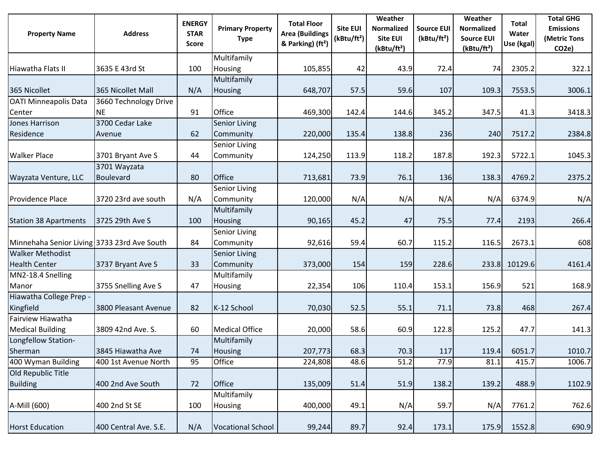| <b>Property Name</b>                        | <b>Address</b>        | <b>ENERGY</b><br><b>STAR</b><br><b>Score</b> | <b>Primary Property</b><br><b>Type</b> | <b>Total Floor</b><br><b>Area (Buildings</b><br>& Parking) (ft <sup>2</sup> ) | <b>Site EUI</b><br>(kBtu/ft <sup>2</sup> ) | Weather<br><b>Normalized</b><br><b>Site EUI</b><br>(kBtu/ft <sup>2</sup> ) | <b>Source EUI</b><br>(kBtu/ft <sup>2</sup> ) | Weather<br><b>Normalized</b><br><b>Source EUI</b><br>(kBtu/ft <sup>2</sup> ) | Total<br>Water<br>Use (kgal) | <b>Total GHG</b><br><b>Emissions</b><br>(Metric Tons<br>CO <sub>2</sub> e) |
|---------------------------------------------|-----------------------|----------------------------------------------|----------------------------------------|-------------------------------------------------------------------------------|--------------------------------------------|----------------------------------------------------------------------------|----------------------------------------------|------------------------------------------------------------------------------|------------------------------|----------------------------------------------------------------------------|
|                                             |                       |                                              | Multifamily                            |                                                                               |                                            |                                                                            |                                              |                                                                              |                              |                                                                            |
| Hiawatha Flats II                           | 3635 E 43rd St        | 100                                          | Housing                                | 105,855                                                                       | 42                                         | 43.9                                                                       | 72.4                                         | 74                                                                           | 2305.2                       | 322.1                                                                      |
|                                             |                       |                                              | Multifamily                            |                                                                               |                                            |                                                                            |                                              |                                                                              |                              |                                                                            |
| 365 Nicollet                                | 365 Nicollet Mall     | N/A                                          | Housing                                | 648,707                                                                       | 57.5                                       | 59.6                                                                       | 107                                          | 109.3                                                                        | 7553.5                       | 3006.1                                                                     |
| <b>OATI Minneapolis Data</b>                | 3660 Technology Drive |                                              |                                        |                                                                               |                                            |                                                                            |                                              |                                                                              |                              |                                                                            |
| Center                                      | <b>NE</b>             | 91                                           | Office                                 | 469,300                                                                       | 142.4                                      | 144.6                                                                      | 345.2                                        | 347.5                                                                        | 41.3                         | 3418.3                                                                     |
| Jones Harrison                              | 3700 Cedar Lake       |                                              | <b>Senior Living</b>                   |                                                                               |                                            |                                                                            |                                              |                                                                              |                              |                                                                            |
| Residence                                   | Avenue                | 62                                           | Community                              | 220,000                                                                       | 135.4                                      | 138.8                                                                      | 236                                          | 240                                                                          | 7517.2                       | 2384.8                                                                     |
|                                             |                       |                                              | Senior Living                          |                                                                               |                                            |                                                                            |                                              |                                                                              |                              |                                                                            |
| <b>Walker Place</b>                         | 3701 Bryant Ave S     | 44                                           | Community                              | 124,250                                                                       | 113.9                                      | 118.2                                                                      | 187.8                                        | 192.3                                                                        | 5722.1                       | 1045.3                                                                     |
|                                             | 3701 Wayzata          |                                              |                                        |                                                                               |                                            |                                                                            |                                              |                                                                              |                              |                                                                            |
| Wayzata Venture, LLC                        | Boulevard             | 80                                           | Office                                 | 713,681                                                                       | 73.9                                       | 76.1                                                                       | 136                                          | 138.3                                                                        | 4769.2                       | 2375.2                                                                     |
| Providence Place                            | 3720 23rd ave south   | N/A                                          | Senior Living<br>Community             | 120,000                                                                       | N/A                                        | N/A                                                                        | N/A                                          | N/A                                                                          | 6374.9                       | N/A                                                                        |
|                                             |                       |                                              | Multifamily                            |                                                                               |                                            |                                                                            |                                              |                                                                              |                              |                                                                            |
| <b>Station 38 Apartments</b>                | 3725 29th Ave S       | 100                                          | Housing                                | 90,165                                                                        | 45.2                                       | 47                                                                         | 75.5                                         | 77.4                                                                         | 2193                         | 266.4                                                                      |
|                                             |                       |                                              | Senior Living                          |                                                                               |                                            |                                                                            |                                              |                                                                              |                              |                                                                            |
| Minnehaha Senior Living 3733 23rd Ave South |                       | 84                                           | Community                              | 92,616                                                                        | 59.4                                       | 60.7                                                                       | 115.2                                        | 116.5                                                                        | 2673.1                       | 608                                                                        |
| <b>Walker Methodist</b>                     |                       |                                              | <b>Senior Living</b>                   |                                                                               |                                            |                                                                            |                                              |                                                                              |                              |                                                                            |
| <b>Health Center</b>                        | 3737 Bryant Ave S     | 33                                           | Community                              | 373,000                                                                       | 154                                        | 159                                                                        | 228.6                                        |                                                                              | 233.8 10129.6                | 4161.4                                                                     |
| MN2-18.4 Snelling                           |                       |                                              | Multifamily                            |                                                                               |                                            |                                                                            |                                              |                                                                              |                              |                                                                            |
| Manor                                       | 3755 Snelling Ave S   | 47                                           | Housing                                | 22,354                                                                        | 106                                        | 110.4                                                                      | 153.1                                        | 156.9                                                                        | 521                          | 168.9                                                                      |
| Hiawatha College Prep -                     |                       |                                              |                                        |                                                                               |                                            |                                                                            |                                              |                                                                              |                              |                                                                            |
| Kingfield                                   | 3800 Pleasant Avenue  | 82                                           | K-12 School                            | 70,030                                                                        | 52.5                                       | 55.1                                                                       | 71.1                                         | 73.8                                                                         | 468                          | 267.4                                                                      |
| Fairview Hiawatha                           |                       |                                              |                                        |                                                                               |                                            |                                                                            |                                              |                                                                              |                              |                                                                            |
| <b>Medical Building</b>                     | 3809 42nd Ave. S.     | 60                                           | <b>Medical Office</b>                  | 20,000                                                                        | 58.6                                       | 60.9                                                                       | 122.8                                        | 125.2                                                                        | 47.7                         | 141.3                                                                      |
| Longfellow Station-                         |                       |                                              | Multifamily                            |                                                                               |                                            |                                                                            |                                              |                                                                              |                              |                                                                            |
| Sherman                                     | 3845 Hiawatha Ave     | 74                                           | Housing                                | 207,773                                                                       | 68.3                                       | 70.3                                                                       | 117                                          | 119.4                                                                        | 6051.7                       | 1010.7                                                                     |
| 400 Wyman Building                          | 400 1st Avenue North  | 95                                           | Office                                 | 224,808                                                                       | 48.6                                       | 51.2                                                                       | 77.9                                         | 81.1                                                                         | 415.7                        | 1006.7                                                                     |
| Old Republic Title                          |                       |                                              |                                        |                                                                               |                                            |                                                                            |                                              |                                                                              |                              |                                                                            |
| <b>Building</b>                             | 400 2nd Ave South     | 72                                           | Office                                 | 135,009                                                                       | 51.4                                       | 51.9                                                                       | 138.2                                        | 139.2                                                                        | 488.9                        | 1102.9                                                                     |
|                                             |                       |                                              | Multifamily                            |                                                                               |                                            |                                                                            |                                              |                                                                              |                              |                                                                            |
| A-Mill (600)                                | 400 2nd St SE         | 100                                          | Housing                                | 400,000                                                                       | 49.1                                       | N/A                                                                        | 59.7                                         | N/A                                                                          | 7761.2                       | 762.6                                                                      |
| <b>Horst Education</b>                      | 400 Central Ave. S.E. | N/A                                          | <b>Vocational School</b>               | 99,244                                                                        | 89.7                                       | 92.4                                                                       | 173.1                                        | 175.9                                                                        | 1552.8                       | 690.9                                                                      |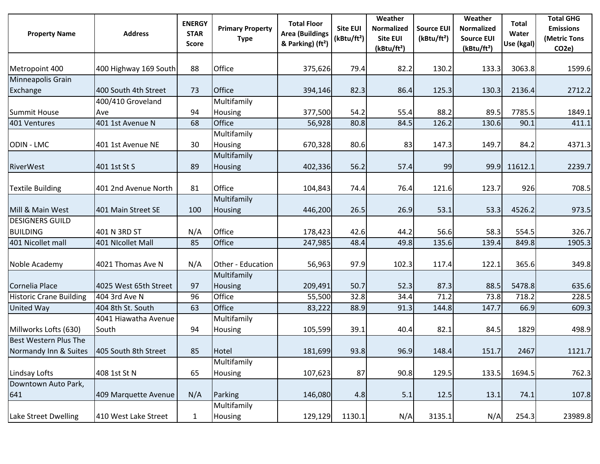| <b>Property Name</b>           | <b>Address</b>                | <b>ENERGY</b><br><b>STAR</b><br><b>Score</b> | <b>Primary Property</b><br><b>Type</b> | <b>Total Floor</b><br><b>Area (Buildings</b><br>& Parking) (ft <sup>2</sup> ) | <b>Site EUI</b><br>(kBtu/ft <sup>2</sup> ) | Weather<br>Normalized<br><b>Site EUI</b><br>(kBtu/ft <sup>2</sup> ) | <b>Source EUI</b><br>(kBtu/ft <sup>2</sup> ) | Weather<br><b>Normalized</b><br><b>Source EUI</b><br>(kBtu/ft <sup>2</sup> ) | Total<br>Water<br>Use (kgal) | <b>Total GHG</b><br><b>Emissions</b><br>(Metric Tons<br>CO <sub>2</sub> e) |
|--------------------------------|-------------------------------|----------------------------------------------|----------------------------------------|-------------------------------------------------------------------------------|--------------------------------------------|---------------------------------------------------------------------|----------------------------------------------|------------------------------------------------------------------------------|------------------------------|----------------------------------------------------------------------------|
| Metropoint 400                 | 400 Highway 169 South         | 88                                           | Office                                 | 375,626                                                                       | 79.4                                       | 82.2                                                                | 130.2                                        | 133.3                                                                        | 3063.8                       | 1599.6                                                                     |
| Minneapolis Grain              |                               |                                              |                                        |                                                                               |                                            |                                                                     |                                              |                                                                              |                              |                                                                            |
| Exchange                       | 400 South 4th Street          | 73                                           | Office                                 | 394,146                                                                       | 82.3                                       | 86.4                                                                | 125.3                                        | 130.3                                                                        | 2136.4                       | 2712.2                                                                     |
|                                | 400/410 Groveland             |                                              | Multifamily                            |                                                                               |                                            |                                                                     |                                              |                                                                              |                              |                                                                            |
| <b>Summit House</b>            | Ave                           | 94                                           | Housing                                | 377,500                                                                       | 54.2                                       | 55.4                                                                | 88.2                                         | 89.5                                                                         | 7785.5                       | 1849.1                                                                     |
| 401 Ventures                   | 401 1st Avenue N              | 68                                           | Office                                 | 56,928                                                                        | 80.8                                       | 84.5                                                                | 126.2                                        | 130.6                                                                        | 90.1                         | 411.1                                                                      |
| <b>ODIN - LMC</b>              | 401 1st Avenue NE             | 30                                           | Multifamily<br>Housing                 | 670,328                                                                       | 80.6                                       | 83                                                                  | 147.3                                        | 149.7                                                                        | 84.2                         | 4371.3                                                                     |
| <b>RiverWest</b>               | 401 1st St S                  | 89                                           | Multifamily<br>Housing                 | 402,336                                                                       | 56.2                                       | 57.4                                                                | 99                                           | 99.9                                                                         | 11612.1                      | 2239.7                                                                     |
| <b>Textile Building</b>        | 401 2nd Avenue North          | 81                                           | Office                                 | 104,843                                                                       | 74.4                                       | 76.4                                                                | 121.6                                        | 123.7                                                                        | 926                          | 708.5                                                                      |
| Mill & Main West               | 401 Main Street SE            | 100                                          | Multifamily<br>Housing                 | 446,200                                                                       | 26.5                                       | 26.9                                                                | 53.1                                         | 53.3                                                                         | 4526.2                       | 973.5                                                                      |
| <b>DESIGNERS GUILD</b>         |                               |                                              |                                        |                                                                               |                                            |                                                                     |                                              |                                                                              |                              |                                                                            |
| <b>BUILDING</b>                | 401 N 3RD ST                  | N/A                                          | Office                                 | 178,423                                                                       | 42.6                                       | 44.2                                                                | 56.6                                         | 58.3                                                                         | 554.5                        | 326.7                                                                      |
| 401 Nicollet mall              | 401 NIcollet Mall             | 85                                           | Office                                 | 247,985                                                                       | 48.4                                       | 49.8                                                                | 135.6                                        | 139.4                                                                        | 849.8                        | 1905.3                                                                     |
| Noble Academy                  | 4021 Thomas Ave N             | N/A                                          | Other - Education                      | 56,963                                                                        | 97.9                                       | 102.3                                                               | 117.4                                        | 122.1                                                                        | 365.6                        | 349.8                                                                      |
| Cornelia Place                 | 4025 West 65th Street         | 97                                           | Multifamily<br>Housing                 | 209,491                                                                       | 50.7                                       | 52.3                                                                | 87.3                                         | 88.5                                                                         | 5478.8                       | 635.6                                                                      |
| <b>Historic Crane Building</b> | 404 3rd Ave N                 | 96                                           | Office                                 | 55,500                                                                        | 32.8                                       | 34.4                                                                | 71.2                                         | 73.8                                                                         | 718.2                        | 228.5                                                                      |
| <b>United Way</b>              | 404 8th St. South             | 63                                           | Office                                 | 83,222                                                                        | 88.9                                       | 91.3                                                                | 144.8                                        | 147.7                                                                        | 66.9                         | 609.3                                                                      |
| Millworks Lofts (630)          | 4041 Hiawatha Avenue<br>South | 94                                           | Multifamily<br>Housing                 | 105,599                                                                       | 39.1                                       | 40.4                                                                | 82.1                                         | 84.5                                                                         | 1829                         | 498.9                                                                      |
| <b>Best Western Plus The</b>   |                               |                                              |                                        |                                                                               |                                            |                                                                     |                                              |                                                                              |                              |                                                                            |
| Normandy Inn & Suites          | 405 South 8th Street          | 85                                           | Hotel                                  | 181,699                                                                       | 93.8                                       | 96.9                                                                | 148.4                                        | 151.7                                                                        | 2467                         | 1121.7                                                                     |
| Lindsay Lofts                  | 408 1st St N                  | 65                                           | Multifamily<br>Housing                 | 107,623                                                                       | 87                                         | 90.8                                                                | 129.5                                        | 133.5                                                                        | 1694.5                       | 762.3                                                                      |
| Downtown Auto Park,<br>641     | 409 Marquette Avenue          | N/A                                          | Parking                                | 146,080                                                                       | 4.8                                        | 5.1                                                                 | 12.5                                         | 13.1                                                                         | 74.1                         | 107.8                                                                      |
| Lake Street Dwelling           | 410 West Lake Street          | $\mathbf{1}$                                 | Multifamily<br>Housing                 | 129,129                                                                       | 1130.1                                     | N/A                                                                 | 3135.1                                       | N/A                                                                          | 254.3                        | 23989.8                                                                    |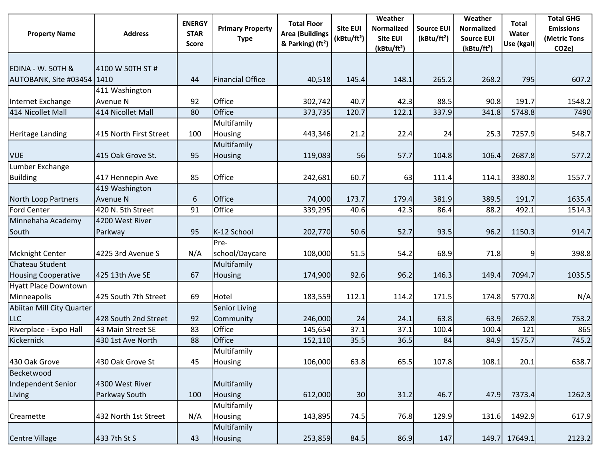| <b>Property Name</b>                   | <b>Address</b>                | <b>ENERGY</b><br><b>STAR</b><br><b>Score</b> | <b>Primary Property</b><br><b>Type</b> | <b>Total Floor</b><br><b>Area (Buildings</b><br>& Parking) (ft <sup>2</sup> ) | <b>Site EUI</b><br>(kBtu/ft <sup>2</sup> ) | Weather<br><b>Normalized</b><br>Site EUI<br>(kBtu/ft <sup>2</sup> ) | <b>Source EUI</b><br>(kBtu/ft <sup>2</sup> ) | Weather<br><b>Normalized</b><br><b>Source EUI</b><br>(kBtu/ft <sup>2</sup> ) | <b>Total</b><br>Water<br>Use (kgal) | <b>Total GHG</b><br><b>Emissions</b><br>(Metric Tons<br>CO <sub>2</sub> e) |
|----------------------------------------|-------------------------------|----------------------------------------------|----------------------------------------|-------------------------------------------------------------------------------|--------------------------------------------|---------------------------------------------------------------------|----------------------------------------------|------------------------------------------------------------------------------|-------------------------------------|----------------------------------------------------------------------------|
|                                        |                               |                                              |                                        |                                                                               |                                            |                                                                     |                                              |                                                                              |                                     |                                                                            |
| EDINA - W. 50TH &                      | 4100 W 50TH ST #              |                                              |                                        |                                                                               |                                            |                                                                     |                                              |                                                                              |                                     |                                                                            |
| AUTOBANK, Site #03454   1410           |                               | 44                                           | <b>Financial Office</b>                | 40,518                                                                        | 145.4                                      | 148.1                                                               | 265.2                                        | 268.2                                                                        | 795                                 | 607.2                                                                      |
|                                        | 411 Washington                |                                              | Office                                 |                                                                               |                                            |                                                                     |                                              |                                                                              |                                     |                                                                            |
| Internet Exchange<br>414 Nicollet Mall | Avenue N<br>414 Nicollet Mall | 92<br>80                                     | Office                                 | 302,742                                                                       | 40.7<br>120.7                              | 42.3<br>122.1                                                       | 88.5<br>337.9                                | 90.8<br>341.8                                                                | 191.7<br>5748.8                     | 1548.2<br>7490                                                             |
|                                        |                               |                                              | Multifamily                            | 373,735                                                                       |                                            |                                                                     |                                              |                                                                              |                                     |                                                                            |
|                                        | 415 North First Street        | 100                                          |                                        |                                                                               | 21.2                                       | 22.4                                                                |                                              |                                                                              | 7257.9                              | 548.7                                                                      |
| <b>Heritage Landing</b>                |                               |                                              | Housing<br>Multifamily                 | 443,346                                                                       |                                            |                                                                     | 24                                           | 25.3                                                                         |                                     |                                                                            |
| <b>VUE</b>                             | 415 Oak Grove St.             | 95                                           | Housing                                | 119,083                                                                       | 56                                         | 57.7                                                                | 104.8                                        | 106.4                                                                        | 2687.8                              | 577.2                                                                      |
| Lumber Exchange                        |                               |                                              |                                        |                                                                               |                                            |                                                                     |                                              |                                                                              |                                     |                                                                            |
| <b>Building</b>                        | 417 Hennepin Ave              | 85                                           | Office                                 | 242,681                                                                       | 60.7                                       | 63                                                                  | 111.4                                        | 114.1                                                                        | 3380.8                              | 1557.7                                                                     |
|                                        | 419 Washington                |                                              |                                        |                                                                               |                                            |                                                                     |                                              |                                                                              |                                     |                                                                            |
| North Loop Partners                    | <b>Avenue N</b>               | 6                                            | Office                                 | 74,000                                                                        | 173.7                                      | 179.4                                                               | 381.9                                        | 389.5                                                                        | 191.7                               | 1635.4                                                                     |
| <b>Ford Center</b>                     | 420 N. 5th Street             | 91                                           | Office                                 | 339,295                                                                       | 40.6                                       | 42.3                                                                | 86.4                                         | 88.2                                                                         | 492.1                               | 1514.3                                                                     |
| Minnehaha Academy                      | 4200 West River               |                                              |                                        |                                                                               |                                            |                                                                     |                                              |                                                                              |                                     |                                                                            |
| South                                  | Parkway                       | 95                                           | K-12 School                            | 202,770                                                                       | 50.6                                       | 52.7                                                                | 93.5                                         | 96.2                                                                         | 1150.3                              | 914.7                                                                      |
|                                        |                               |                                              | Pre-                                   |                                                                               |                                            |                                                                     |                                              |                                                                              |                                     |                                                                            |
| <b>Mcknight Center</b>                 | 4225 3rd Avenue S             | N/A                                          | school/Daycare                         | 108,000                                                                       | 51.5                                       | 54.2                                                                | 68.9                                         | 71.8                                                                         | 9                                   | 398.8                                                                      |
| Chateau Student                        |                               |                                              | Multifamily                            |                                                                               |                                            |                                                                     |                                              |                                                                              |                                     |                                                                            |
| <b>Housing Cooperative</b>             | 425 13th Ave SE               | 67                                           | Housing                                | 174,900                                                                       | 92.6                                       | 96.2                                                                | 146.3                                        | 149.4                                                                        | 7094.7                              | 1035.5                                                                     |
| <b>Hyatt Place Downtown</b>            |                               |                                              |                                        |                                                                               |                                            |                                                                     |                                              |                                                                              |                                     |                                                                            |
| Minneapolis                            | 425 South 7th Street          | 69                                           | Hotel                                  | 183,559                                                                       | 112.1                                      | 114.2                                                               | 171.5                                        | 174.8                                                                        | 5770.8                              | N/A                                                                        |
| Abiitan Mill City Quarter              |                               |                                              | <b>Senior Living</b>                   |                                                                               |                                            |                                                                     |                                              |                                                                              |                                     |                                                                            |
| <b>LLC</b>                             | 428 South 2nd Street          | 92                                           | Community                              | 246,000                                                                       | 24                                         | 24.1                                                                | 63.8                                         | 63.9                                                                         | 2652.8                              | 753.2                                                                      |
| Riverplace - Expo Hall                 | 43 Main Street SE             | 83                                           | Office                                 | 145,654                                                                       | 37.1                                       | 37.1                                                                | 100.4                                        | 100.4                                                                        | 121                                 | 865                                                                        |
| Kickernick                             | 430 1st Ave North             | 88                                           | Office                                 | 152,110                                                                       | 35.5                                       | 36.5                                                                | 84                                           | 84.9                                                                         | 1575.7                              | 745.2                                                                      |
|                                        |                               |                                              | Multifamily                            |                                                                               |                                            |                                                                     |                                              |                                                                              |                                     |                                                                            |
| 430 Oak Grove                          | 430 Oak Grove St              | 45                                           | Housing                                | 106,000                                                                       | 63.8                                       | 65.5                                                                | 107.8                                        | 108.1                                                                        | 20.1                                | 638.7                                                                      |
| Becketwood                             |                               |                                              |                                        |                                                                               |                                            |                                                                     |                                              |                                                                              |                                     |                                                                            |
| Independent Senior                     | 4300 West River               |                                              | Multifamily                            |                                                                               |                                            |                                                                     |                                              |                                                                              |                                     |                                                                            |
| Living                                 | Parkway South                 | 100                                          | Housing                                | 612,000                                                                       | 30                                         | 31.2                                                                | 46.7                                         | 47.9                                                                         | 7373.4                              | 1262.3                                                                     |
|                                        |                               |                                              | Multifamily                            |                                                                               |                                            |                                                                     |                                              |                                                                              |                                     |                                                                            |
| Creamette                              | 432 North 1st Street          | N/A                                          | Housing                                | 143,895                                                                       | 74.5                                       | 76.8                                                                | 129.9                                        | 131.6                                                                        | 1492.9                              | 617.9                                                                      |
|                                        |                               |                                              | Multifamily                            |                                                                               |                                            |                                                                     |                                              |                                                                              |                                     |                                                                            |
| <b>Centre Village</b>                  | 433 7th St S                  | 43                                           | Housing                                | 253,859                                                                       | 84.5                                       | 86.9                                                                | 147                                          |                                                                              | 149.7 17649.1                       | 2123.2                                                                     |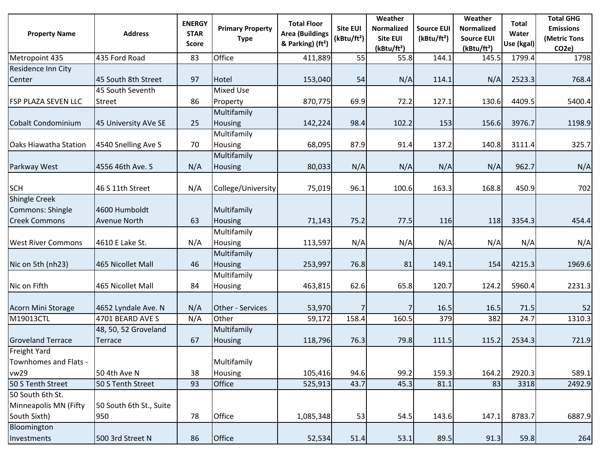| <b>Property Name</b>                                             | <b>Address</b>                       | <b>ENERGY</b><br><b>STAR</b><br><b>Score</b> | <b>Primary Property</b><br><b>Type</b> | <b>Total Floor</b><br><b>Area (Buildings</b><br>& Parking) (ft <sup>2</sup> ) | <b>Site EUI</b><br>(kBtu/ft <sup>2</sup> ) | Weather<br>Normalized<br><b>Site EUI</b><br>(kBtu/ft <sup>2</sup> ) | <b>Source EUI</b><br>(kBtu/ft <sup>2</sup> ) | Weather<br><b>Normalized</b><br><b>Source EUI</b><br>(kBtu/ft <sup>2</sup> ) | <b>Total</b><br>Water<br>Use (kgal) | <b>Total GHG</b><br><b>Emissions</b><br>(Metric Tons<br>CO <sub>2</sub> e) |
|------------------------------------------------------------------|--------------------------------------|----------------------------------------------|----------------------------------------|-------------------------------------------------------------------------------|--------------------------------------------|---------------------------------------------------------------------|----------------------------------------------|------------------------------------------------------------------------------|-------------------------------------|----------------------------------------------------------------------------|
| Metropoint 435                                                   | 435 Ford Road                        | 83                                           | Office                                 | 411,889                                                                       | 55                                         | 55.8                                                                | 144.1                                        | 145.5                                                                        | 1799.4                              | 1798                                                                       |
| Residence Inn City<br>Center                                     | 45 South 8th Street                  | 97                                           | Hotel                                  | 153,040                                                                       | 54                                         | N/A                                                                 | 114.1                                        | N/A                                                                          | 2523.3                              | 768.4                                                                      |
| FSP PLAZA SEVEN LLC                                              | 45 South Seventh<br><b>Street</b>    | 86                                           | <b>Mixed Use</b><br>Property           | 870,775                                                                       | 69.9                                       | 72.2                                                                | 127.1                                        | 130.6                                                                        | 4409.5                              | 5400.4                                                                     |
| <b>Cobalt Condominium</b>                                        | 45 University AVe SE                 | 25                                           | Multifamily<br><b>Housing</b>          | 142,224                                                                       | 98.4                                       | 102.2                                                               | 153                                          | 156.6                                                                        | 3976.7                              | 1198.9                                                                     |
| <b>Oaks Hiawatha Station</b>                                     | 4540 Snelling Ave S                  | 70                                           | Multifamily<br>Housing                 | 68,095                                                                        | 87.9                                       | 91.4                                                                | 137.2                                        | 140.8                                                                        | 3111.4                              | 325.7                                                                      |
| Parkway West                                                     | 4556 46th Ave. S                     | N/A                                          | Multifamily<br>Housing                 | 80,033                                                                        | N/A                                        | N/A                                                                 | N/A                                          | N/A                                                                          | 962.7                               | N/A                                                                        |
| <b>SCH</b>                                                       | 46 S 11th Street                     | N/A                                          | College/University                     | 75,019                                                                        | 96.1                                       | 100.6                                                               | 163.3                                        | 168.8                                                                        | 450.9                               | 702                                                                        |
| <b>Shingle Creek</b><br>Commons: Shingle<br><b>Creek Commons</b> | 4600 Humboldt<br><b>Avenue North</b> | 63                                           | Multifamily<br>Housing                 | 71,143                                                                        | 75.2                                       | 77.5                                                                | 116                                          | 118                                                                          | 3354.3                              | 454.4                                                                      |
| <b>West River Commons</b>                                        | 4610 E Lake St.                      | N/A                                          | Multifamily<br>Housing                 | 113,597                                                                       | N/A                                        | N/A                                                                 | N/A                                          | N/A                                                                          | N/A                                 | N/A                                                                        |
| Nic on 5th (nh23)                                                | 465 Nicollet Mall                    | 46                                           | Multifamily<br>Housing                 | 253,997                                                                       | 76.8                                       | 81                                                                  | 149.1                                        | 154                                                                          | 4215.3                              | 1969.6                                                                     |
| Nic on Fifth                                                     | 465 Nicollet Mall                    | 84                                           | Multifamily<br>Housing                 | 463,815                                                                       | 62.6                                       | 65.8                                                                | 120.7                                        | 124.2                                                                        | 5960.4                              | 2231.3                                                                     |
| Acorn Mini Storage                                               | 4652 Lyndale Ave. N                  | N/A                                          | Other - Services                       | 53,970                                                                        |                                            | 7                                                                   | 16.5                                         | 16.5                                                                         | 71.5                                | 52                                                                         |
| M19013CTL                                                        | 4701 BEARD AVE S                     | N/A                                          | Other                                  | 59,172                                                                        | 158.4                                      | 160.5                                                               | 379                                          | 382                                                                          | 24.7                                | 1310.3                                                                     |
| <b>Groveland Terrace</b>                                         | 48, 50, 52 Groveland<br>Terrace      | 67                                           | Multifamily<br><b>Housing</b>          | 118,796                                                                       | 76.3                                       | 79.8                                                                | 111.5                                        | 115.2                                                                        | 2534.3                              | 721.9                                                                      |
| Freight Yard<br>Townhomes and Flats -<br>vw29                    | 50 4th Ave N                         | 38                                           | Multifamily<br>Housing                 | 105,416                                                                       | 94.6                                       | 99.2                                                                | 159.3                                        | 164.2                                                                        | 2920.3                              | 589.1                                                                      |
| 50 S Tenth Street                                                | 50 S Tenth Street                    | 93                                           | <b>Office</b>                          | 525,913                                                                       | 43.7                                       | 45.3                                                                | 81.1                                         | 83                                                                           | 3318                                | 2492.9                                                                     |
| 50 South 6th St.<br>Minneapolis MN (Fifty<br>South Sixth)        | 50 South 6th St., Suite<br>950       | 78                                           | Office                                 | 1,085,348                                                                     | 53                                         | 54.5                                                                | 143.6                                        | 147.1                                                                        | 8783.7                              | 6887.9                                                                     |
| Bloomington<br>Investments                                       | 500 3rd Street N                     | 86                                           | Office                                 | 52,534                                                                        | 51.4                                       | 53.1                                                                | 89.5                                         | 91.3                                                                         | 59.8                                | 264                                                                        |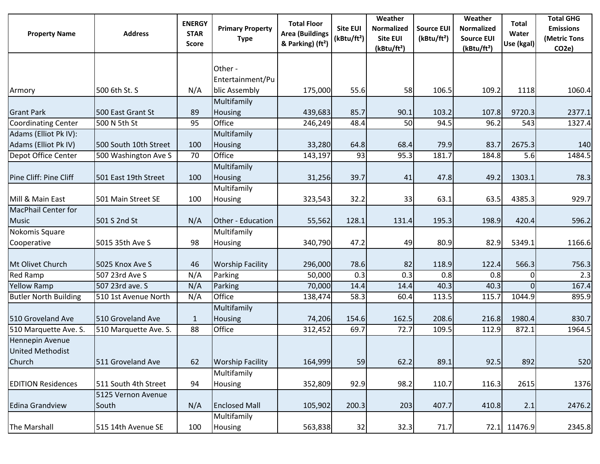| <b>Property Name</b>                                 | <b>Address</b>              | <b>ENERGY</b><br><b>STAR</b><br><b>Score</b> | <b>Primary Property</b><br><b>Type</b> | <b>Total Floor</b><br><b>Area (Buildings</b><br>& Parking) (ft <sup>2</sup> ) | <b>Site EUI</b><br>(kBtu/ft <sup>2</sup> ) | Weather<br><b>Normalized</b><br><b>Site EUI</b><br>(kBtu/ft <sup>2</sup> ) | <b>Source EUI</b><br>(kBtu/ft <sup>2</sup> ) | Weather<br><b>Normalized</b><br><b>Source EUI</b><br>(kBtu/ft <sup>2</sup> ) | Total<br>Water<br>Use (kgal) | <b>Total GHG</b><br><b>Emissions</b><br>(Metric Tons<br>CO <sub>2</sub> e) |
|------------------------------------------------------|-----------------------------|----------------------------------------------|----------------------------------------|-------------------------------------------------------------------------------|--------------------------------------------|----------------------------------------------------------------------------|----------------------------------------------|------------------------------------------------------------------------------|------------------------------|----------------------------------------------------------------------------|
|                                                      |                             |                                              | Other -<br>Entertainment/Pu            |                                                                               |                                            |                                                                            |                                              |                                                                              |                              |                                                                            |
| Armory                                               | 500 6th St. S               | N/A                                          | blic Assembly                          | 175,000                                                                       | 55.6                                       | 58                                                                         | 106.5                                        | 109.2                                                                        | 1118                         | 1060.4                                                                     |
| <b>Grant Park</b>                                    | 500 East Grant St           | 89                                           | Multifamily<br>Housing                 | 439,683                                                                       | 85.7                                       | 90.1                                                                       | 103.2                                        | 107.8                                                                        | 9720.3                       | 2377.1                                                                     |
| <b>Coordinating Center</b>                           | 500 N 5th St                | 95                                           | Office                                 | 246,249                                                                       | 48.4                                       | 50                                                                         | 94.5                                         | 96.2                                                                         | 543                          | 1327.4                                                                     |
| Adams (Elliot Pk IV):<br>Adams (Elliot Pk IV)        | 500 South 10th Street       | 100                                          | Multifamily<br>Housing                 | 33,280                                                                        | 64.8                                       | 68.4                                                                       | 79.9                                         | 83.7                                                                         | 2675.3                       | 140                                                                        |
| Depot Office Center                                  | 500 Washington Ave S        | 70                                           | Office                                 | 143,197                                                                       | 93                                         | 95.3                                                                       | 181.7                                        | 184.8                                                                        | 5.6                          | 1484.5                                                                     |
| Pine Cliff: Pine Cliff                               | 501 East 19th Street        | 100                                          | Multifamily<br><b>Housing</b>          | 31,256                                                                        | 39.7                                       | 41                                                                         | 47.8                                         | 49.2                                                                         | 1303.1                       | 78.3                                                                       |
| Mill & Main East                                     | 501 Main Street SE          | 100                                          | Multifamily<br>Housing                 | 323,543                                                                       | 32.2                                       | 33                                                                         | 63.1                                         | 63.5                                                                         | 4385.3                       | 929.7                                                                      |
| <b>MacPhail Center for</b><br><b>Music</b>           | 501 S 2nd St                | N/A                                          | Other - Education                      | 55,562                                                                        | 128.1                                      | 131.4                                                                      | 195.3                                        | 198.9                                                                        | 420.4                        | 596.2                                                                      |
| Nokomis Square<br>Cooperative                        | 5015 35th Ave S             | 98                                           | Multifamily<br>Housing                 | 340,790                                                                       | 47.2                                       | 49                                                                         | 80.9                                         | 82.9                                                                         | 5349.1                       | 1166.6                                                                     |
| Mt Olivet Church                                     | 5025 Knox Ave S             | 46                                           | <b>Worship Facility</b>                | 296,000                                                                       | 78.6                                       | 82                                                                         | 118.9                                        | 122.4                                                                        | 566.3                        | 756.3                                                                      |
| <b>Red Ramp</b>                                      | 507 23rd Ave S              | N/A                                          | Parking                                | 50,000                                                                        | 0.3                                        | 0.3                                                                        | 0.8                                          | 0.8                                                                          | 0                            | 2.3                                                                        |
| <b>Yellow Ramp</b>                                   | 507 23rd ave. S             | N/A                                          | Parking                                | 70,000                                                                        | 14.4                                       | 14.4                                                                       | 40.3                                         | 40.3                                                                         | $\overline{0}$               | 167.4                                                                      |
| <b>Butler North Building</b>                         | 510 1st Avenue North        | N/A                                          | Office                                 | 138,474                                                                       | 58.3                                       | 60.4                                                                       | 113.5                                        | 115.7                                                                        | 1044.9                       | 895.9                                                                      |
| 510 Groveland Ave                                    | 510 Groveland Ave           | $\mathbf{1}$                                 | Multifamily<br>Housing                 | 74,206                                                                        | 154.6                                      | 162.5                                                                      | 208.6                                        | 216.8                                                                        | 1980.4                       | 830.7                                                                      |
| 510 Marquette Ave. S.                                | 510 Marquette Ave. S.       | 88                                           | Office                                 | 312,452                                                                       | 69.7                                       | 72.7                                                                       | 109.5                                        | 112.9                                                                        | 872.1                        | 1964.5                                                                     |
| Hennepin Avenue<br><b>United Methodist</b><br>Church | 511 Groveland Ave           | 62                                           | <b>Worship Facility</b>                | 164,999                                                                       | 59                                         | 62.2                                                                       | 89.1                                         | 92.5                                                                         | 892                          | 520                                                                        |
| <b>EDITION Residences</b>                            | 511 South 4th Street        | 94                                           | Multifamily<br><b>Housing</b>          | 352,809                                                                       | 92.9                                       | 98.2                                                                       | 110.7                                        | 116.3                                                                        | 2615                         | 1376                                                                       |
| <b>Edina Grandview</b>                               | 5125 Vernon Avenue<br>South | N/A                                          | <b>Enclosed Mall</b>                   | 105,902                                                                       | 200.3                                      | 203                                                                        | 407.7                                        | 410.8                                                                        | 2.1                          | 2476.2                                                                     |
| The Marshall                                         | 515 14th Avenue SE          | 100                                          | Multifamily<br>Housing                 | 563,838                                                                       | 32                                         | 32.3                                                                       | 71.7                                         |                                                                              | 72.1 11476.9                 | 2345.8                                                                     |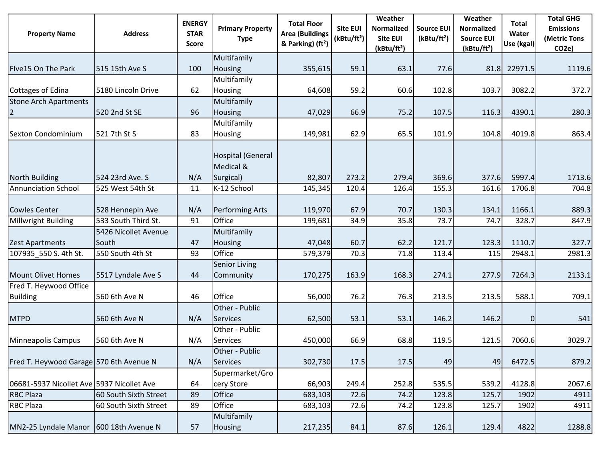| <b>Property Name</b>                      | <b>Address</b>                | <b>ENERGY</b><br><b>STAR</b><br><b>Score</b> | <b>Primary Property</b><br><b>Type</b>             | <b>Total Floor</b><br><b>Area (Buildings</b><br>& Parking) (ft <sup>2</sup> ) | <b>Site EUI</b><br>(kBtu/ft <sup>2</sup> ) | Weather<br>Normalized<br><b>Site EUI</b><br>(kBtu/ft <sup>2</sup> ) | <b>Source EUI</b><br>(kBtu/ft <sup>2</sup> ) | Weather<br><b>Normalized</b><br><b>Source EUI</b><br>(kBtu/ft <sup>2</sup> ) | Total<br>Water<br>Use (kgal) | <b>Total GHG</b><br><b>Emissions</b><br>(Metric Tons<br>CO <sub>2</sub> e) |
|-------------------------------------------|-------------------------------|----------------------------------------------|----------------------------------------------------|-------------------------------------------------------------------------------|--------------------------------------------|---------------------------------------------------------------------|----------------------------------------------|------------------------------------------------------------------------------|------------------------------|----------------------------------------------------------------------------|
|                                           |                               |                                              | Multifamily                                        |                                                                               |                                            |                                                                     |                                              |                                                                              |                              |                                                                            |
| Flve15 On The Park                        | 515 15th Ave S                | 100                                          | Housing                                            | 355,615                                                                       | 59.1                                       | 63.1                                                                | 77.6                                         | 81.8                                                                         | 22971.5                      | 1119.6                                                                     |
|                                           |                               |                                              | Multifamily                                        |                                                                               |                                            |                                                                     |                                              |                                                                              |                              |                                                                            |
| Cottages of Edina                         | 5180 Lincoln Drive            | 62                                           | Housing                                            | 64,608                                                                        | 59.2                                       | 60.6                                                                | 102.8                                        | 103.7                                                                        | 3082.2                       | 372.7                                                                      |
| <b>Stone Arch Apartments</b>              |                               |                                              | Multifamily                                        |                                                                               |                                            |                                                                     |                                              |                                                                              |                              |                                                                            |
| $\overline{2}$                            | 520 2nd St SE                 | 96                                           | Housing                                            | 47,029                                                                        | 66.9                                       | 75.2                                                                | 107.5                                        | 116.3                                                                        | 4390.1                       | 280.3                                                                      |
|                                           |                               |                                              | Multifamily                                        |                                                                               |                                            |                                                                     |                                              |                                                                              |                              |                                                                            |
| Sexton Condominium                        | 521 7th St S                  | 83                                           | Housing                                            | 149,981                                                                       | 62.9                                       | 65.5                                                                | 101.9                                        | 104.8                                                                        | 4019.8                       | 863.4                                                                      |
| North Building                            | 524 23rd Ave. S               | N/A                                          | <b>Hospital (General</b><br>Medical &<br>Surgical) | 82,807                                                                        | 273.2                                      | 279.4                                                               | 369.6                                        | 377.6                                                                        | 5997.4                       | 1713.6                                                                     |
| <b>Annunciation School</b>                | 525 West 54th St              | 11                                           | K-12 School                                        | 145,345                                                                       | 120.4                                      | 126.4                                                               | 155.3                                        | 161.6                                                                        | 1706.8                       | 704.8                                                                      |
| <b>Cowles Center</b>                      | 528 Hennepin Ave              | N/A                                          | Performing Arts                                    | 119,970                                                                       | 67.9                                       | 70.7                                                                | 130.3                                        | 134.1                                                                        | 1166.1                       | 889.3                                                                      |
| Millwright Building                       | 533 South Third St.           | 91                                           | Office                                             | 199,681                                                                       | 34.9                                       | 35.8                                                                | 73.7                                         | 74.7                                                                         | 328.7                        | 847.9                                                                      |
| <b>Zest Apartments</b>                    | 5426 Nicollet Avenue<br>South | 47                                           | Multifamily<br>Housing                             | 47,048                                                                        | 60.7                                       | 62.2                                                                | 121.7                                        | 123.3                                                                        | 1110.7                       | 327.7                                                                      |
| 107935 550 S. 4th St.                     | 550 South 4th St              | 93                                           | Office                                             | 579,379                                                                       | 70.3                                       | 71.8                                                                | 113.4                                        | 115                                                                          | 2948.1                       | 2981.3                                                                     |
| <b>Mount Olivet Homes</b>                 | 5517 Lyndale Ave S            | 44                                           | <b>Senior Living</b><br>Community                  | 170,275                                                                       | 163.9                                      | 168.3                                                               | 274.1                                        | 277.9                                                                        | 7264.3                       | 2133.1                                                                     |
| Fred T. Heywood Office<br><b>Building</b> | 560 6th Ave N                 | 46                                           | Office                                             | 56,000                                                                        | 76.2                                       | 76.3                                                                | 213.5                                        | 213.5                                                                        | 588.1                        | 709.1                                                                      |
| <b>MTPD</b>                               | 560 6th Ave N                 | N/A                                          | Other - Public<br><b>Services</b>                  | 62,500                                                                        | 53.1                                       | 53.1                                                                | 146.2                                        | 146.2                                                                        | $\overline{0}$               | 541                                                                        |
| Minneapolis Campus                        | 560 6th Ave N                 | N/A                                          | Other - Public<br><b>Services</b>                  | 450,000                                                                       | 66.9                                       | 68.8                                                                | 119.5                                        | 121.5                                                                        | 7060.6                       | 3029.7                                                                     |
| Fred T. Heywood Garage 570 6th Avenue N   |                               | N/A                                          | Other - Public<br><b>Services</b>                  | 302,730                                                                       | 17.5                                       | 17.5                                                                | 49                                           | 49                                                                           | 6472.5                       | 879.2                                                                      |
| 06681-5937 Nicollet Ave 5937 Nicollet Ave |                               | 64                                           | Supermarket/Gro<br>cery Store                      | 66,903                                                                        | 249.4                                      | 252.8                                                               | 535.5                                        | 539.2                                                                        | 4128.8                       | 2067.6                                                                     |
| <b>RBC Plaza</b>                          | 60 South Sixth Street         | 89                                           | Office                                             | 683,103                                                                       | 72.6                                       | 74.2                                                                | 123.8                                        | 125.7                                                                        | 1902                         | 4911                                                                       |
| <b>RBC Plaza</b>                          | 60 South Sixth Street         | 89                                           | Office                                             | 683,103                                                                       | 72.6                                       | 74.2                                                                | 123.8                                        | 125.7                                                                        | 1902                         | 4911                                                                       |
| MN2-25 Lyndale Manor 600 18th Avenue N    |                               | 57                                           | Multifamily<br>Housing                             | 217,235                                                                       | 84.1                                       | 87.6                                                                | 126.1                                        | 129.4                                                                        | 4822                         | 1288.8                                                                     |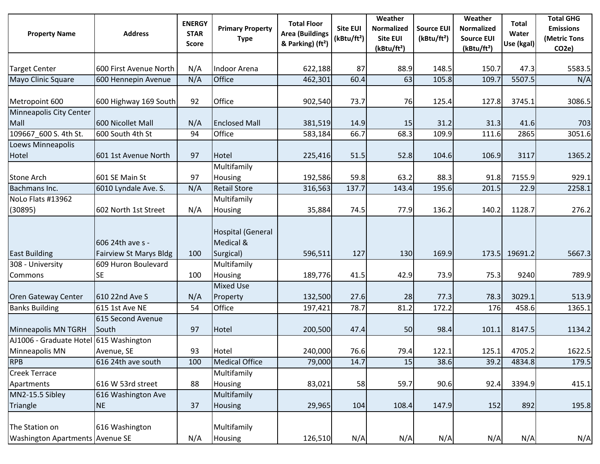| <b>Property Name</b>                              | <b>Address</b>                                    | <b>ENERGY</b><br><b>STAR</b><br><b>Score</b> | <b>Primary Property</b><br><b>Type</b>             | <b>Total Floor</b><br><b>Area (Buildings</b><br>& Parking) (ft <sup>2</sup> ) | <b>Site EUI</b><br>(kBtu/ft <sup>2</sup> ) | Weather<br>Normalized<br>Site EUI<br>(kBtu/ft <sup>2</sup> ) | <b>Source EUI</b><br>(kBtu/ft <sup>2</sup> ) | Weather<br><b>Normalized</b><br><b>Source EUI</b><br>(kBtu/ft <sup>2</sup> ) | <b>Total</b><br>Water<br>Use (kgal) | <b>Total GHG</b><br><b>Emissions</b><br>(Metric Tons<br>CO <sub>2e</sub> ) |
|---------------------------------------------------|---------------------------------------------------|----------------------------------------------|----------------------------------------------------|-------------------------------------------------------------------------------|--------------------------------------------|--------------------------------------------------------------|----------------------------------------------|------------------------------------------------------------------------------|-------------------------------------|----------------------------------------------------------------------------|
| <b>Target Center</b>                              | 600 First Avenue North                            | N/A                                          | Indoor Arena                                       | 622,188                                                                       | 87                                         | 88.9                                                         | 148.5                                        | 150.7                                                                        | 47.3                                | 5583.5                                                                     |
| Mayo Clinic Square                                | 600 Hennepin Avenue                               | N/A                                          | Office                                             | 462,301                                                                       | 60.4                                       | 63                                                           | 105.8                                        | 109.7                                                                        | 5507.5                              | N/A                                                                        |
| Metropoint 600                                    | 600 Highway 169 South                             | 92                                           | Office                                             | 902,540                                                                       | 73.7                                       | 76                                                           | 125.4                                        | 127.8                                                                        | 3745.1                              | 3086.5                                                                     |
| Minneapolis City Center<br>Mall                   | 600 Nicollet Mall                                 | N/A                                          | <b>Enclosed Mall</b>                               | 381,519                                                                       | 14.9                                       | 15                                                           | 31.2                                         | 31.3                                                                         | 41.6                                | 703                                                                        |
| 109667 600 S. 4th St.                             | 600 South 4th St                                  | 94                                           | Office                                             | 583,184                                                                       | 66.7                                       | 68.3                                                         | 109.9                                        | 111.6                                                                        | 2865                                | 3051.6                                                                     |
| Loews Minneapolis<br>Hotel                        | 601 1st Avenue North                              | 97                                           | Hotel                                              | 225,416                                                                       | 51.5                                       | 52.8                                                         | 104.6                                        | 106.9                                                                        | 3117                                | 1365.2                                                                     |
| <b>Stone Arch</b>                                 | 601 SE Main St                                    | 97                                           | Multifamily<br>Housing                             | 192,586                                                                       | 59.8                                       | 63.2                                                         | 88.3                                         | 91.8                                                                         | 7155.9                              | 929.1                                                                      |
| Bachmans Inc.                                     | 6010 Lyndale Ave. S.                              | N/A                                          | <b>Retail Store</b>                                | 316,563                                                                       | 137.7                                      | 143.4                                                        | 195.6                                        | 201.5                                                                        | 22.9                                | 2258.1                                                                     |
| NoLo Flats #13962<br>(30895)                      | 602 North 1st Street                              | N/A                                          | Multifamily<br>Housing                             | 35,884                                                                        | 74.5                                       | 77.9                                                         | 136.2                                        | 140.2                                                                        | 1128.7                              | 276.2                                                                      |
| <b>East Building</b>                              | 606 24th ave s -<br><b>Fairview St Marys Bldg</b> | 100                                          | <b>Hospital (General</b><br>Medical &<br>Surgical) | 596,511                                                                       | 127                                        | 130                                                          | 169.9                                        |                                                                              | 173.5 19691.2                       | 5667.3                                                                     |
| 308 - University                                  | 609 Huron Boulevard                               |                                              | Multifamily                                        |                                                                               |                                            |                                                              |                                              |                                                                              |                                     |                                                                            |
| Commons<br>Oren Gateway Center                    | <b>SE</b><br>610 22nd Ave S                       | 100<br>N/A                                   | Housing<br><b>Mixed Use</b>                        | 189,776<br>132,500                                                            | 41.5<br>27.6                               | 42.9<br>28                                                   | 73.9<br>77.3                                 | 75.3<br>78.3                                                                 | 9240<br>3029.1                      | 789.9<br>513.9                                                             |
| <b>Banks Building</b>                             | 615 1st Ave NE                                    | 54                                           | Property<br>Office                                 | 197,421                                                                       | 78.7                                       | 81.2                                                         | 172.2                                        | 176                                                                          | 458.6                               | 1365.1                                                                     |
|                                                   | 615 Second Avenue                                 |                                              |                                                    |                                                                               |                                            |                                                              |                                              |                                                                              |                                     |                                                                            |
| Minneapolis MN TGRH                               | South                                             | 97                                           | Hotel                                              | 200,500                                                                       | 47.4                                       | 50                                                           | 98.4                                         | 101.1                                                                        | 8147.5                              | 1134.2                                                                     |
| AJ1006 - Graduate Hotel 615 Washington            |                                                   |                                              |                                                    |                                                                               |                                            |                                                              |                                              |                                                                              |                                     |                                                                            |
| Minneapolis MN                                    | Avenue, SE                                        | 93                                           | Hotel                                              | 240,000                                                                       | 76.6                                       | 79.4                                                         | 122.1                                        | 125.1                                                                        | 4705.2                              | 1622.5                                                                     |
| <b>RPB</b>                                        | 616 24th ave south                                | 100                                          | <b>Medical Office</b>                              | 79,000                                                                        | 14.7                                       | 15                                                           | 38.6                                         | 39.2                                                                         | 4834.8                              | 179.5                                                                      |
| <b>Creek Terrace</b><br>Apartments                | 616 W 53rd street                                 | 88                                           | Multifamily<br>Housing                             | 83,021                                                                        | 58                                         | 59.7                                                         | 90.6                                         | 92.4                                                                         | 3394.9                              | 415.1                                                                      |
| MN2-15.5 Sibley<br>Triangle                       | 616 Washington Ave<br><b>NE</b>                   | 37                                           | Multifamily<br>Housing                             | 29,965                                                                        | 104                                        | 108.4                                                        | 147.9                                        | 152                                                                          | 892                                 | 195.8                                                                      |
| The Station on<br>Washington Apartments Avenue SE | 616 Washington                                    | N/A                                          | Multifamily<br>Housing                             | 126,510                                                                       | N/A                                        | N/A                                                          | N/A                                          | N/A                                                                          | N/A                                 | N/A                                                                        |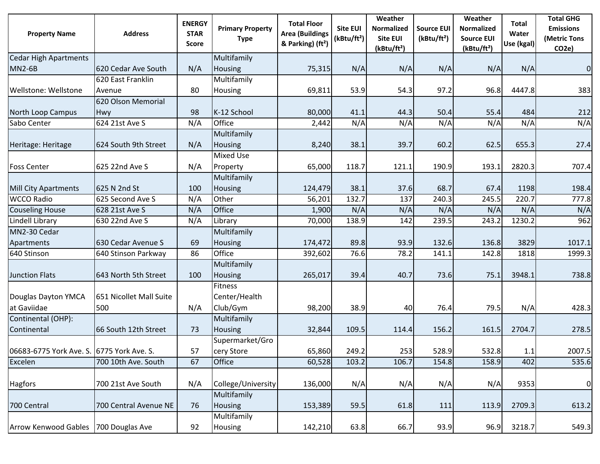| <b>Property Name</b>                      | <b>Address</b>          | <b>ENERGY</b><br><b>STAR</b><br><b>Score</b> | <b>Primary Property</b><br><b>Type</b> | <b>Total Floor</b><br><b>Area (Buildings</b><br>& Parking) (ft <sup>2</sup> ) | <b>Site EUI</b><br>(kBtu/ft <sup>2</sup> ) | Weather<br><b>Normalized</b><br><b>Site EUI</b><br>(kBtu/ft <sup>2</sup> ) | <b>Source EUI</b><br>(kBtu/ft <sup>2</sup> ) | Weather<br><b>Normalized</b><br><b>Source EUI</b><br>(kBtu/ft <sup>2</sup> ) | <b>Total</b><br>Water<br>Use (kgal) | <b>Total GHG</b><br><b>Emissions</b><br>(Metric Tons<br>CO <sub>2</sub> e) |
|-------------------------------------------|-------------------------|----------------------------------------------|----------------------------------------|-------------------------------------------------------------------------------|--------------------------------------------|----------------------------------------------------------------------------|----------------------------------------------|------------------------------------------------------------------------------|-------------------------------------|----------------------------------------------------------------------------|
| <b>Cedar High Apartments</b>              |                         |                                              | Multifamily                            |                                                                               |                                            |                                                                            |                                              |                                                                              |                                     |                                                                            |
| <b>MN2-6B</b>                             | 620 Cedar Ave South     | N/A                                          | Housing                                | 75,315                                                                        | N/A                                        | N/A                                                                        | N/A                                          | N/A                                                                          | N/A                                 | $\overline{0}$                                                             |
|                                           | 620 East Franklin       |                                              | Multifamily                            |                                                                               |                                            |                                                                            |                                              |                                                                              |                                     |                                                                            |
| Wellstone: Wellstone                      | Avenue                  | 80                                           | Housing                                | 69,811                                                                        | 53.9                                       | 54.3                                                                       | 97.2                                         | 96.8                                                                         | 4447.8                              | 383                                                                        |
|                                           | 620 Olson Memorial      |                                              |                                        |                                                                               |                                            |                                                                            |                                              |                                                                              |                                     |                                                                            |
| North Loop Campus                         | Hwy                     | 98                                           | K-12 School                            | 80,000                                                                        | 41.1                                       | 44.3                                                                       | 50.4                                         | 55.4                                                                         | 484                                 | 212                                                                        |
| Sabo Center                               | 624 21st Ave S          | N/A                                          | Office                                 | 2,442                                                                         | N/A                                        | N/A                                                                        | N/A                                          | N/A                                                                          | N/A                                 | N/A                                                                        |
|                                           |                         |                                              | Multifamily                            |                                                                               |                                            |                                                                            |                                              |                                                                              |                                     |                                                                            |
| Heritage: Heritage                        | 624 South 9th Street    | N/A                                          | Housing                                | 8,240                                                                         | 38.1                                       | 39.7                                                                       | 60.2                                         | 62.5                                                                         | 655.3                               | 27.4                                                                       |
|                                           |                         |                                              | <b>Mixed Use</b>                       |                                                                               |                                            |                                                                            |                                              |                                                                              |                                     |                                                                            |
| <b>Foss Center</b>                        | 625 22nd Ave S          | N/A                                          | Property                               | 65,000                                                                        | 118.7                                      | 121.1                                                                      | 190.9                                        | 193.1                                                                        | 2820.3                              | 707.4                                                                      |
|                                           |                         |                                              | Multifamily                            |                                                                               |                                            |                                                                            |                                              |                                                                              |                                     |                                                                            |
| <b>Mill City Apartments</b>               | 625 N 2nd St            | 100                                          | Housing                                | 124,479                                                                       | 38.1                                       | 37.6                                                                       | 68.7                                         | 67.4                                                                         | 1198                                | 198.4                                                                      |
| <b>WCCO Radio</b>                         | 625 Second Ave S        | N/A                                          | Other                                  | 56,201                                                                        | 132.7                                      | 137                                                                        | 240.3                                        | 245.5                                                                        | 220.7                               | 777.8                                                                      |
| <b>Couseling House</b>                    | 628 21st Ave S          | N/A                                          | Office                                 | 1,900                                                                         | N/A                                        | N/A                                                                        | N/A                                          | N/A                                                                          | N/A                                 | N/A                                                                        |
| Lindell Library                           | 630 22nd Ave S          | N/A                                          | Library                                | 70,000                                                                        | 138.9                                      | 142                                                                        | 239.5                                        | 243.2                                                                        | 1230.2                              | 962                                                                        |
| MN2-30 Cedar                              |                         |                                              | Multifamily                            |                                                                               |                                            |                                                                            |                                              |                                                                              |                                     |                                                                            |
| Apartments                                | 630 Cedar Avenue S      | 69                                           | Housing                                | 174,472                                                                       | 89.8                                       | 93.9                                                                       | 132.6                                        | 136.8                                                                        | 3829                                | 1017.1                                                                     |
| 640 Stinson                               | 640 Stinson Parkway     | 86                                           | Office                                 | 392,602                                                                       | 76.6                                       | 78.2                                                                       | 141.1                                        | 142.8                                                                        | 1818                                | 1999.3                                                                     |
|                                           |                         |                                              | Multifamily                            |                                                                               |                                            |                                                                            |                                              |                                                                              |                                     |                                                                            |
| <b>Junction Flats</b>                     | 643 North 5th Street    | 100                                          | Housing                                | 265,017                                                                       | 39.4                                       | 40.7                                                                       | 73.6                                         | 75.1                                                                         | 3948.1                              | 738.8                                                                      |
| Douglas Dayton YMCA                       | 651 Nicollet Mall Suite |                                              | <b>Fitness</b><br>Center/Health        |                                                                               |                                            |                                                                            |                                              |                                                                              |                                     |                                                                            |
| at Gaviidae                               | 500                     | N/A                                          | Club/Gym                               | 98,200                                                                        | 38.9                                       | 40                                                                         | 76.4                                         | 79.5                                                                         | N/A                                 | 428.3                                                                      |
| Continental (OHP):                        |                         |                                              | Multifamily                            |                                                                               |                                            |                                                                            |                                              |                                                                              |                                     |                                                                            |
| Continental                               | 66 South 12th Street    | 73                                           | Housing                                | 32,844                                                                        | 109.5                                      | 114.4                                                                      | 156.2                                        | 161.5                                                                        | 2704.7                              | 278.5                                                                      |
|                                           |                         |                                              | Supermarket/Gro                        |                                                                               |                                            |                                                                            |                                              |                                                                              |                                     |                                                                            |
| 06683-6775 York Ave. S. 6775 York Ave. S. |                         | 57                                           | cery Store                             | 65,860                                                                        | 249.2                                      | 253                                                                        | 528.9                                        | 532.8                                                                        | 1.1                                 | 2007.5                                                                     |
| Excelen                                   | 700 10th Ave. South     | 67                                           | Office                                 | 60,528                                                                        | 103.2                                      | 106.7                                                                      | 154.8                                        | 158.9                                                                        | 402                                 | 535.6                                                                      |
|                                           |                         |                                              |                                        |                                                                               |                                            |                                                                            |                                              |                                                                              |                                     |                                                                            |
| <b>Hagfors</b>                            | 700 21st Ave South      | N/A                                          | College/University                     | 136,000                                                                       | N/A                                        | N/A                                                                        | N/A                                          | N/A                                                                          | 9353                                | $\overline{0}$                                                             |
|                                           |                         |                                              | Multifamily                            |                                                                               |                                            |                                                                            |                                              |                                                                              |                                     |                                                                            |
| 700 Central                               | 700 Central Avenue NE   | 76                                           | Housing                                | 153,389                                                                       | 59.5                                       | 61.8                                                                       | 111                                          | 113.9                                                                        | 2709.3                              | 613.2                                                                      |
|                                           |                         |                                              | Multifamily                            |                                                                               |                                            |                                                                            |                                              |                                                                              |                                     |                                                                            |
| <b>Arrow Kenwood Gables</b>               | 700 Douglas Ave         | 92                                           | Housing                                | 142,210                                                                       | 63.8                                       | 66.7                                                                       | 93.9                                         | 96.9                                                                         | 3218.7                              | 549.3                                                                      |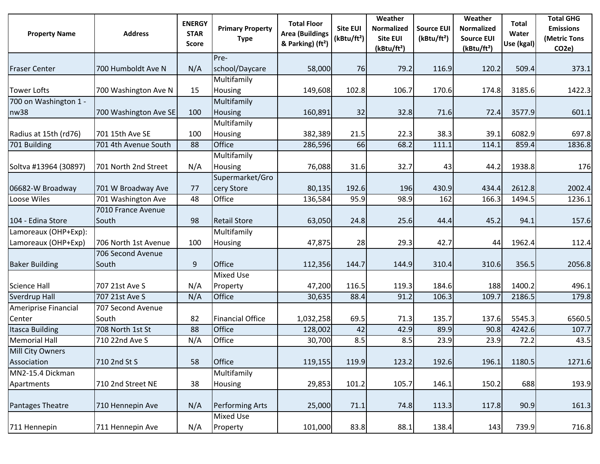| <b>Property Name</b>   | <b>Address</b>        | <b>ENERGY</b><br><b>STAR</b><br><b>Score</b> | <b>Primary Property</b><br><b>Type</b> | <b>Total Floor</b><br><b>Area (Buildings</b><br>& Parking) (ft <sup>2</sup> ) | <b>Site EUI</b><br>(kBtu/ft <sup>2</sup> ) | Weather<br><b>Normalized</b><br><b>Site EUI</b><br>(kBtu/ft <sup>2</sup> ) | <b>Source EUI</b><br>(kBtu/ft <sup>2</sup> ) | Weather<br><b>Normalized</b><br><b>Source EUI</b><br>(kBtu/ft <sup>2</sup> ) | <b>Total</b><br>Water<br>Use (kgal) | <b>Total GHG</b><br><b>Emissions</b><br>(Metric Tons<br>CO <sub>2</sub> e) |
|------------------------|-----------------------|----------------------------------------------|----------------------------------------|-------------------------------------------------------------------------------|--------------------------------------------|----------------------------------------------------------------------------|----------------------------------------------|------------------------------------------------------------------------------|-------------------------------------|----------------------------------------------------------------------------|
|                        |                       |                                              | Pre-                                   |                                                                               |                                            |                                                                            |                                              |                                                                              |                                     |                                                                            |
| <b>Fraser Center</b>   | 700 Humboldt Ave N    | N/A                                          | school/Daycare                         | 58,000                                                                        | 76                                         | 79.2                                                                       | 116.9                                        | 120.2                                                                        | 509.4                               | 373.1                                                                      |
|                        |                       |                                              | Multifamily                            |                                                                               |                                            |                                                                            |                                              |                                                                              |                                     |                                                                            |
| <b>Tower Lofts</b>     | 700 Washington Ave N  | 15                                           | Housing                                | 149,608                                                                       | 102.8                                      | 106.7                                                                      | 170.6                                        | 174.8                                                                        | 3185.6                              | 1422.3                                                                     |
| 700 on Washington 1 -  |                       |                                              | Multifamily                            |                                                                               |                                            |                                                                            |                                              |                                                                              |                                     |                                                                            |
| nw38                   | 700 Washington Ave SE | 100                                          | Housing                                | 160,891                                                                       | 32                                         | 32.8                                                                       | 71.6                                         | 72.4                                                                         | 3577.9                              | 601.1                                                                      |
|                        |                       |                                              | Multifamily                            |                                                                               |                                            |                                                                            |                                              |                                                                              |                                     |                                                                            |
| Radius at 15th (rd76)  | 701 15th Ave SE       | 100                                          | Housing                                | 382,389                                                                       | 21.5                                       | 22.3                                                                       | 38.3                                         | 39.1                                                                         | 6082.9                              | 697.8                                                                      |
| 701 Building           | 701 4th Avenue South  | 88                                           | Office                                 | 286,596                                                                       | 66                                         | 68.2                                                                       | 111.1                                        | 114.1                                                                        | 859.4                               | 1836.8                                                                     |
|                        |                       |                                              | Multifamily                            |                                                                               |                                            |                                                                            |                                              |                                                                              |                                     |                                                                            |
| Soltva #13964 (30897)  | 701 North 2nd Street  | N/A                                          | Housing                                | 76,088                                                                        | 31.6                                       | 32.7                                                                       | 43                                           | 44.2                                                                         | 1938.8                              | 176                                                                        |
|                        |                       |                                              | Supermarket/Gro                        |                                                                               |                                            |                                                                            |                                              |                                                                              |                                     |                                                                            |
| 06682-W Broadway       | 701 W Broadway Ave    | 77                                           | cery Store                             | 80,135                                                                        | 192.6                                      | 196                                                                        | 430.9                                        | 434.4                                                                        | 2612.8                              | 2002.4                                                                     |
| Loose Wiles            | 701 Washington Ave    | 48                                           | Office                                 | 136,584                                                                       | 95.9                                       | 98.9                                                                       | 162                                          | 166.3                                                                        | 1494.5                              | 1236.1                                                                     |
|                        | 7010 France Avenue    |                                              |                                        |                                                                               |                                            |                                                                            |                                              |                                                                              |                                     |                                                                            |
| 104 - Edina Store      | South                 | 98                                           | <b>Retail Store</b>                    | 63,050                                                                        | 24.8                                       | 25.6                                                                       | 44.4                                         | 45.2                                                                         | 94.1                                | 157.6                                                                      |
| Lamoreaux (OHP+Exp):   |                       |                                              | Multifamily                            |                                                                               |                                            |                                                                            |                                              |                                                                              |                                     |                                                                            |
| Lamoreaux (OHP+Exp)    | 706 North 1st Avenue  | 100                                          | Housing                                | 47,875                                                                        | 28                                         | 29.3                                                                       | 42.7                                         | 44                                                                           | 1962.4                              | 112.4                                                                      |
|                        | 706 Second Avenue     |                                              |                                        |                                                                               |                                            |                                                                            |                                              |                                                                              |                                     |                                                                            |
| <b>Baker Building</b>  | South                 | 9                                            | Office                                 | 112,356                                                                       | 144.7                                      | 144.9                                                                      | 310.4                                        | 310.6                                                                        | 356.5                               | 2056.8                                                                     |
|                        |                       |                                              | <b>Mixed Use</b>                       |                                                                               |                                            |                                                                            |                                              |                                                                              |                                     |                                                                            |
| <b>Science Hall</b>    | 707 21st Ave S        | N/A                                          | Property                               | 47,200                                                                        | 116.5                                      | 119.3                                                                      | 184.6                                        | 188                                                                          | 1400.2                              | 496.1                                                                      |
| Sverdrup Hall          | 707 21st Ave S        | N/A                                          | Office                                 | 30,635                                                                        | 88.4                                       | 91.2                                                                       | 106.3                                        | 109.7                                                                        | 2186.5                              | 179.8                                                                      |
| Ameriprise Financial   | 707 Second Avenue     |                                              |                                        |                                                                               |                                            |                                                                            |                                              |                                                                              |                                     |                                                                            |
| Center                 | South                 | 82                                           | <b>Financial Office</b>                | 1,032,258                                                                     | 69.5                                       | 71.3                                                                       | 135.7                                        | 137.6                                                                        | 5545.3                              | 6560.5                                                                     |
| <b>Itasca Building</b> | 708 North 1st St      | 88                                           | Office                                 | 128,002                                                                       | 42                                         | 42.9                                                                       | 89.9                                         | 90.8                                                                         | 4242.6                              | 107.7                                                                      |
| <b>Memorial Hall</b>   | 710 22nd Ave S        | N/A                                          | Office                                 | 30,700                                                                        | 8.5                                        | 8.5                                                                        | 23.9                                         | 23.9                                                                         | 72.2                                | 43.5                                                                       |
| Mill City Owners       |                       |                                              |                                        |                                                                               |                                            |                                                                            |                                              |                                                                              |                                     |                                                                            |
| Association            | 710 2nd St S          | 58                                           | Office                                 | 119,155                                                                       | 119.9                                      | 123.2                                                                      | 192.6                                        | 196.1                                                                        | 1180.5                              | 1271.6                                                                     |
| MN2-15.4 Dickman       |                       |                                              | Multifamily                            |                                                                               |                                            |                                                                            |                                              |                                                                              |                                     |                                                                            |
| Apartments             | 710 2nd Street NE     | 38                                           | Housing                                | 29,853                                                                        | 101.2                                      | 105.7                                                                      | 146.1                                        | 150.2                                                                        | 688                                 | 193.9                                                                      |
| Pantages Theatre       | 710 Hennepin Ave      | N/A                                          | Performing Arts                        | 25,000                                                                        | 71.1                                       | 74.8                                                                       | 113.3                                        | 117.8                                                                        | 90.9                                | 161.3                                                                      |
|                        |                       |                                              | Mixed Use                              |                                                                               |                                            |                                                                            |                                              |                                                                              |                                     |                                                                            |
| 711 Hennepin           | 711 Hennepin Ave      | N/A                                          | Property                               | 101,000                                                                       | 83.8                                       | 88.1                                                                       | 138.4                                        | 143                                                                          | 739.9                               | 716.8                                                                      |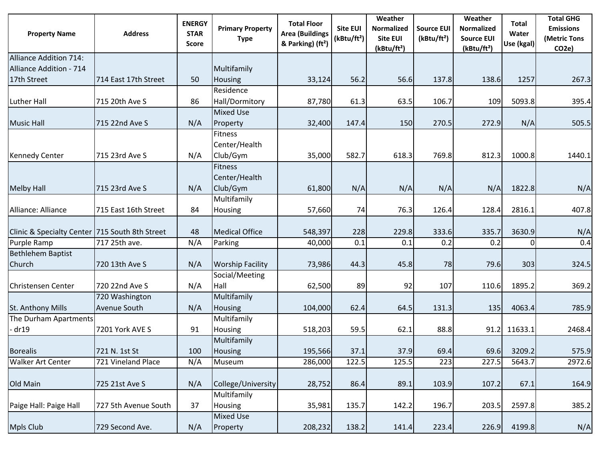| <b>Property Name</b>                             | <b>Address</b>       | <b>ENERGY</b><br><b>STAR</b><br><b>Score</b> | <b>Primary Property</b><br><b>Type</b> | <b>Total Floor</b><br><b>Area (Buildings</b><br>& Parking) (ft <sup>2</sup> ) | <b>Site EUI</b><br>(kBtu/ft <sup>2</sup> ) | Weather<br>Normalized<br><b>Site EUI</b><br>(kBtu/ft <sup>2</sup> ) | <b>Source EUI</b><br>(kBtu/ft <sup>2</sup> ) | Weather<br><b>Normalized</b><br><b>Source EUI</b><br>(kBtu/ft <sup>2</sup> ) | Total<br>Water<br>Use (kgal) | <b>Total GHG</b><br><b>Emissions</b><br>(Metric Tons<br>CO <sub>2</sub> e) |
|--------------------------------------------------|----------------------|----------------------------------------------|----------------------------------------|-------------------------------------------------------------------------------|--------------------------------------------|---------------------------------------------------------------------|----------------------------------------------|------------------------------------------------------------------------------|------------------------------|----------------------------------------------------------------------------|
| Alliance Addition 714:                           |                      |                                              |                                        |                                                                               |                                            |                                                                     |                                              |                                                                              |                              |                                                                            |
| Alliance Addition - 714                          |                      |                                              | Multifamily                            |                                                                               |                                            |                                                                     |                                              |                                                                              |                              |                                                                            |
| 17th Street                                      | 714 East 17th Street | 50                                           | <b>Housing</b>                         | 33,124                                                                        | 56.2                                       | 56.6                                                                | 137.8                                        | 138.6                                                                        | 1257                         | 267.3                                                                      |
|                                                  |                      |                                              | Residence                              |                                                                               |                                            |                                                                     |                                              |                                                                              |                              |                                                                            |
| Luther Hall                                      | 715 20th Ave S       | 86                                           | Hall/Dormitory                         | 87,780                                                                        | 61.3                                       | 63.5                                                                | 106.7                                        | 109                                                                          | 5093.8                       | 395.4                                                                      |
|                                                  |                      |                                              | <b>Mixed Use</b>                       |                                                                               |                                            |                                                                     |                                              |                                                                              |                              |                                                                            |
| <b>Music Hall</b>                                | 715 22nd Ave S       | N/A                                          | Property                               | 32,400                                                                        | 147.4                                      | 150                                                                 | 270.5                                        | 272.9                                                                        | N/A                          | 505.5                                                                      |
|                                                  |                      |                                              | <b>Fitness</b>                         |                                                                               |                                            |                                                                     |                                              |                                                                              |                              |                                                                            |
|                                                  |                      |                                              | Center/Health                          |                                                                               |                                            |                                                                     |                                              |                                                                              |                              |                                                                            |
| <b>Kennedy Center</b>                            | 715 23rd Ave S       | N/A                                          | Club/Gym                               | 35,000                                                                        | 582.7                                      | 618.3                                                               | 769.8                                        | 812.3                                                                        | 1000.8                       | 1440.1                                                                     |
|                                                  |                      |                                              | <b>Fitness</b>                         |                                                                               |                                            |                                                                     |                                              |                                                                              |                              |                                                                            |
|                                                  |                      |                                              | Center/Health                          |                                                                               |                                            |                                                                     |                                              |                                                                              |                              |                                                                            |
| <b>Melby Hall</b>                                | 715 23rd Ave S       | N/A                                          | Club/Gym                               | 61,800                                                                        | N/A                                        | N/A                                                                 | N/A                                          | N/A                                                                          | 1822.8                       | N/A                                                                        |
|                                                  |                      |                                              | Multifamily                            |                                                                               |                                            |                                                                     |                                              |                                                                              |                              |                                                                            |
| Alliance: Alliance                               | 715 East 16th Street | 84                                           | Housing                                | 57,660                                                                        | 74                                         | 76.3                                                                | 126.4                                        | 128.4                                                                        | 2816.1                       | 407.8                                                                      |
| Clinic & Specialty Center   715 South 8th Street |                      | 48                                           | <b>Medical Office</b>                  | 548,397                                                                       | 228                                        | 229.8                                                               | 333.6                                        | 335.7                                                                        | 3630.9                       | N/A                                                                        |
| Purple Ramp                                      | 717 25th ave.        | N/A                                          | Parking                                | 40,000                                                                        | 0.1                                        | 0.1                                                                 | 0.2                                          | 0.2                                                                          | 01                           | 0.4                                                                        |
| <b>Bethlehem Baptist</b>                         |                      |                                              |                                        |                                                                               |                                            |                                                                     |                                              |                                                                              |                              |                                                                            |
| Church                                           | 720 13th Ave S       | N/A                                          | <b>Worship Facility</b>                | 73,986                                                                        | 44.3                                       | 45.8                                                                | 78                                           | 79.6                                                                         | 303                          | 324.5                                                                      |
|                                                  |                      |                                              | Social/Meeting                         |                                                                               |                                            |                                                                     |                                              |                                                                              |                              |                                                                            |
| Christensen Center                               | 720 22nd Ave S       | N/A                                          | Hall                                   | 62,500                                                                        | 89                                         | 92                                                                  | 107                                          | 110.6                                                                        | 1895.2                       | 369.2                                                                      |
|                                                  | 720 Washington       |                                              | Multifamily                            |                                                                               |                                            |                                                                     |                                              |                                                                              |                              |                                                                            |
| St. Anthony Mills                                | Avenue South         | N/A                                          | Housing                                | 104,000                                                                       | 62.4                                       | 64.5                                                                | 131.3                                        | 135                                                                          | 4063.4                       | 785.9                                                                      |
| The Durham Apartments                            |                      |                                              | Multifamily                            |                                                                               |                                            |                                                                     |                                              |                                                                              |                              |                                                                            |
| - dr19                                           | 7201 York AVE S      | 91                                           | Housing                                | 518,203                                                                       | 59.5                                       | 62.1                                                                | 88.8                                         | 91.2                                                                         | 11633.1                      | 2468.4                                                                     |
|                                                  |                      |                                              | Multifamily                            |                                                                               |                                            |                                                                     |                                              |                                                                              |                              |                                                                            |
| <b>Borealis</b>                                  | 721 N. 1st St        | 100                                          | Housing                                | 195,566                                                                       | 37.1                                       | 37.9                                                                | 69.4                                         | 69.6                                                                         | 3209.2                       | 575.9                                                                      |
| Walker Art Center                                | 721 Vineland Place   | N/A                                          | Museum                                 | 286,000                                                                       | 122.5                                      | 125.5                                                               | 223                                          | 227.5                                                                        | 5643.7                       | 2972.6                                                                     |
| Old Main                                         | 725 21st Ave S       | N/A                                          | College/University                     | 28,752                                                                        | 86.4                                       | 89.1                                                                | 103.9                                        | 107.2                                                                        | 67.1                         | 164.9                                                                      |
|                                                  |                      |                                              | Multifamily                            |                                                                               |                                            |                                                                     |                                              |                                                                              |                              |                                                                            |
| Paige Hall: Paige Hall                           | 727 5th Avenue South | 37                                           | Housing                                | 35,981                                                                        | 135.7                                      | 142.2                                                               | 196.7                                        | 203.5                                                                        | 2597.8                       | 385.2                                                                      |
|                                                  |                      |                                              | <b>Mixed Use</b>                       |                                                                               |                                            |                                                                     |                                              |                                                                              |                              |                                                                            |
| <b>Mpls Club</b>                                 | 729 Second Ave.      | N/A                                          | Property                               | 208,232                                                                       | 138.2                                      | 141.4                                                               | 223.4                                        | 226.9                                                                        | 4199.8                       | N/A                                                                        |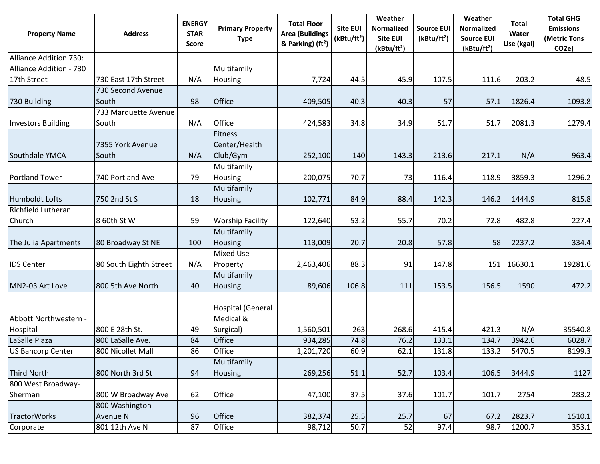| <b>Property Name</b>      | <b>Address</b>         | <b>ENERGY</b><br><b>STAR</b><br><b>Score</b> | <b>Primary Property</b><br><b>Type</b> | <b>Total Floor</b><br><b>Area (Buildings</b><br>& Parking) (ft <sup>2</sup> ) | <b>Site EUI</b><br>(kBtu/ft <sup>2</sup> ) | Weather<br><b>Normalized</b><br><b>Site EUI</b> | <b>Source EUI</b><br>(kBtu/ft <sup>2</sup> ) | Weather<br><b>Normalized</b><br><b>Source EUI</b> | <b>Total</b><br>Water<br>Use (kgal) | <b>Total GHG</b><br><b>Emissions</b><br>(Metric Tons |
|---------------------------|------------------------|----------------------------------------------|----------------------------------------|-------------------------------------------------------------------------------|--------------------------------------------|-------------------------------------------------|----------------------------------------------|---------------------------------------------------|-------------------------------------|------------------------------------------------------|
|                           |                        |                                              |                                        |                                                                               |                                            | (kBtu/ft <sup>2</sup> )                         |                                              | (kBtu/ft <sup>2</sup> )                           |                                     | CO <sub>2</sub> e)                                   |
| Alliance Addition 730:    |                        |                                              |                                        |                                                                               |                                            |                                                 |                                              |                                                   |                                     |                                                      |
| Alliance Addition - 730   |                        |                                              | Multifamily                            |                                                                               |                                            |                                                 |                                              |                                                   |                                     |                                                      |
| 17th Street               | 730 East 17th Street   | N/A                                          | Housing                                | 7,724                                                                         | 44.5                                       | 45.9                                            | 107.5                                        | 111.6                                             | 203.2                               | 48.5                                                 |
|                           | 730 Second Avenue      |                                              |                                        |                                                                               |                                            |                                                 |                                              |                                                   |                                     |                                                      |
| 730 Building              | <b>South</b>           | 98                                           | Office                                 | 409,505                                                                       | 40.3                                       | 40.3                                            | 57                                           | 57.1                                              | 1826.4                              | 1093.8                                               |
|                           | 733 Marquette Avenue   |                                              |                                        |                                                                               |                                            |                                                 |                                              |                                                   |                                     |                                                      |
| <b>Investors Building</b> | South                  | N/A                                          | Office                                 | 424,583                                                                       | 34.8                                       | 34.9                                            | 51.7                                         | 51.7                                              | 2081.3                              | 1279.4                                               |
|                           |                        |                                              | <b>Fitness</b>                         |                                                                               |                                            |                                                 |                                              |                                                   |                                     |                                                      |
|                           | 7355 York Avenue       |                                              | Center/Health                          |                                                                               |                                            |                                                 |                                              |                                                   |                                     |                                                      |
| Southdale YMCA            | South                  | N/A                                          | Club/Gym                               | 252,100                                                                       | 140                                        | 143.3                                           | 213.6                                        | 217.1                                             | N/A                                 | 963.4                                                |
|                           |                        |                                              | Multifamily                            |                                                                               |                                            |                                                 |                                              |                                                   |                                     |                                                      |
| <b>Portland Tower</b>     | 740 Portland Ave       | 79                                           | Housing                                | 200,075                                                                       | 70.7                                       | 73                                              | 116.4                                        | 118.9                                             | 3859.3                              | 1296.2                                               |
|                           |                        |                                              | Multifamily                            |                                                                               |                                            |                                                 |                                              |                                                   |                                     |                                                      |
| <b>Humboldt Lofts</b>     | 750 2nd St S           | 18                                           | Housing                                | 102,771                                                                       | 84.9                                       | 88.4                                            | 142.3                                        | 146.2                                             | 1444.9                              | 815.8                                                |
| <b>Richfield Lutheran</b> |                        |                                              |                                        |                                                                               |                                            |                                                 |                                              |                                                   |                                     |                                                      |
| Church                    | 8 60th St W            | 59                                           | <b>Worship Facility</b>                | 122,640                                                                       | 53.2                                       | 55.7                                            | 70.2                                         | 72.8                                              | 482.8                               | 227.4                                                |
|                           |                        |                                              | Multifamily                            |                                                                               |                                            |                                                 |                                              |                                                   |                                     |                                                      |
| The Julia Apartments      | 80 Broadway St NE      | 100                                          | Housing                                | 113,009                                                                       | 20.7                                       | 20.8                                            | 57.8                                         | 58                                                | 2237.2                              | 334.4                                                |
|                           |                        |                                              | <b>Mixed Use</b>                       |                                                                               |                                            |                                                 |                                              |                                                   |                                     |                                                      |
| <b>IDS Center</b>         | 80 South Eighth Street | N/A                                          | Property                               | 2,463,406                                                                     | 88.3                                       | 91                                              | 147.8                                        |                                                   | 151 16630.1                         | 19281.6                                              |
|                           |                        |                                              | Multifamily                            |                                                                               |                                            |                                                 |                                              |                                                   |                                     |                                                      |
| MN2-03 Art Love           | 800 5th Ave North      | 40                                           | Housing                                | 89,606                                                                        | 106.8                                      | 111                                             | 153.5                                        | 156.5                                             | 1590                                | 472.2                                                |
| Abbott Northwestern -     |                        |                                              | <b>Hospital (General</b><br>Medical &  |                                                                               |                                            |                                                 |                                              |                                                   |                                     |                                                      |
| Hospital                  | 800 E 28th St.         | 49                                           | Surgical)                              | 1,560,501                                                                     | 263                                        | 268.6                                           | 415.4                                        | 421.3                                             | N/A                                 | 35540.8                                              |
| LaSalle Plaza             | 800 LaSalle Ave.       | 84                                           | Office                                 | 934,285                                                                       | 74.8                                       | 76.2                                            | 133.1                                        | 134.7                                             | 3942.6                              | 6028.7                                               |
| <b>US Bancorp Center</b>  | 800 Nicollet Mall      | 86                                           | Office                                 | 1,201,720                                                                     | 60.9                                       | 62.1                                            | 131.8                                        | 133.2                                             | 5470.5                              | 8199.3                                               |
|                           |                        |                                              | Multifamily                            |                                                                               |                                            |                                                 |                                              |                                                   |                                     |                                                      |
| <b>Third North</b>        | 800 North 3rd St       | 94                                           | Housing                                | 269,256                                                                       | 51.1                                       | 52.7                                            | 103.4                                        | 106.5                                             | 3444.9                              | 1127                                                 |
| 800 West Broadway-        |                        |                                              |                                        |                                                                               |                                            |                                                 |                                              |                                                   |                                     |                                                      |
| Sherman                   | 800 W Broadway Ave     | 62                                           | Office                                 | 47,100                                                                        | 37.5                                       | 37.6                                            | 101.7                                        | 101.7                                             | 2754                                | 283.2                                                |
|                           | 800 Washington         |                                              |                                        |                                                                               |                                            |                                                 |                                              |                                                   |                                     |                                                      |
| <b>TractorWorks</b>       | Avenue N               | 96                                           | Office                                 | 382,374                                                                       | 25.5                                       | 25.7                                            | 67                                           | 67.2                                              | 2823.7                              | 1510.1                                               |
| Corporate                 | 801 12th Ave N         | 87                                           | Office                                 | 98,712                                                                        | 50.7                                       | 52                                              | 97.4                                         | 98.7                                              | 1200.7                              | 353.1                                                |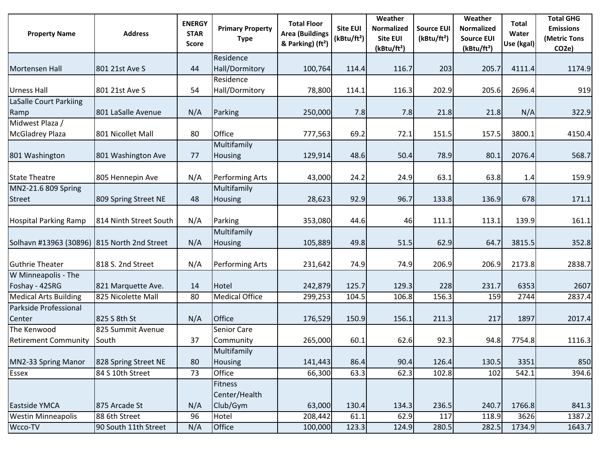| <b>Property Name</b>                        | <b>Address</b>         | <b>ENERGY</b><br><b>STAR</b><br><b>Score</b> | <b>Primary Property</b><br><b>Type</b> | <b>Total Floor</b><br><b>Area (Buildings</b><br>& Parking) (ft <sup>2</sup> ) | <b>Site EUI</b><br>(kBtu/ft <sup>2</sup> ) | Weather<br><b>Normalized</b><br><b>Site EUI</b><br>(kBtu/ft <sup>2</sup> ) | <b>Source EUI</b><br>(kBtu/ft <sup>2</sup> ) | Weather<br><b>Normalized</b><br><b>Source EUI</b><br>(kBtu/ft <sup>2</sup> ) | <b>Total</b><br>Water<br>Use (kgal) | <b>Total GHG</b><br><b>Emissions</b><br>(Metric Tons<br>CO <sub>2</sub> e) |
|---------------------------------------------|------------------------|----------------------------------------------|----------------------------------------|-------------------------------------------------------------------------------|--------------------------------------------|----------------------------------------------------------------------------|----------------------------------------------|------------------------------------------------------------------------------|-------------------------------------|----------------------------------------------------------------------------|
|                                             |                        |                                              | Residence                              |                                                                               |                                            |                                                                            |                                              |                                                                              |                                     |                                                                            |
| Mortensen Hall                              | 801 21st Ave S         | 44                                           | <b>Hall/Dormitory</b>                  | 100,764                                                                       | 114.4                                      | 116.7                                                                      | 203                                          | 205.7                                                                        | 4111.4                              | 1174.9                                                                     |
|                                             |                        |                                              | Residence                              |                                                                               |                                            |                                                                            |                                              |                                                                              |                                     |                                                                            |
| <b>Urness Hall</b>                          | 801 21st Ave S         | 54                                           | Hall/Dormitory                         | 78,800                                                                        | 114.1                                      | 116.3                                                                      | 202.9                                        | 205.6                                                                        | 2696.4                              | 919                                                                        |
| LaSalle Court Parkiing                      |                        |                                              |                                        |                                                                               |                                            |                                                                            |                                              |                                                                              |                                     |                                                                            |
| Ramp                                        | 801 LaSalle Avenue     | N/A                                          | Parking                                | 250,000                                                                       | 7.8                                        | 7.8                                                                        | 21.8                                         | 21.8                                                                         | N/A                                 | 322.9                                                                      |
| Midwest Plaza /                             |                        |                                              |                                        |                                                                               |                                            |                                                                            |                                              |                                                                              |                                     |                                                                            |
| <b>McGladrey Plaza</b>                      | 801 Nicollet Mall      | 80                                           | Office                                 | 777,563                                                                       | 69.2                                       | 72.1                                                                       | 151.5                                        | 157.5                                                                        | 3800.1                              | 4150.4                                                                     |
|                                             |                        |                                              | Multifamily                            |                                                                               |                                            |                                                                            |                                              |                                                                              |                                     |                                                                            |
| 801 Washington                              | 801 Washington Ave     | 77                                           | Housing                                | 129,914                                                                       | 48.6                                       | 50.4                                                                       | 78.9                                         | 80.1                                                                         | 2076.4                              | 568.7                                                                      |
|                                             |                        |                                              |                                        |                                                                               |                                            |                                                                            |                                              |                                                                              |                                     |                                                                            |
| <b>State Theatre</b>                        | 805 Hennepin Ave       | N/A                                          | <b>Performing Arts</b>                 | 43,000                                                                        | 24.2                                       | 24.9                                                                       | 63.1                                         | 63.8                                                                         | 1.4                                 | 159.9                                                                      |
| MN2-21.6 809 Spring<br><b>Street</b>        |                        | 48                                           | Multifamily                            | 28,623                                                                        | 92.9                                       | 96.7                                                                       | 133.8                                        | 136.9                                                                        | 678                                 | 171.1                                                                      |
|                                             | 809 Spring Street NE   |                                              | Housing                                |                                                                               |                                            |                                                                            |                                              |                                                                              |                                     |                                                                            |
| <b>Hospital Parking Ramp</b>                | 814 Ninth Street South | N/A                                          | Parking                                | 353,080                                                                       | 44.6                                       | 46                                                                         | 111.1                                        | 113.1                                                                        | 139.9                               | 161.1                                                                      |
|                                             |                        |                                              | Multifamily                            |                                                                               |                                            |                                                                            |                                              |                                                                              |                                     |                                                                            |
| Solhavn #13963 (30896) 815 North 2nd Street |                        | N/A                                          | Housing                                | 105,889                                                                       | 49.8                                       | 51.5                                                                       | 62.9                                         | 64.7                                                                         | 3815.5                              | 352.8                                                                      |
|                                             |                        |                                              |                                        |                                                                               |                                            |                                                                            |                                              |                                                                              |                                     |                                                                            |
| <b>Guthrie Theater</b>                      | 818 S. 2nd Street      | N/A                                          | <b>Performing Arts</b>                 | 231,642                                                                       | 74.9                                       | 74.9                                                                       | 206.9                                        | 206.9                                                                        | 2173.8                              | 2838.7                                                                     |
| W Minneapolis - The                         |                        |                                              |                                        |                                                                               |                                            |                                                                            |                                              |                                                                              |                                     |                                                                            |
| Foshay - 42SRG                              | 821 Marquette Ave.     | 14                                           | Hotel                                  | 242,879                                                                       | 125.7                                      | 129.3                                                                      | 228                                          | 231.7                                                                        | 6353                                | 2607                                                                       |
| <b>Medical Arts Building</b>                | 825 Nicolette Mall     | 80                                           | <b>Medical Office</b>                  | 299,253                                                                       | 104.5                                      | 106.8                                                                      | 156.3                                        | 159                                                                          | 2744                                | 2837.4                                                                     |
| Parkside Professional                       |                        |                                              |                                        |                                                                               |                                            |                                                                            |                                              |                                                                              |                                     |                                                                            |
| Center                                      | 825 S 8th St           | N/A                                          | Office                                 | 176,529                                                                       | 150.9                                      | 156.1                                                                      | 211.3                                        | 217                                                                          | 1897                                | 2017.4                                                                     |
| The Kenwood                                 | 825 Summit Avenue      |                                              | Senior Care                            |                                                                               |                                            |                                                                            |                                              |                                                                              |                                     |                                                                            |
| <b>Retirement Community</b>                 | South                  | 37                                           | Community                              | 265,000                                                                       | 60.1                                       | 62.6                                                                       | 92.3                                         | 94.8                                                                         | 7754.8                              | 1116.3                                                                     |
|                                             |                        |                                              | Multifamily                            |                                                                               |                                            |                                                                            |                                              |                                                                              |                                     |                                                                            |
| MN2-33 Spring Manor                         | 828 Spring Street NE   | 80                                           | <b>Housing</b>                         | 141,443                                                                       | 86.4                                       | 90.4                                                                       | 126.4                                        | 130.5                                                                        | 3351                                | 850                                                                        |
| <b>Essex</b>                                | 84 S 10th Street       | 73                                           | Office                                 | 66,300                                                                        | 63.3                                       | 62.3                                                                       | 102.8                                        | 102                                                                          | 542.1                               | 394.6                                                                      |
|                                             |                        |                                              | <b>Fitness</b>                         |                                                                               |                                            |                                                                            |                                              |                                                                              |                                     |                                                                            |
|                                             |                        |                                              | Center/Health                          |                                                                               |                                            |                                                                            |                                              |                                                                              |                                     |                                                                            |
| <b>Eastside YMCA</b>                        | 875 Arcade St          | N/A                                          | Club/Gym                               | 63,000                                                                        | 130.4                                      | 134.3                                                                      | 236.5                                        | 240.7                                                                        | 1766.8                              | 841.3                                                                      |
| <b>Westin Minneapolis</b>                   | 88 6th Street          | 96                                           | Hotel                                  | 208,442                                                                       | 61.1                                       | 62.9                                                                       | 117                                          | 118.9                                                                        | 3626                                | 1387.2                                                                     |
| Wcco-TV                                     | 90 South 11th Street   | N/A                                          | Office                                 | 100,000                                                                       | 123.3                                      | 124.9                                                                      | 280.5                                        | 282.5                                                                        | 1734.9                              | 1643.7                                                                     |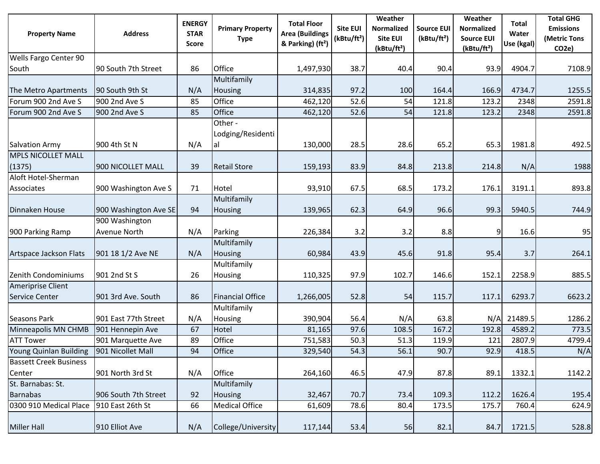| <b>Property Name</b>                       | <b>Address</b>                 | <b>ENERGY</b><br><b>STAR</b><br><b>Score</b> | <b>Primary Property</b><br><b>Type</b> | <b>Total Floor</b><br><b>Area (Buildings</b><br>& Parking) (ft <sup>2</sup> ) | <b>Site EUI</b><br>(kBtu/ft <sup>2</sup> ) | Weather<br>Normalized<br><b>Site EUI</b><br>(kBtu/ft <sup>2</sup> ) | <b>Source EUI</b><br>(kBtu/ft <sup>2</sup> ) | Weather<br><b>Normalized</b><br><b>Source EUI</b><br>(kBtu/ft <sup>2</sup> ) | Total<br>Water<br>Use (kgal) | <b>Total GHG</b><br><b>Emissions</b><br>(Metric Tons<br>CO <sub>2</sub> e) |
|--------------------------------------------|--------------------------------|----------------------------------------------|----------------------------------------|-------------------------------------------------------------------------------|--------------------------------------------|---------------------------------------------------------------------|----------------------------------------------|------------------------------------------------------------------------------|------------------------------|----------------------------------------------------------------------------|
| Wells Fargo Center 90                      |                                |                                              |                                        |                                                                               |                                            |                                                                     |                                              |                                                                              |                              |                                                                            |
| South                                      | 90 South 7th Street            | 86                                           | Office                                 | 1,497,930                                                                     | 38.7                                       | 40.4                                                                | 90.4                                         | 93.9                                                                         | 4904.7                       | 7108.9                                                                     |
|                                            |                                |                                              | Multifamily                            |                                                                               |                                            |                                                                     |                                              |                                                                              |                              |                                                                            |
| The Metro Apartments                       | 90 South 9th St                | N/A                                          | Housing                                | 314,835                                                                       | 97.2                                       | 100                                                                 | 164.4                                        | 166.9                                                                        | 4734.7                       | 1255.5                                                                     |
| Forum 900 2nd Ave S                        | 900 2nd Ave S                  | 85                                           | Office                                 | 462,120                                                                       | 52.6                                       | 54                                                                  | 121.8                                        | 123.2                                                                        | 2348                         | 2591.8                                                                     |
| Forum 900 2nd Ave S                        | 900 2nd Ave S                  | 85                                           | Office                                 | 462,120                                                                       | 52.6                                       | 54                                                                  | 121.8                                        | 123.2                                                                        | 2348                         | 2591.8                                                                     |
| <b>Salvation Army</b>                      | 900 4th St N                   | N/A                                          | Other -<br>Lodging/Residenti<br>al     | 130,000                                                                       | 28.5                                       | 28.6                                                                | 65.2                                         | 65.3                                                                         | 1981.8                       | 492.5                                                                      |
| <b>MPLS NICOLLET MALL</b>                  |                                |                                              |                                        |                                                                               |                                            |                                                                     |                                              |                                                                              |                              |                                                                            |
| (1375)                                     | 900 NICOLLET MALL              | 39                                           | <b>Retail Store</b>                    | 159,193                                                                       | 83.9                                       | 84.8                                                                | 213.8                                        | 214.8                                                                        | N/A                          | 1988                                                                       |
| Aloft Hotel-Sherman<br>Associates          | 900 Washington Ave S           | 71                                           | Hotel                                  | 93,910                                                                        | 67.5                                       | 68.5                                                                | 173.2                                        | 176.1                                                                        | 3191.1                       | 893.8                                                                      |
| Dinnaken House                             | 900 Washington Ave SE          | 94                                           | Multifamily<br>Housing                 | 139,965                                                                       | 62.3                                       | 64.9                                                                | 96.6                                         | 99.3                                                                         | 5940.5                       | 744.9                                                                      |
| 900 Parking Ramp                           | 900 Washington<br>Avenue North | N/A                                          | Parking                                | 226,384                                                                       | 3.2                                        | 3.2                                                                 | 8.8                                          | 9                                                                            | 16.6                         | 95                                                                         |
| Artspace Jackson Flats                     | 901 18 1/2 Ave NE              | N/A                                          | Multifamily<br>Housing                 | 60,984                                                                        | 43.9                                       | 45.6                                                                | 91.8                                         | 95.4                                                                         | 3.7                          | 264.1                                                                      |
| Zenith Condominiums                        | 901 2nd St S                   | 26                                           | Multifamily<br>Housing                 | 110,325                                                                       | 97.9                                       | 102.7                                                               | 146.6                                        | 152.1                                                                        | 2258.9                       | 885.5                                                                      |
| Ameriprise Client<br><b>Service Center</b> | 901 3rd Ave. South             | 86                                           | <b>Financial Office</b>                | 1,266,005                                                                     | 52.8                                       | 54                                                                  | 115.7                                        | 117.1                                                                        | 6293.7                       | 6623.2                                                                     |
| <b>Seasons Park</b>                        | 901 East 77th Street           | N/A                                          | Multifamily<br>Housing                 | 390,904                                                                       | 56.4                                       | N/A                                                                 | 63.8                                         | N/A                                                                          | 21489.5                      | 1286.2                                                                     |
| Minneapolis MN CHMB                        | 901 Hennepin Ave               | 67                                           | Hotel                                  | 81,165                                                                        | 97.6                                       | 108.5                                                               | 167.2                                        | 192.8                                                                        | 4589.2                       | 773.5                                                                      |
| <b>ATT Tower</b>                           | 901 Marquette Ave              | 89                                           | Office                                 | 751,583                                                                       | 50.3                                       | 51.3                                                                | 119.9                                        | 121                                                                          | 2807.9                       | 4799.4                                                                     |
| Young Quinlan Building                     | 901 Nicollet Mall              | 94                                           | Office                                 | 329,540                                                                       | 54.3                                       | 56.1                                                                | 90.7                                         | 92.9                                                                         | 418.5                        | N/A                                                                        |
| <b>Bassett Creek Business</b><br>Center    | 901 North 3rd St               | N/A                                          | Office                                 | 264,160                                                                       | 46.5                                       | 47.9                                                                | 87.8                                         | 89.1                                                                         | 1332.1                       | 1142.2                                                                     |
| St. Barnabas: St.                          |                                |                                              | Multifamily                            |                                                                               |                                            |                                                                     |                                              |                                                                              |                              |                                                                            |
| <b>Barnabas</b>                            | 906 South 7th Street           | 92                                           | Housing                                | 32,467                                                                        | 70.7                                       | 73.4                                                                | 109.3                                        | 112.2                                                                        | 1626.4                       | 195.4                                                                      |
| 0300 910 Medical Place                     | 910 East 26th St               | 66                                           | <b>Medical Office</b>                  | 61,609                                                                        | 78.6                                       | 80.4                                                                | 173.5                                        | 175.7                                                                        | 760.4                        | 624.9                                                                      |
| <b>Miller Hall</b>                         | 910 Elliot Ave                 | N/A                                          | College/University                     | 117,144                                                                       | 53.4                                       | 56                                                                  | 82.1                                         | 84.7                                                                         | 1721.5                       | 528.8                                                                      |